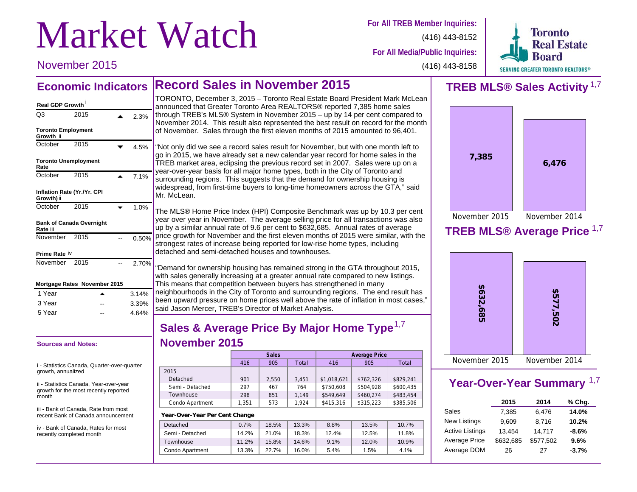# **Market Watch** For All TREB Member Inquiries:

**For All Media/Public Inquiries:**

**Toronto Real Estate** SERVING GREATER TORONTO REALTORS®

November 2015

(416) 443-8158

(416) 443-8152

### **Record Sales in November 2015 Economic Indicators**

### **Toronto Employment Growth** ii October 2015  $\sqrt{4.5\%}$ **Month November 2015 November 2015 Mortgage RatesReal GDP Growth** i Q3 2015 **4** 2.3% **Toronto Unemployment Rate** October 2015  $\overline{)}$  7.1% **Inflation Rate (Yr./Yr. CPI Growth)** ii October 2015  $\sqrt{1.0\%}$ **Bank of Canada Overnight Rate** iii November 2015 -- 0.50% **Prime Rate** iv November 2015 -- 2.70%

|        | <b>MORGAGE Rates NOVERIDEL ZUTJ</b> |       |
|--------|-------------------------------------|-------|
| 1 Year | ▴                                   | 3.14% |
| 3 Year | --                                  | 3.39% |
| 5 Year | --                                  | 4.64% |
|        |                                     |       |

### **Sources and Notes:**

i - Statistics Canada, Quarter-over-quarter growth, annualized

ii - Statistics Canada, Year-over-year growth for the most recently reported month

iii - Bank of Canada, Rate from most recent Bank of Canada announcement

iv - Bank of Canada, Rates for most recently completed month

TORONTO, December 3, 2015 – Toronto Real Estate Board President Mark McLean announced that Greater Toronto Area REALTORS® reported 7,385 home sales through TREB's MLS® System in November 2015 – up by 14 per cent compared to November 2014. This result also represented the best result on record for the month of November. Sales through the first eleven months of 2015 amounted to 96,401.

"Not only did we see a record sales result for November, but with one month left to go in 2015, we have already set a new calendar year record for home sales in the TREB market area, eclipsing the previous record set in 2007. Sales were up on a year-over-year basis for all major home types, both in the City of Toronto and surrounding regions. This suggests that the demand for ownership housing is widespread, from first-time buyers to long-time homeowners across the GTA," said Mr. McLean.

The MLS® Home Price Index (HPI) Composite Benchmark was up by 10.3 per cent year over year in November. The average selling price for all transactions was also up by a similar annual rate of 9.6 per cent to \$632,685. Annual rates of average price growth for November and the first eleven months of 2015 were similar, with the strongest rates of increase being reported for low-rise home types, including detached and semi-detached houses and townhouses.

"Demand for ownership housing has remained strong in the GTA throughout 2015, with sales generally increasing at a greater annual rate compared to new listings. This means that competition between buyers has strengthened in many neighbourhoods in the City of Toronto and surrounding regions. The end result has been upward pressure on home prices well above the rate of inflation in most cases," said Jason Mercer, TREB's Director of Market Analysis.

### **Sales & Average Price By Major Home Type** 1,7 **November 2015**

|                 |       | Sales |       | <b>Average Price</b> |           |           |  |  |
|-----------------|-------|-------|-------|----------------------|-----------|-----------|--|--|
|                 | 416   | 905   | Total | 416                  | 905       | Total     |  |  |
| 2015            |       |       |       |                      |           |           |  |  |
| Detached        | 901   | 2.550 | 3.451 | \$1,018,621          | \$762,326 | \$829,241 |  |  |
| Semi - Detached | 297   | 467   | 764   | \$750,608            | \$504,928 | \$600,435 |  |  |
| Townhouse       | 298   | 851   | 1.149 | \$549.649            | \$460,274 | \$483,454 |  |  |
| Condo Apartment | 1.351 | 573   | 1.924 | \$415,316            | \$315,223 | \$385,506 |  |  |
|                 |       |       |       |                      |           |           |  |  |

### **Year-Over-Year Per Cent Change**

| Detached        | 0.7%  | 18.5% | 13.3% | 8.8%  | 13.5% | 10.7% |
|-----------------|-------|-------|-------|-------|-------|-------|
| Semi - Detached | 14.2% | 21.0% | 18.3% | 12.4% | 12.5% | 11.8% |
| Townhouse       | 11.2% | 15.8% | 14.6% | 9.1%  | 12.0% | 10.9% |
| Condo Apartment | 13.3% | 22.7% | 16.0% | 5.4%  | 1.5%  | 4.1%  |
|                 |       |       |       |       |       |       |

## **TREB MLS® Sales Activity** 1,7



### **TREB MLS® Average Price** 1,7



### **Year-Over-Year Summary** 1,7

|                        | 2015      | 2014      | % Chg.  |
|------------------------|-----------|-----------|---------|
| Sales                  | 7.385     | 6,476     | 14.0%   |
| <b>New Listings</b>    | 9.609     | 8.716     | 10.2%   |
| <b>Active Listings</b> | 13,454    | 14,717    | $-8.6%$ |
| Average Price          | \$632,685 | \$577,502 | 9.6%    |
| Average DOM            | 26        | 27        | $-3.7%$ |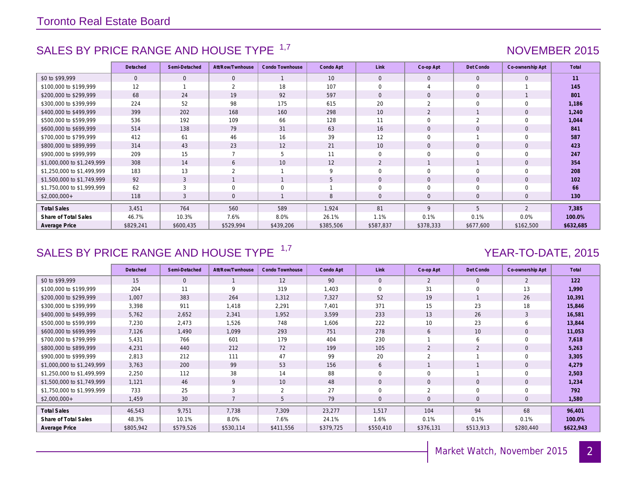### SALES BY PRICE RANGE AND HOUSE TYPE <sup>1,7</sup> And the state of the state of the NOVEMBER 2015

|                            | Detached     | Semi-Detached | Att/Row/Twnhouse | Condo Townhouse | Condo Apt | Link           | Co-op Apt           | Det Condo                | Co-ownership Apt | Total     |
|----------------------------|--------------|---------------|------------------|-----------------|-----------|----------------|---------------------|--------------------------|------------------|-----------|
| \$0 to \$99,999            | $\mathbf{0}$ | $\mathbf{0}$  | $\mathbf{0}$     | $\mathbf{1}$    | 10        | $\mathbf{0}$   | $\mathbf{0}$        | $\mathbf{0}$             | $\mathbf{0}$     | 11        |
| \$100,000 to \$199,999     | 12           |               | 2                | 18              | 107       | $\Omega$       |                     | $\Omega$                 |                  | 145       |
| \$200,000 to \$299,999     | 68           | 24            | 19               | 92              | 597       | $\Omega$       | $\mathsf{O}\xspace$ | $\mathbf{0}$             |                  | 801       |
| \$300,000 to \$399,999     | 224          | 52            | 98               | 175             | 615       | 20             | 2                   | $\Omega$                 | $\Omega$         | 1,186     |
| \$400,000 to \$499,999     | 399          | 202           | 168              | 160             | 298       | 10             | $\overline{2}$      |                          | $\mathbf{0}$     | 1,240     |
| \$500,000 to \$599,999     | 536          | 192           | 109              | 66              | 128       | 11             | $\mathbf 0$         | $\overline{\mathcal{L}}$ | $\Omega$         | 1,044     |
| \$600,000 to \$699,999     | 514          | 138           | 79               | 31              | 63        | 16             | $\mathsf{O}\xspace$ | $\mathbf{0}$             | $\mathbf{0}$     | 841       |
| \$700,000 to \$799,999     | 412          | 61            | 46               | 16              | 39        | 12             | 0                   |                          | $\Omega$         | 587       |
| \$800,000 to \$899,999     | 314          | 43            | 23               | 12              | 21        | 10             | $\mathbf{O}$        | $\Omega$                 | $\Omega$         | 423       |
| \$900,000 to \$999,999     | 209          | 15            | $\overline{ }$   | 5               | 11        | $\Omega$       | $\mathbf 0$         | $\Omega$                 | $\Omega$         | 247       |
| \$1,000,000 to \$1,249,999 | 308          | 14            | 6                | 10              | 12        | 2              |                     |                          | $\mathbf{0}$     | 354       |
| \$1,250,000 to \$1,499,999 | 183          | 13            | 2                |                 | 9         | $\Omega$       | $\mathbf 0$         | $\mathbf 0$              | 0                | 208       |
| \$1,500,000 to \$1,749,999 | 92           | 3             |                  |                 | 5         | $\Omega$       | $\mathbf{0}$        | $\mathbf{0}$             | $\mathbf{0}$     | 102       |
| \$1,750,000 to \$1,999,999 | 62           | 3             | $\mathbf 0$      | $\mathbf 0$     |           | $\Omega$       | $\mathbf 0$         | $\mathbf 0$              | 0                | 66        |
| $$2,000,000+$              | 118          | 3             | $\mathbf{0}$     |                 | 8         | $\overline{0}$ | $\mathbf{0}$        | $\mathbf{0}$             | $\mathbf{0}$     | 130       |
| <b>Total Sales</b>         | 3.451        | 764           | 560              | 589             | 1.924     | 81             | 9                   | 5                        | $\overline{2}$   | 7,385     |
| Share of Total Sales       | 46.7%        | 10.3%         | 7.6%             | 8.0%            | 26.1%     | 1.1%           | 0.1%                | 0.1%                     | 0.0%             | 100.0%    |
| Average Price              | \$829,241    | \$600,435     | \$529,994        | \$439,206       | \$385,506 | \$587,837      | \$378,333           | \$677,600                | \$162,500        | \$632,685 |

### SALES BY PRICE RANGE AND HOUSE TYPE <sup>1,7</sup> And the set of the set of the YEAR-TO-DATE, 2015

|                            | Detached  | Semi-Detached | Att/Row/Twnhouse | Condo Townhouse | Condo Apt | Link           | Co-op Apt    | Det Condo      | Co-ownership Apt | Total     |
|----------------------------|-----------|---------------|------------------|-----------------|-----------|----------------|--------------|----------------|------------------|-----------|
| \$0 to \$99.999            | 15        | $\Omega$      |                  | 12              | 90        | $\Omega$       | 2            | $\Omega$       | 2                | 122       |
| \$100,000 to \$199,999     | 204       | 11            | 9                | 319             | 1.403     | $\Omega$       | 31           | $\Omega$       | 13               | 1,990     |
| \$200,000 to \$299,999     | 1,007     | 383           | 264              | 1,312           | 7,327     | 52             | 19           |                | 26               | 10,391    |
| \$300,000 to \$399,999     | 3,398     | 911           | 1,418            | 2,291           | 7,401     | 371            | 15           | 23             | 18               | 15,846    |
| \$400,000 to \$499,999     | 5,762     | 2,652         | 2,341            | 1,952           | 3,599     | 233            | 13           | 26             | 3                | 16,581    |
| \$500,000 to \$599,999     | 7,230     | 2,473         | 1,526            | 748             | 1,606     | 222            | 10           | 23             | 6                | 13,844    |
| \$600,000 to \$699,999     | 7,126     | 1,490         | 1,099            | 293             | 751       | 278            | 6            | 10             | $\mathbf{0}$     | 11,053    |
| \$700,000 to \$799,999     | 5,431     | 766           | 601              | 179             | 404       | 230            |              | 6              | $\Omega$         | 7,618     |
| \$800,000 to \$899,999     | 4,231     | 440           | 212              | 72              | 199       | 105            | 2            | 2              | $\mathbf{0}$     | 5,263     |
| \$900,000 to \$999,999     | 2,813     | 212           | 111              | 47              | 99        | 20             | 2            |                | $\Omega$         | 3,305     |
| \$1,000,000 to \$1,249,999 | 3,763     | 200           | 99               | 53              | 156       | 6              |              |                | $\mathbf{0}$     | 4,279     |
| \$1,250,000 to \$1,499,999 | 2,250     | 112           | 38               | 14              | 88        | $\Omega$       | $\mathbf 0$  |                | $\Omega$         | 2,503     |
| \$1,500,000 to \$1,749,999 | 1,121     | 46            | 9                | 10              | 48        | $\mathbf{0}$   | $\mathbf{0}$ | $\mathbf{0}$   | $\mathbf{0}$     | 1,234     |
| \$1,750,000 to \$1,999,999 | 733       | 25            | 3                | 2               | 27        | $\Omega$       | 2            | $\Omega$       | $\Omega$         | 792       |
| $$2,000,000+$              | 1,459     | 30            |                  | 5               | 79        | $\overline{0}$ | $\mathbf 0$  | $\overline{0}$ | $\mathbf{0}$     | 1,580     |
| <b>Total Sales</b>         | 46,543    | 9,751         | 7,738            | 7,309           | 23,277    | 1,517          | 104          | 94             | 68               | 96,401    |
| Share of Total Sales       | 48.3%     | 10.1%         | 8.0%             | 7.6%            | 24.1%     | 1.6%           | 0.1%         | 0.1%           | 0.1%             | 100.0%    |
| Average Price              | \$805,942 | \$579,526     | \$530,114        | \$411,556       | \$379,725 | \$550,410      | \$376,131    | \$513,913      | \$280,440        | \$622,943 |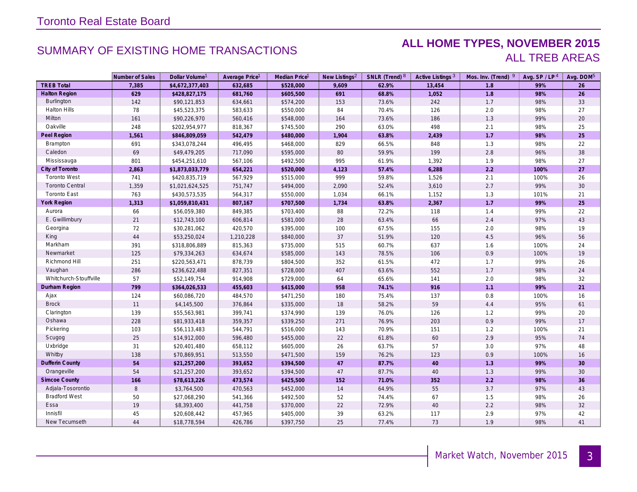### SUMMARY OF EXISTING HOME TRANSACTIONS **ALL HOME TYPES, NOVEMBER 2015** ALL TREB AREAS

|                        | Number of Sales | Dollar Volume <sup>1</sup> | Average Price <sup>1</sup> | Median Price <sup>1</sup> | New Listings <sup>2</sup> | SNLR (Trend) 8 | Active Listings <sup>3</sup> | Mos. Inv. (Trend) 9 | Avg. SP/LP <sup>4</sup> | Avg. DOM <sup>5</sup> |
|------------------------|-----------------|----------------------------|----------------------------|---------------------------|---------------------------|----------------|------------------------------|---------------------|-------------------------|-----------------------|
| <b>TREB Total</b>      | 7,385           | \$4,672,377,403            | 632,685                    | \$528,000                 | 9,609                     | 62.9%          | 13,454                       | 1.8                 | 99%                     | 26                    |
| <b>Halton Region</b>   | 629             | \$428,827,175              | 681,760                    | \$605,500                 | 691                       | 68.8%          | 1,052                        | 1.8                 | 98%                     | 26                    |
| Burlington             | 142             | \$90,121,853               | 634,661                    | \$574,200                 | 153                       | 73.6%          | 242                          | 1.7                 | 98%                     | 33                    |
| <b>Halton Hills</b>    | 78              | \$45,523,375               | 583,633                    | \$550,000                 | 84                        | 70.4%          | 126                          | $2.0\,$             | 98%                     | 27                    |
| Milton                 | 161             | \$90,226,970               | 560,416                    | \$548,000                 | 164                       | 73.6%          | 186                          | 1.3                 | 99%                     | 20                    |
| Oakville               | 248             | \$202,954,977              | 818,367                    | \$745,500                 | 290                       | 63.0%          | 498                          | 2.1                 | 98%                     | 25                    |
| Peel Region            | 1,561           | \$846,809,059              | 542,479                    | \$480,000                 | 1,904                     | 63.8%          | 2,439                        | 1.7                 | 98%                     | 25                    |
| Brampton               | 691             | \$343,078,244              | 496,495                    | \$468,000                 | 829                       | 66.5%          | 848                          | 1.3                 | 98%                     | 22                    |
| Caledon                | 69              | \$49,479,205               | 717,090                    | \$595,000                 | 80                        | 59.9%          | 199                          | $2.8\,$             | 96%                     | 38                    |
| Mississauga            | 801             | \$454,251,610              | 567,106                    | \$492,500                 | 995                       | 61.9%          | 1,392                        | 1.9                 | 98%                     | 27                    |
| City of Toronto        | 2,863           | \$1,873,033,779            | 654,221                    | \$520,000                 | 4,123                     | 57.4%          | 6,288                        | $2.2$               | 100%                    | 27                    |
| <b>Toronto West</b>    | 741             | \$420,835,719              | 567,929                    | \$515,000                 | 999                       | 59.8%          | 1,526                        | 2.1                 | 100%                    | 26                    |
| <b>Toronto Central</b> | 1,359           | \$1,021,624,525            | 751,747                    | \$494,000                 | 2,090                     | 52.4%          | 3,610                        | 2.7                 | 99%                     | 30                    |
| <b>Toronto East</b>    | 763             | \$430,573,535              | 564,317                    | \$550,000                 | 1,034                     | 66.1%          | 1,152                        | 1.3                 | 101%                    | 21                    |
| <b>York Region</b>     | 1,313           | \$1,059,810,431            | 807,167                    | \$707,500                 | 1,734                     | 63.8%          | 2,367                        | 1.7                 | 99%                     | 25                    |
| Aurora                 | 66              | \$56,059,380               | 849,385                    | \$703,400                 | 88                        | 72.2%          | 118                          | 1.4                 | 99%                     | 22                    |
| E. Gwillimbury         | 21              | \$12,743,100               | 606,814                    | \$581,000                 | 28                        | 63.4%          | 66                           | 2.4                 | 97%                     | 43                    |
| Georgina               | 72              | \$30,281,062               | 420,570                    | \$395,000                 | 100                       | 67.5%          | 155                          | $2.0\,$             | 98%                     | 19                    |
| King                   | 44              | \$53,250,024               | 1,210,228                  | \$840,000                 | 37                        | 51.9%          | 120                          | 4.5                 | 96%                     | 56                    |
| Markham                | 391             | \$318,806,889              | 815,363                    | \$735,000                 | 515                       | 60.7%          | 637                          | 1.6                 | 100%                    | 24                    |
| Newmarket              | 125             | \$79,334,263               | 634,674                    | \$585,000                 | 143                       | 78.5%          | 106                          | 0.9                 | 100%                    | 19                    |
| Richmond Hill          | 251             | \$220,563,471              | 878,739                    | \$804,500                 | 352                       | 61.5%          | 472                          | 1.7                 | 99%                     | 26                    |
| Vaughan                | 286             | \$236,622,488              | 827,351                    | \$728,000                 | 407                       | 63.6%          | 552                          | 1.7                 | 98%                     | 24                    |
| Whitchurch-Stouffville | 57              | \$52,149,754               | 914,908                    | \$729,000                 | 64                        | 65.6%          | 141                          | 2.0                 | 98%                     | 32                    |
| Durham Region          | 799             | \$364,026,533              | 455,603                    | \$415,000                 | 958                       | 74.1%          | 916                          | 1.1                 | 99%                     | 21                    |
| Ajax                   | 124             | \$60,086,720               | 484,570                    | \$471,250                 | 180                       | 75.4%          | 137                          | 0.8                 | 100%                    | 16                    |
| <b>Brock</b>           | 11              | \$4,145,500                | 376,864                    | \$335,000                 | 18                        | 58.2%          | 59                           | 4.4                 | 95%                     | 61                    |
| Clarington             | 139             | \$55,563,981               | 399,741                    | \$374,990                 | 139                       | 76.0%          | 126                          | 1.2                 | 99%                     | 20                    |
| Oshawa                 | 228             | \$81,933,418               | 359,357                    | \$339,250                 | 271                       | 76.9%          | 203                          | 0.9                 | 99%                     | 17                    |
| Pickering              | 103             | \$56,113,483               | 544,791                    | \$516,000                 | 143                       | 70.9%          | 151                          | 1.2                 | 100%                    | 21                    |
| Scugog                 | 25              | \$14,912,000               | 596,480                    | \$455,000                 | 22                        | 61.8%          | 60                           | 2.9                 | 95%                     | 74                    |
| Uxbridge               | 31              | \$20,401,480               | 658,112                    | \$605,000                 | 26                        | 63.7%          | 57                           | 3.0                 | 97%                     | 48                    |
| Whitby                 | 138             | \$70,869,951               | 513,550                    | \$471,500                 | 159                       | 76.2%          | 123                          | 0.9                 | 100%                    | 16                    |
| <b>Dufferin County</b> | 54              | \$21,257,200               | 393,652                    | \$394,500                 | $47\,$                    | 87.7%          | 40                           | 1.3                 | 99%                     | 30 <sup>°</sup>       |
| Orangeville            | 54              | \$21,257,200               | 393,652                    | \$394,500                 | 47                        | 87.7%          | 40                           | 1.3                 | 99%                     | 30                    |
| <b>Simcoe County</b>   | 166             | \$78,613,226               | 473,574                    | \$425,500                 | 152                       | 71.0%          | 352                          | $2.2\,$             | 98%                     | 36                    |
| Adjala-Tosorontio      | 8               | \$3,764,500                | 470,563                    | \$452,000                 | 14                        | 64.9%          | 55                           | 3.7                 | 97%                     | 43                    |
| <b>Bradford West</b>   | 50              | \$27,068,290               | 541,366                    | \$492,500                 | 52                        | 74.4%          | 67                           | 1.5                 | 98%                     | 26                    |
| Essa                   | 19              | \$8,393,400                | 441,758                    | \$370,000                 | $22\,$                    | 72.9%          | 40                           | $2.2\,$             | 98%                     | 32                    |
| Innisfil               | 45              | \$20,608,442               | 457,965                    | \$405,000                 | 39                        | 63.2%          | 117                          | 2.9                 | 97%                     | 42                    |
| New Tecumseth          | 44              | \$18,778,594               | 426,786                    | \$397,750                 | 25                        | 77.4%          | 73                           | 1.9                 | 98%                     | 41                    |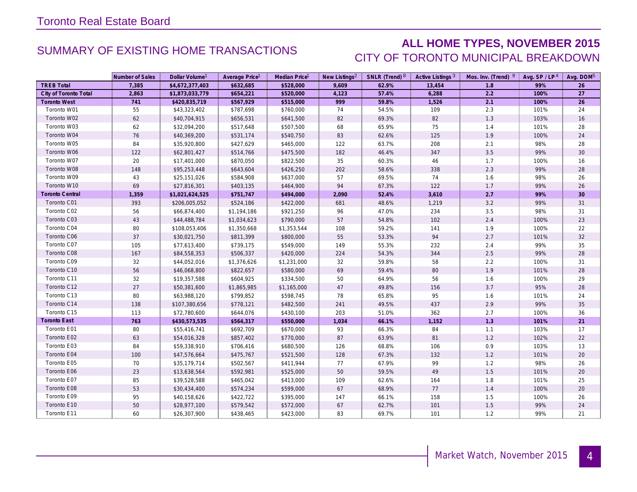### SUMMARY OF EXISTING HOME TRANSACTIONS **ALL HOME TYPES, NOVEMBER 2015** CITY OF TORONTO MUNICIPAL BREAKDOWN

|                        | Number of Sales | Dollar Volume <sup>1</sup> | Average Price <sup>1</sup> | Median Price <sup>1</sup> | New Listings <sup>2</sup> | SNLR (Trend) 8 | Active Listings <sup>3</sup> | Mos. Inv. (Trend) 9 | Avg. $SP / LP4$ | Avg. DOM <sup>5</sup> |
|------------------------|-----------------|----------------------------|----------------------------|---------------------------|---------------------------|----------------|------------------------------|---------------------|-----------------|-----------------------|
| <b>TREB Total</b>      | 7,385           | \$4,672,377,403            | \$632,685                  | \$528,000                 | 9,609                     | 62.9%          | 13,454                       | 1.8                 | 99%             | 26                    |
| City of Toronto Total  | 2,863           | \$1,873,033,779            | \$654,221                  | \$520,000                 | 4,123                     | 57.4%          | 6,288                        | 2.2                 | 100%            | 27                    |
| <b>Toronto West</b>    | 741             | \$420,835,719              | \$567,929                  | \$515,000                 | 999                       | 59.8%          | 1,526                        | 2.1                 | 100%            | 26                    |
| Toronto W01            | 55              | \$43,323,402               | \$787,698                  | \$760,000                 | 74                        | 54.5%          | 109                          | 2.3                 | 101%            | 24                    |
| Toronto W02            | 62              | \$40,704,915               | \$656,531                  | \$641,500                 | 82                        | 69.3%          | 82                           | 1.3                 | 103%            | 16                    |
| Toronto W03            | 62              | \$32,094,200               | \$517,648                  | \$507,500                 | 68                        | 65.9%          | 75                           | 1.4                 | 101%            | 28                    |
| Toronto W04            | 76              | \$40,369,200               | \$531,174                  | \$540,750                 | 83                        | 62.6%          | 125                          | 1.9                 | 100%            | 24                    |
| Toronto W05            | 84              | \$35,920,800               | \$427,629                  | \$465,000                 | 122                       | 63.7%          | 208                          | 2.1                 | 98%             | 28                    |
| Toronto W06            | 122             | \$62,801,427               | \$514,766                  | \$475,500                 | 182                       | 46.4%          | 347                          | 3.5                 | 99%             | 30 <sup>°</sup>       |
| Toronto W07            | 20              | \$17,401,000               | \$870,050                  | \$822,500                 | 35                        | 60.3%          | 46                           | 1.7                 | 100%            | 16                    |
| Toronto W08            | 148             | \$95,253,448               | \$643,604                  | \$426,250                 | 202                       | 58.6%          | 338                          | 2.3                 | 99%             | 28                    |
| Toronto W09            | 43              | \$25,151,026               | \$584,908                  | \$637,000                 | 57                        | 69.5%          | 74                           | 1.6                 | 98%             | 26                    |
| Toronto W10            | 69              | \$27,816,301               | \$403,135                  | \$464,900                 | 94                        | 67.3%          | 122                          | 1.7                 | 99%             | 26                    |
| <b>Toronto Central</b> | 1,359           | \$1,021,624,525            | \$751,747                  | \$494,000                 | 2,090                     | 52.4%          | 3,610                        | 2.7                 | 99%             | 30 <sup>°</sup>       |
| Toronto C01            | 393             | \$206,005,052              | \$524,186                  | \$422,000                 | 681                       | 48.6%          | 1,219                        | 3.2                 | 99%             | 31                    |
| Toronto C02            | 56              | \$66,874,400               | \$1,194,186                | \$921,250                 | 96                        | 47.0%          | 234                          | 3.5                 | 98%             | 31                    |
| Toronto C03            | 43              | \$44,488,784               | \$1,034,623                | \$790,000                 | 57                        | 54.8%          | 102                          | 2.4                 | 100%            | 23                    |
| Toronto C04            | 80              | \$108,053,406              | \$1,350,668                | \$1,353,544               | 108                       | 59.2%          | 141                          | 1.9                 | 100%            | 22                    |
| Toronto C06            | 37              | \$30,021,750               | \$811,399                  | \$800,000                 | 55                        | 53.3%          | 94                           | 2.7                 | 101%            | 32                    |
| Toronto C07            | 105             | \$77,613,400               | \$739,175                  | \$549,000                 | 149                       | 55.3%          | 232                          | 2.4                 | 99%             | 35                    |
| Toronto C08            | 167             | \$84,558,353               | \$506,337                  | \$420,000                 | 224                       | 54.3%          | 344                          | 2.5                 | 99%             | 28                    |
| Toronto C09            | 32              | \$44,052,016               | \$1,376,626                | \$1,231,000               | 32                        | 59.8%          | 58                           | 2.2                 | 100%            | 31                    |
| Toronto C10            | 56              | \$46,068,800               | \$822,657                  | \$580,000                 | 69                        | 59.4%          | 80                           | 1.9                 | 101%            | 28                    |
| Toronto C11            | 32              | \$19,357,588               | \$604,925                  | \$334,500                 | 50                        | 64.9%          | 56                           | 1.6                 | 100%            | 29                    |
| Toronto C12            | 27              | \$50,381,600               | \$1,865,985                | \$1,165,000               | $47\,$                    | 49.8%          | 156                          | 3.7                 | 95%             | 28                    |
| Toronto C13            | 80              | \$63,988,120               | \$799,852                  | \$598,745                 | 78                        | 65.8%          | 95                           | 1.6                 | 101%            | 24                    |
| Toronto C14            | 138             | \$107,380,656              | \$778,121                  | \$482,500                 | 241                       | 49.5%          | 437                          | 2.9                 | 99%             | 35                    |
| Toronto C15            | 113             | \$72,780,600               | \$644,076                  | \$430,100                 | 203                       | 51.0%          | 362                          | 2.7                 | 100%            | 36                    |
| <b>Toronto East</b>    | 763             | \$430,573,535              | \$564,317                  | \$550,000                 | 1,034                     | 66.1%          | 1,152                        | 1.3                 | 101%            | 21                    |
| Toronto E01            | 80              | \$55,416,741               | \$692,709                  | \$670,000                 | 93                        | 66.3%          | 84                           | 1.1                 | 103%            | 17                    |
| Toronto E02            | 63              | \$54,016,328               | \$857,402                  | \$770,000                 | 87                        | 63.9%          | 81                           | 1.2                 | 102%            | 22                    |
| Toronto E03            | 84              | \$59,338,910               | \$706,416                  | \$680,500                 | 126                       | 68.8%          | 106                          | 0.9                 | 103%            | 13                    |
| Toronto E04            | 100             | \$47,576,664               | \$475,767                  | \$521,500                 | 128                       | 67.3%          | 132                          | 1.2                 | 101%            | 20                    |
| Toronto E05            | 70              | \$35,179,714               | \$502,567                  | \$411,944                 | 77                        | 67.9%          | 99                           | 1.2                 | 98%             | 26                    |
| Toronto E06            | 23              | \$13,638,564               | \$592,981                  | \$525,000                 | 50                        | 59.5%          | 49                           | 1.5                 | 101%            | 20                    |
| Toronto E07            | 85              | \$39,528,588               | \$465,042                  | \$413,000                 | 109                       | 62.6%          | 164                          | 1.8                 | 101%            | 25                    |
| Toronto E08            | 53              | \$30,434,400               | \$574,234                  | \$599,000                 | 67                        | 68.9%          | 77                           | 1.4                 | 100%            | 20                    |
| Toronto E09            | 95              | \$40,158,626               | \$422,722                  | \$395,000                 | 147                       | 66.1%          | 158                          | 1.5                 | 100%            | 26                    |
| Toronto E10            | 50              | \$28,977,100               | \$579,542                  | \$572,000                 | 67                        | 62.7%          | 101                          | 1.5                 | 99%             | 24                    |
| Toronto E11            | 60              | \$26,307,900               | \$438,465                  | \$423,000                 | 83                        | 69.7%          | 101                          | 1.2                 | 99%             | 21                    |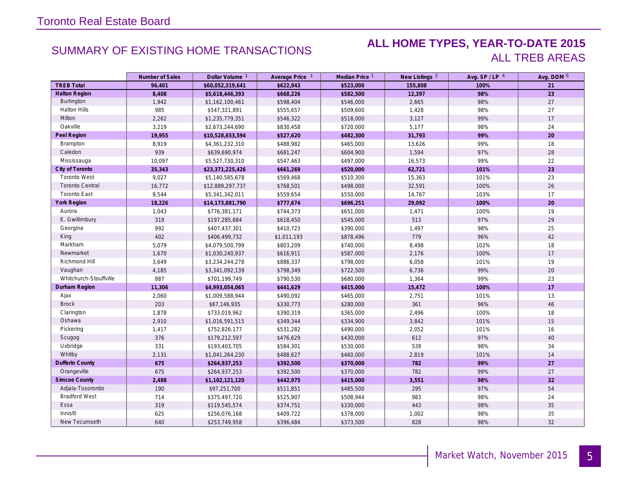### SUMMARY OF EXISTING HOME TRANSACTIONS **ALL HOME TYPES, YEAR-TO-DATE 2015** ALL TREB AREAS

|                        | Number of Sales | Dollar Volume <sup>1</sup> | Average Price 1 | Median Price 1 | New Listings <sup>2</sup> | Avg. SP / LP 4 | Avg. DOM 5 |
|------------------------|-----------------|----------------------------|-----------------|----------------|---------------------------|----------------|------------|
| <b>TREB Total</b>      | 96,401          | \$60,052,319,641           | \$622,943       | \$523,000      | 155,808                   | 100%           | 21         |
| <b>Halton Region</b>   | 8,408           | \$5,618,446,393            | \$668,226       | \$582,500      | 12,397                    | 98%            | 23         |
| Burlington             | 1,942           | \$1,162,100,461            | \$598,404       | \$546,000      | 2,665                     | 98%            | 27         |
| <b>Halton Hills</b>    | 985             | \$547,321,891              | \$555,657       | \$509,600      | 1,428                     | 98%            | 27         |
| Milton                 | 2,262           | \$1,235,779,351            | \$546,322       | \$518,000      | 3,127                     | 99%            | 17         |
| Oakville               | 3,219           | \$2,673,244,690            | \$830,458       | \$720,000      | 5,177                     | 98%            | 24         |
| Peel Region            | 19,955          | \$10,528,653,594           | \$527,620       | \$482,300      | 31,793                    | 99%            | 20         |
| Brampton               | 8,919           | \$4,361,232,310            | \$488,982       | \$465,000      | 13,626                    | 99%            | 18         |
| Caledon                | 939             | \$639,690,974              | \$681,247       | \$604,900      | 1,594                     | 97%            | 28         |
| Mississauga            | 10,097          | \$5,527,730,310            | \$547,463       | \$497,000      | 16,573                    | 99%            | 22         |
| City of Toronto        | 35,343          | \$23,371,225,426           | \$661,269       | \$520,000      | 62,721                    | 101%           | 23         |
| <b>Toronto West</b>    | 9,027           | \$5,140,585,678            | \$569,468       | \$510,300      | 15,363                    | 101%           | 23         |
| <b>Toronto Central</b> | 16,772          | \$12,889,297,737           | \$768,501       | \$498,000      | 32,591                    | 100%           | 26         |
| <b>Toronto East</b>    | 9,544           | \$5,341,342,011            | \$559,654       | \$550,000      | 14,767                    | 103%           | 17         |
| York Region            | 18,226          | \$14,173,881,790           | \$777,674       | \$696,251      | 29,092                    | 100%           | 20         |
| Aurora                 | 1,043           | \$776,381,171              | \$744,373       | \$651,000      | 1,471                     | 100%           | 19         |
| E. Gwillimbury         | 319             | \$197,285,684              | \$618,450       | \$545,000      | 513                       | 97%            | 29         |
| Georgina               | 992             | \$407,437,301              | \$410,723       | \$390,000      | 1,497                     | 98%            | 25         |
| King                   | 402             | \$406,499,732              | \$1,011,193     | \$878,496      | 779                       | 96%            | 42         |
| Markham                | 5,079           | \$4,079,500,799            | \$803,209       | \$740,000      | 8,498                     | 102%           | 18         |
| Newmarket              | 1,670           | \$1,030,240,937            | \$616,911       | \$587,000      | 2,176                     | 100%           | 17         |
| Richmond Hill          | 3,649           | \$3,234,244,278            | \$886,337       | \$798,000      | 6,058                     | 101%           | 19         |
| Vaughan                | 4,185           | \$3,341,092,139            | \$798,349       | \$722,500      | 6,736                     | 99%            | 20         |
| Whitchurch-Stouffville | 887             | \$701,199,749              | \$790,530       | \$680,000      | 1,364                     | 99%            | 23         |
| Durham Region          | 11,306          | \$4,993,054,065            | \$441,629       | \$415,000      | 15,472                    | 100%           | 17         |
| Ajax                   | 2,060           | \$1,009,588,944            | \$490,092       | \$465,000      | 2,751                     | 101%           | 13         |
| <b>Brock</b>           | 203             | \$67,146,935               | \$330,773       | \$280,000      | 361                       | 96%            | 46         |
| Clarington             | 1,878           | \$733,019,962              | \$390,319       | \$365,000      | 2,496                     | 100%           | 18         |
| Oshawa                 | 2,910           | \$1,016,591,515            | \$349,344       | \$334,900      | 3,842                     | 101%           | 15         |
| Pickering              | 1,417           | \$752,826,177              | \$531,282       | \$490,000      | 2,052                     | 101%           | 16         |
| Scugog                 | 376             | \$179,212,597              | \$476,629       | \$430,000      | 612                       | 97%            | 40         |
| Uxbridge               | 331             | \$193,403,705              | \$584,301       | \$530,000      | 539                       | 98%            | 34         |
| Whitby                 | 2,131           | \$1,041,264,230            | \$488,627       | \$460,000      | 2,819                     | 101%           | 14         |
| <b>Dufferin County</b> | 675             | \$264,937,253              | \$392,500       | \$370,000      | 782                       | 99%            | 27         |
| Orangeville            | 675             | \$264,937,253              | \$392,500       | \$370,000      | 782                       | 99%            | 27         |
| <b>Simcoe County</b>   | 2,488           | \$1,102,121,120            | \$442,975       | \$415,000      | 3,551                     | 98%            | 32         |
| Adjala-Tosorontio      | 190             | \$97,251,700               | \$511,851       | \$485,500      | 295                       | 97%            | 54         |
| <b>Bradford West</b>   | 714             | \$375,497,720              | \$525,907       | \$508,944      | 983                       | 98%            | 24         |
| Essa                   | 319             | \$119,545,574              | \$374,751       | \$330,000      | 443                       | 98%            | 35         |
| Innisfil               | 625             | \$256,076,168              | \$409,722       | \$378,000      | 1,002                     | 98%            | 35         |
| New Tecumseth          | 640             | \$253,749,958              | \$396,484       | \$373,500      | 828                       | 98%            | 32         |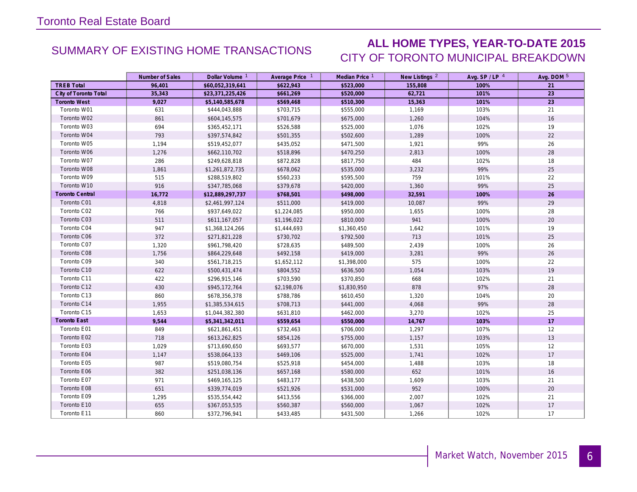## SUMMARY OF EXISTING HOME TRANSACTIONS **ALL HOME TYPES, YEAR-TO-DATE 2015** CITY OF TORONTO MUNICIPAL BREAKDOWN

|                        | Number of Sales | Dollar Volume <sup>1</sup> | Average Price 1 | Median Price 1 | New Listings <sup>2</sup> | Avg. SP/LP 4 | Avg. DOM 5 |
|------------------------|-----------------|----------------------------|-----------------|----------------|---------------------------|--------------|------------|
| <b>TREB Total</b>      | 96,401          | \$60,052,319,641           | \$622,943       | \$523,000      | 155,808                   | 100%         | 21         |
| City of Toronto Total  | 35,343          | \$23,371,225,426           | \$661,269       | \$520,000      | 62,721                    | 101%         | 23         |
| <b>Toronto West</b>    | 9,027           | \$5,140,585,678            | \$569,468       | \$510,300      | 15,363                    | 101%         | 23         |
| Toronto W01            | 631             | \$444,043,888              | \$703,715       | \$555,000      | 1,169                     | 103%         | 21         |
| Toronto W02            | 861             | \$604,145,575              | \$701,679       | \$675,000      | 1,260                     | 104%         | 16         |
| Toronto W03            | 694             | \$365,452,171              | \$526,588       | \$525,000      | 1,076                     | 102%         | 19         |
| Toronto W04            | 793             | \$397,574,842              | \$501,355       | \$502,600      | 1,289                     | 100%         | 22         |
| Toronto W05            | 1,194           | \$519,452,077              | \$435,052       | \$471,500      | 1,921                     | 99%          | 26         |
| Toronto W06            | 1,276           | \$662,110,702              | \$518,896       | \$470,250      | 2,813                     | 100%         | 28         |
| Toronto W07            | 286             | \$249,628,818              | \$872,828       | \$817,750      | 484                       | 102%         | 18         |
| Toronto W08            | 1,861           | \$1,261,872,735            | \$678,062       | \$535,000      | 3,232                     | 99%          | 25         |
| Toronto W09            | 515             | \$288,519,802              | \$560,233       | \$595,500      | 759                       | 101%         | 22         |
| Toronto W10            | 916             | \$347,785,068              | \$379,678       | \$420,000      | 1,360                     | 99%          | 25         |
| <b>Toronto Central</b> | 16,772          | \$12,889,297,737           | \$768,501       | \$498,000      | 32,591                    | 100%         | 26         |
| Toronto C01            | 4,818           | \$2,461,997,124            | \$511,000       | \$419,000      | 10,087                    | 99%          | 29         |
| Toronto C02            | 766             | \$937,649,022              | \$1,224,085     | \$950,000      | 1,655                     | 100%         | 28         |
| Toronto C03            | 511             | \$611,167,057              | \$1,196,022     | \$810,000      | 941                       | 100%         | 20         |
| Toronto C04            | 947             | \$1,368,124,266            | \$1,444,693     | \$1,360,450    | 1,642                     | 101%         | 19         |
| Toronto C06            | 372             | \$271,821,228              | \$730,702       | \$792,500      | 713                       | 101%         | 25         |
| Toronto C07            | 1,320           | \$961,798,420              | \$728,635       | \$489,500      | 2,439                     | 100%         | 26         |
| Toronto C08            | 1,756           | \$864,229,648              | \$492,158       | \$419,000      | 3,281                     | 99%          | 26         |
| Toronto C09            | 340             | \$561,718,215              | \$1,652,112     | \$1,398,000    | 575                       | 100%         | 22         |
| Toronto C10            | 622             | \$500,431,474              | \$804,552       | \$636,500      | 1,054                     | 103%         | 19         |
| Toronto C11            | 422             | \$296,915,146              | \$703,590       | \$370,850      | 668                       | 102%         | 21         |
| Toronto C12            | 430             | \$945,172,764              | \$2,198,076     | \$1,830,950    | 878                       | 97%          | 28         |
| Toronto C13            | 860             | \$678,356,378              | \$788,786       | \$610,450      | 1,320                     | 104%         | 20         |
| Toronto C14            | 1,955           | \$1,385,534,615            | \$708,713       | \$441,000      | 4,068                     | 99%          | 28         |
| Toronto C15            | 1,653           | \$1,044,382,380            | \$631,810       | \$462,000      | 3,270                     | 102%         | 25         |
| <b>Toronto East</b>    | 9,544           | \$5,341,342,011            | \$559,654       | \$550,000      | 14,767                    | 103%         | 17         |
| Toronto E01            | 849             | \$621,861,451              | \$732,463       | \$706,000      | 1,297                     | 107%         | 12         |
| Toronto E02            | 718             | \$613,262,825              | \$854,126       | \$755,000      | 1,157                     | 103%         | 13         |
| Toronto E03            | 1,029           | \$713,690,650              | \$693,577       | \$670,000      | 1,531                     | 105%         | 12         |
| Toronto E04            | 1,147           | \$538,064,133              | \$469,106       | \$525,000      | 1,741                     | 102%         | 17         |
| Toronto E05            | 987             | \$519,080,754              | \$525,918       | \$454,000      | 1,488                     | 103%         | 18         |
| Toronto E06            | 382             | \$251,038,136              | \$657,168       | \$580,000      | 652                       | 101%         | 16         |
| Toronto E07            | 971             | \$469,165,125              | \$483,177       | \$438,500      | 1,609                     | 103%         | 21         |
| Toronto E08            | 651             | \$339,774,019              | \$521,926       | \$531,000      | 952                       | 100%         | $20\,$     |
| Toronto E09            | 1,295           | \$535,554,442              | \$413,556       | \$366,000      | 2,007                     | 102%         | 21         |
| Toronto E10            | 655             | \$367,053,535              | \$560,387       | \$560,000      | 1,067                     | 102%         | 17         |
| Toronto E11            | 860             | \$372,796,941              | \$433,485       | \$431,500      | 1,266                     | 102%         | 17         |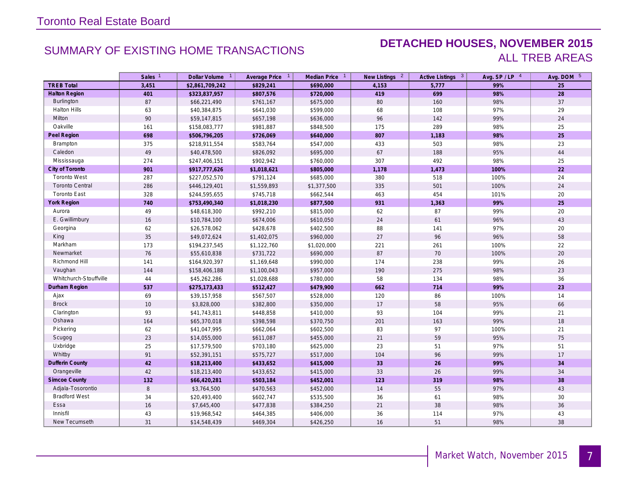### SUMMARY OF EXISTING HOME TRANSACTIONS **DETACHED HOUSES, NOVEMBER 2015** ALL TREB AREAS

|                        | Sales <sup>1</sup> | Dollar Volume 1 | Average Price 1 | Median Price 1 | New Listings <sup>2</sup> | Active Listings 3 | Avg. SP/LP 4 | Avg. DOM 5 |
|------------------------|--------------------|-----------------|-----------------|----------------|---------------------------|-------------------|--------------|------------|
| <b>TREB Total</b>      | 3,451              | \$2,861,709,242 | \$829,241       | \$690,000      | 4,153                     | 5,777             | 99%          | 25         |
| <b>Halton Region</b>   | 401                | \$323,837,957   | \$807,576       | \$720,000      | 419                       | 699               | 98%          | 28         |
| <b>Burlington</b>      | 87                 | \$66,221,490    | \$761,167       | \$675,000      | 80                        | 160               | 98%          | 37         |
| <b>Halton Hills</b>    | 63                 | \$40,384,875    | \$641,030       | \$599,000      | 68                        | 108               | 97%          | 29         |
| Milton                 | 90                 | \$59,147,815    | \$657,198       | \$636,000      | 96                        | 142               | 99%          | 24         |
| Oakville               | 161                | \$158,083,777   | \$981,887       | \$848,500      | 175                       | 289               | 98%          | 25         |
| Peel Region            | 698                | \$506,796,205   | \$726,069       | \$640,000      | 807                       | 1,183             | 98%          | 25         |
| Brampton               | 375                | \$218,911,554   | \$583,764       | \$547,000      | 433                       | 503               | 98%          | 23         |
| Caledon                | 49                 | \$40,478,500    | \$826,092       | \$695,000      | 67                        | 188               | 95%          | 44         |
| Mississauga            | 274                | \$247,406,151   | \$902,942       | \$760,000      | 307                       | 492               | 98%          | 25         |
| City of Toronto        | 901                | \$917,777,626   | \$1,018,621     | \$805,000      | 1,178                     | 1,473             | 100%         | 22         |
| <b>Toronto West</b>    | 287                | \$227,052,570   | \$791,124       | \$685,000      | 380                       | 518               | 100%         | 24         |
| <b>Toronto Central</b> | 286                | \$446,129,401   | \$1,559,893     | \$1,377,500    | 335                       | 501               | 100%         | 24         |
| <b>Toronto East</b>    | 328                | \$244,595,655   | \$745,718       | \$662,544      | 463                       | 454               | 101%         | 20         |
| <b>York Region</b>     | 740                | \$753,490,340   | \$1,018,230     | \$877,500      | 931                       | 1,363             | 99%          | 25         |
| Aurora                 | 49                 | \$48,618,300    | \$992,210       | \$815,000      | 62                        | 87                | 99%          | 20         |
| E. Gwillimbury         | 16                 | \$10,784,100    | \$674,006       | \$610,050      | 24                        | 61                | 96%          | 43         |
| Georgina               | 62                 | \$26,578,062    | \$428,678       | \$402,500      | 88                        | 141               | 97%          | 20         |
| King                   | 35                 | \$49,072,624    | \$1,402,075     | \$960,000      | 27                        | 96                | 96%          | 58         |
| Markham                | 173                | \$194,237,545   | \$1,122,760     | \$1,020,000    | 221                       | 261               | 100%         | 22         |
| Newmarket              | 76                 | \$55,610,838    | \$731,722       | \$690,000      | 87                        | 70                | 100%         | $20\,$     |
| Richmond Hill          | 141                | \$164,920,397   | \$1,169,648     | \$990,000      | 174                       | 238               | 99%          | $26\,$     |
| Vaughan                | 144                | \$158,406,188   | \$1,100,043     | \$957,000      | 190                       | 275               | 98%          | 23         |
| Whitchurch-Stouffville | 44                 | \$45,262,286    | \$1,028,688     | \$780,000      | 58                        | 134               | 98%          | 36         |
| Durham Region          | 537                | \$275,173,433   | \$512,427       | \$479,900      | 662                       | 714               | 99%          | 23         |
| Ajax                   | 69                 | \$39,157,958    | \$567,507       | \$528,000      | 120                       | 86                | 100%         | 14         |
| <b>Brock</b>           | 10                 | \$3,828,000     | \$382,800       | \$350,000      | 17                        | 58                | 95%          | 66         |
| Clarington             | 93                 | \$41,743,811    | \$448,858       | \$410,000      | 93                        | 104               | 99%          | 21         |
| Oshawa                 | 164                | \$65,370,018    | \$398,598       | \$370,750      | 201                       | 163               | 99%          | 18         |
| Pickering              | 62                 | \$41,047,995    | \$662,064       | \$602,500      | 83                        | 97                | 100%         | 21         |
| Scugog                 | 23                 | \$14,055,000    | \$611,087       | \$455,000      | 21                        | 59                | 95%          | 75         |
| Uxbridge               | 25                 | \$17,579,500    | \$703,180       | \$625,000      | 23                        | 51                | 97%          | 51         |
| Whitby                 | 91                 | \$52,391,151    | \$575,727       | \$517,000      | 104                       | 96                | 99%          | 17         |
| <b>Dufferin County</b> | 42                 | \$18,213,400    | \$433,652       | \$415,000      | 33                        | 26                | 99%          | 34         |
| Orangeville            | 42                 | \$18,213,400    | \$433,652       | \$415,000      | 33                        | 26                | 99%          | 34         |
| <b>Simcoe County</b>   | 132                | \$66,420,281    | \$503,184       | \$452,001      | 123                       | 319               | 98%          | 38         |
| Adjala-Tosorontio      | $\,8\,$            | \$3,764,500     | \$470,563       | \$452,000      | $14$                      | 55                | 97%          | 43         |
| <b>Bradford West</b>   | 34                 | \$20,493,400    | \$602,747       | \$535,500      | 36                        | 61                | 98%          | 30         |
| Essa                   | 16                 | \$7,645,400     | \$477,838       | \$384,250      | 21                        | 38                | 98%          | 36         |
| Innisfil               | 43                 | \$19,968,542    | \$464,385       | \$406,000      | 36                        | 114               | 97%          | 43         |
| New Tecumseth          | 31                 | \$14,548,439    | \$469,304       | \$426,250      | 16                        | 51                | 98%          | 38         |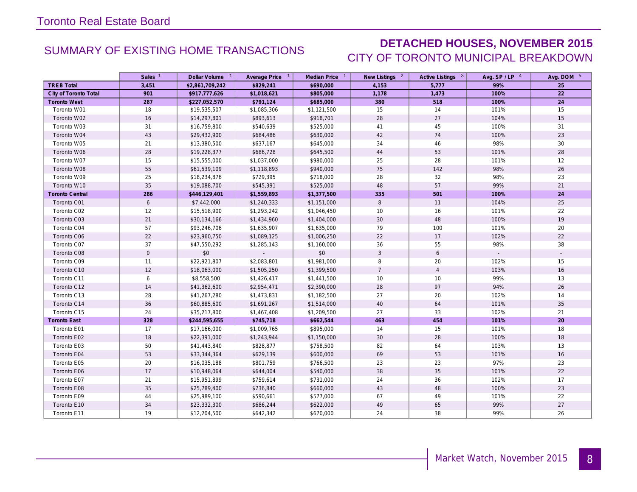### SUMMARY OF EXISTING HOME TRANSACTIONS **DETACHED HOUSES, NOVEMBER 2015** CITY OF TORONTO MUNICIPAL BREAKDOWN

|                       | Sales <sup>1</sup> | Dollar Volume 1 | Average Price 1 | Median Price 1 | New Listings 2 | Active Listings 3 | Avg. $SP / LP$ <sup>4</sup> | Avg. DOM 5 |
|-----------------------|--------------------|-----------------|-----------------|----------------|----------------|-------------------|-----------------------------|------------|
| <b>TREB Total</b>     | 3,451              | \$2,861,709,242 | \$829,241       | \$690,000      | 4,153          | 5,777             | 99%                         | 25         |
| City of Toronto Total | 901                | \$917,777,626   | \$1,018,621     | \$805,000      | 1,178          | 1,473             | 100%                        | 22         |
| <b>Toronto West</b>   | 287                | \$227,052,570   | \$791,124       | \$685,000      | 380            | 518               | 100%                        | 24         |
| Toronto W01           | 18                 | \$19,535,507    | \$1,085,306     | \$1,121,500    | 15             | 14                | 101%                        | 15         |
| Toronto W02           | 16                 | \$14,297,801    | \$893,613       | \$918,701      | 28             | 27                | 104%                        | 15         |
| Toronto W03           | 31                 | \$16,759,800    | \$540,639       | \$525,000      | 41             | 45                | 100%                        | 31         |
| Toronto W04           | 43                 | \$29,432,900    | \$684,486       | \$630,000      | 42             | 74                | 100%                        | 23         |
| Toronto W05           | 21                 | \$13,380,500    | \$637,167       | \$645,000      | 34             | 46                | 98%                         | 30         |
| Toronto W06           | 28                 | \$19,228,377    | \$686,728       | \$645,500      | 44             | 53                | 101%                        | 28         |
| Toronto W07           | 15                 | \$15,555,000    | \$1,037,000     | \$980,000      | 25             | 28                | 101%                        | 12         |
| Toronto W08           | 55                 | \$61,539,109    | \$1,118,893     | \$940,000      | 75             | 142               | 98%                         | 26         |
| Toronto W09           | 25                 | \$18,234,876    | \$729,395       | \$718,000      | 28             | 32                | 98%                         | 23         |
| Toronto W10           | 35                 | \$19,088,700    | \$545,391       | \$525,000      | 48             | 57                | 99%                         | 21         |
| Toronto Central       | 286                | \$446,129,401   | \$1,559,893     | \$1,377,500    | 335            | 501               | 100%                        | 24         |
| Toronto C01           | $6\phantom{.}6$    | \$7,442,000     | \$1,240,333     | \$1,151,000    | $\,8\,$        | 11                | 104%                        | 25         |
| Toronto C02           | 12                 | \$15,518,900    | \$1,293,242     | \$1,046,450    | 10             | 16                | 101%                        | 22         |
| Toronto C03           | 21                 | \$30,134,166    | \$1,434,960     | \$1,404,000    | 30             | 48                | 100%                        | 19         |
| Toronto C04           | 57                 | \$93,246,706    | \$1,635,907     | \$1,635,000    | 79             | 100               | 101%                        | 20         |
| Toronto C06           | 22                 | \$23,960,750    | \$1,089,125     | \$1,006,250    | 22             | 17                | 102%                        | 22         |
| Toronto C07           | 37                 | \$47,550,292    | \$1,285,143     | \$1,160,000    | 36             | 55                | 98%                         | 38         |
| Toronto C08           | $\mathbf 0$        | \$0             |                 | \$0            | 3              | 6                 |                             | $\sim$     |
| Toronto C09           | 11                 | \$22,921,807    | \$2,083,801     | \$1,981,000    | 8              | 20                | 102%                        | 15         |
| Toronto C10           | 12                 | \$18,063,000    | \$1,505,250     | \$1,399,500    | $\overline{7}$ | $\overline{4}$    | 103%                        | 16         |
| Toronto C11           | 6                  | \$8,558,500     | \$1,426,417     | \$1,441,500    | 10             | 10                | 99%                         | 13         |
| Toronto C12           | 14                 | \$41,362,600    | \$2,954,471     | \$2,390,000    | 28             | 97                | 94%                         | $26\,$     |
| Toronto C13           | 28                 | \$41,267,280    | \$1,473,831     | \$1,182,500    | 27             | 20                | 102%                        | 14         |
| Toronto C14           | 36                 | \$60,885,600    | \$1,691,267     | \$1,514,000    | 40             | 64                | 101%                        | 35         |
| Toronto C15           | 24                 | \$35,217,800    | \$1,467,408     | \$1,209,500    | 27             | 33                | 102%                        | 21         |
| <b>Toronto East</b>   | 328                | \$244,595,655   | \$745,718       | \$662,544      | 463            | 454               | 101%                        | 20         |
| Toronto E01           | 17                 | \$17,166,000    | \$1,009,765     | \$895,000      | 14             | 15                | 101%                        | 18         |
| Toronto E02           | 18                 | \$22,391,000    | \$1,243,944     | \$1,150,000    | 30             | 28                | 100%                        | 18         |
| Toronto E03           | 50                 | \$41,443,840    | \$828,877       | \$758,500      | 82             | 64                | 103%                        | 13         |
| Toronto E04           | 53                 | \$33,344,364    | \$629,139       | \$600,000      | 69             | 53                | 101%                        | 16         |
| Toronto E05           | 20                 | \$16,035,188    | \$801,759       | \$766,500      | 23             | 23                | 97%                         | 23         |
| Toronto E06           | 17                 | \$10,948,064    | \$644,004       | \$540,000      | 38             | 35                | 101%                        | 22         |
| Toronto E07           | 21                 | \$15,951,899    | \$759,614       | \$731,000      | 24             | 36                | 102%                        | 17         |
| Toronto E08           | 35                 | \$25,789,400    | \$736,840       | \$660,000      | 43             | 48                | 100%                        | $23\,$     |
| Toronto E09           | 44                 | \$25,989,100    | \$590,661       | \$577,000      | 67             | 49                | 101%                        | 22         |
| Toronto E10           | 34                 | \$23,332,300    | \$686,244       | \$622,000      | 49             | 65                | 99%                         | $27\,$     |
| Toronto E11           | 19                 | \$12,204,500    | \$642,342       | \$670,000      | 24             | 38                | 99%                         | 26         |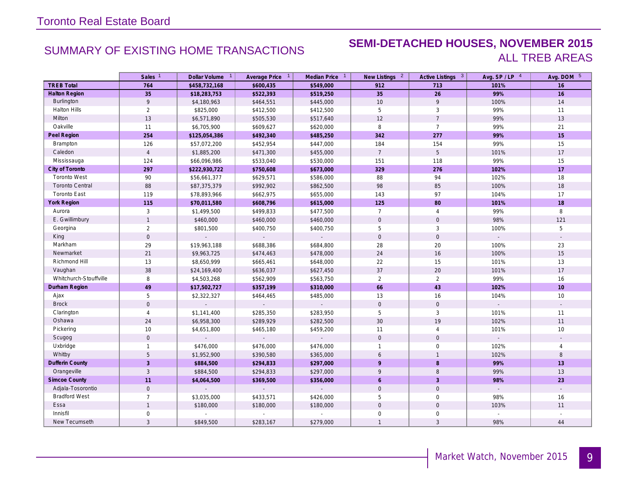### SUMMARY OF EXISTING HOME TRANSACTIONS **SEMI-DETACHED HOUSES, NOVEMBER 2015** ALL TREB AREAS

|                        | Sales <sup>1</sup>  | Dollar Volume 1 | Average Price 1             | Median Price 1              | New Listings <sup>2</sup> | Active Listings 3 | Avg. $SP / LP$ <sup>4</sup> | Avg. DOM 5               |
|------------------------|---------------------|-----------------|-----------------------------|-----------------------------|---------------------------|-------------------|-----------------------------|--------------------------|
| <b>TREB Total</b>      | 764                 | \$458,732,168   | \$600,435                   | \$549,000                   | 912                       | 713               | 101%                        | 16                       |
| <b>Halton Region</b>   | 35                  | \$18,283,753    | \$522,393                   | \$519,250                   | 35                        | 26                | 99%                         | 16                       |
| Burlington             | 9                   | \$4,180,963     | \$464,551                   | \$445,000                   | 10                        | 9                 | 100%                        | 14                       |
| <b>Halton Hills</b>    | $\overline{2}$      | \$825,000       | \$412,500                   | \$412,500                   | 5                         | 3                 | 99%                         | 11                       |
| Milton                 | 13                  | \$6,571,890     | \$505,530                   | \$517,640                   | 12                        | $\overline{7}$    | 99%                         | 13                       |
| Oakville               | 11                  | \$6,705,900     | \$609,627                   | \$620,000                   | 8                         | $\overline{7}$    | 99%                         | 21                       |
| Peel Region            | 254                 | \$125,054,386   | \$492,340                   | \$485,250                   | 342                       | 277               | 99%                         | 15                       |
| Brampton               | 126                 | \$57,072,200    | \$452,954                   | \$447,000                   | 184                       | 154               | 99%                         | 15                       |
| Caledon                | $\overline{4}$      | \$1,885,200     | \$471,300                   | \$455,000                   | $\overline{7}$            | 5                 | 101%                        | 17                       |
| Mississauga            | 124                 | \$66,096,986    | \$533,040                   | \$530,000                   | 151                       | 118               | 99%                         | 15                       |
| City of Toronto        | 297                 | \$222,930,722   | \$750,608                   | \$673,000                   | 329                       | 276               | 102%                        | 17                       |
| <b>Toronto West</b>    | 90                  | \$56,661,377    | \$629,571                   | \$586,000                   | 88                        | 94                | 102%                        | 18                       |
| <b>Toronto Central</b> | 88                  | \$87,375,379    | \$992,902                   | \$862,500                   | 98                        | 85                | 100%                        | 18                       |
| <b>Toronto East</b>    | 119                 | \$78,893,966    | \$662,975                   | \$655,000                   | 143                       | 97                | 104%                        | 17                       |
| <b>York Region</b>     | 115                 | \$70,011,580    | \$608,796                   | \$615,000                   | 125                       | 80                | 101%                        | 18                       |
| Aurora                 | $\mathbf{3}$        | \$1,499,500     | \$499,833                   | \$477,500                   | $\overline{7}$            | $\overline{4}$    | 99%                         | 8                        |
| E. Gwillimbury         | $\mathbf{1}$        | \$460,000       | \$460,000                   | \$460,000                   | $\mathbf{0}$              | $\mathbf 0$       | 98%                         | 121                      |
| Georgina               | $\overline{2}$      | \$801,500       | \$400,750                   | \$400,750                   | 5                         | 3                 | 100%                        | 5                        |
| King                   | $\mathsf{O}\xspace$ | $\overline{a}$  | $\mathcal{L}^{\mathcal{A}}$ | ÷.                          | $\mathbf 0$               | $\mathbf 0$       | $\mathcal{L}^{\pm}$         | $\mathcal{L}$            |
| Markham                | 29                  | \$19,963,188    | \$688,386                   | \$684,800                   | 28                        | 20                | 100%                        | 23                       |
| Newmarket              | 21                  | \$9,963,725     | \$474,463                   | \$478,000                   | 24                        | 16                | 100%                        | 15                       |
| Richmond Hill          | 13                  | \$8,650,999     | \$665,461                   | \$648,000                   | 22                        | 15                | 101%                        | 13                       |
| Vaughan                | 38                  | \$24,169,400    | \$636,037                   | \$627,450                   | 37                        | 20                | 101%                        | 17                       |
| Whitchurch-Stouffville | 8                   | \$4,503,268     | \$562,909                   | \$563,750                   | 2                         | 2                 | 99%                         | 16                       |
| Durham Region          | 49                  | \$17,502,727    | \$357,199                   | \$310,000                   | 66                        | 43                | 102%                        | 10 <sup>°</sup>          |
| Ajax                   | 5                   | \$2,322,327     | \$464,465                   | \$485,000                   | 13                        | 16                | 104%                        | 10                       |
| <b>Brock</b>           | $\mathbf 0$         | $\sim$          | $\sim$                      | $\sim$                      | $\mathsf{O}\xspace$       | $\mathsf{O}$      | $\sim$                      | $\overline{\phantom{a}}$ |
| Clarington             | $\overline{4}$      | \$1,141,400     | \$285,350                   | \$283,950                   | 5                         | $\mathbf{3}$      | 101%                        | 11                       |
| Oshawa                 | 24                  | \$6,958,300     | \$289,929                   | \$282,500                   | 30                        | 19                | 102%                        | 11                       |
| Pickering              | $10$                | \$4,651,800     | \$465,180                   | \$459,200                   | 11                        | $\overline{4}$    | 101%                        | 10                       |
| Scugog                 | $\mathbf 0$         |                 |                             |                             | $\mathbf{0}$              | $\mathbf{0}$      |                             | $\sim$                   |
| Uxbridge               | $\mathbf{1}$        | \$476,000       | \$476,000                   | \$476,000                   |                           | $\mathbf 0$       | 102%                        | $\overline{4}$           |
| Whitby                 | 5                   | \$1,952,900     | \$390,580                   | \$365,000                   | 6                         | $\overline{1}$    | 102%                        | 8                        |
| <b>Dufferin County</b> | $\overline{3}$      | \$884,500       | \$294,833                   | \$297,000                   | $\mathsf{q}$              | 8                 | 99%                         | 13                       |
| Orangeville            | 3                   | \$884,500       | \$294,833                   | \$297,000                   | 9                         | 8                 | 99%                         | 13                       |
| <b>Simcoe County</b>   | 11                  | \$4,064,500     | \$369,500                   | \$356,000                   | 6                         | $\overline{3}$    | 98%                         | 23                       |
| Adjala-Tosorontio      | $\mathsf{O}\xspace$ | $\overline{a}$  |                             | $\mathcal{L}^{\mathcal{A}}$ | $\mathsf{O}\xspace$       | $\mathbf 0$       |                             |                          |
| <b>Bradford West</b>   | $\overline{7}$      | \$3,035,000     | \$433,571                   | \$426,000                   | 5                         | $\mathbf 0$       | 98%                         | 16                       |
| Essa                   | $\mathbf{1}$        | \$180,000       | \$180,000                   | \$180,000                   | $\mathbf 0$               | $\mathbf{0}$      | 103%                        | 11                       |
| Innisfil               | $\mathbf 0$         |                 |                             |                             | $\mathbf 0$               | $\mathbf 0$       |                             |                          |
| New Tecumseth          | $\overline{3}$      | \$849,500       | \$283,167                   | \$279,000                   | $\mathbf{1}$              | $\mathbf{3}$      | 98%                         | 44                       |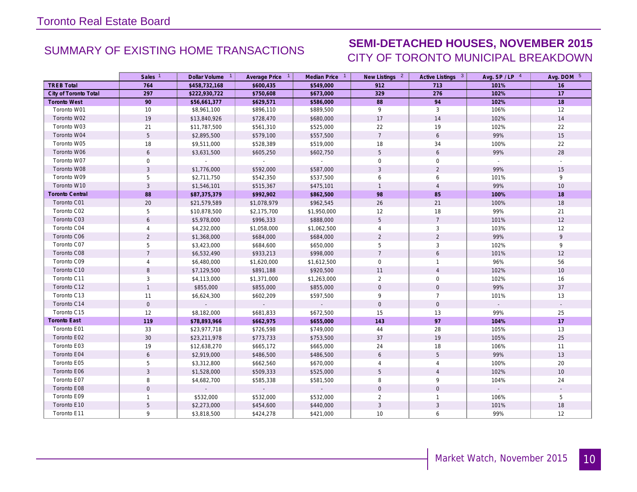## SUMMARY OF EXISTING HOME TRANSACTIONS **SEMI-DETACHED HOUSES, NOVEMBER 2015** CITY OF TORONTO MUNICIPAL BREAKDOWN

|                       | Sales <sup>1</sup> | Dollar Volume 1 | Average Price 1 | Median Price 1              | New Listings 2  | Active Listings 3 | Avg. $SP / LP$ <sup>4</sup> | Avg. DOM 5               |
|-----------------------|--------------------|-----------------|-----------------|-----------------------------|-----------------|-------------------|-----------------------------|--------------------------|
| <b>TREB Total</b>     | 764                | \$458,732,168   | \$600,435       | \$549,000                   | 912             | 713               | 101%                        | 16                       |
| City of Toronto Total | 297                | \$222,930,722   | \$750,608       | \$673,000                   | 329             | 276               | 102%                        | 17                       |
| <b>Toronto West</b>   | 90                 | \$56,661,377    | \$629,571       | \$586,000                   | 88              | 94                | 102%                        | 18                       |
| Toronto W01           | 10                 | \$8,961,100     | \$896,110       | \$889,500                   | 9               | 3                 | 106%                        | 12                       |
| Toronto W02           | 19                 | \$13,840,926    | \$728,470       | \$680,000                   | 17              | 14                | 102%                        | 14                       |
| Toronto W03           | 21                 | \$11,787,500    | \$561,310       | \$525,000                   | 22              | 19                | 102%                        | 22                       |
| Toronto W04           | $5\phantom{.0}$    | \$2,895,500     | \$579,100       | \$557,500                   | $7\overline{ }$ | $\epsilon$        | 99%                         | 15                       |
| Toronto W05           | 18                 | \$9,511,000     | \$528,389       | \$519,000                   | 18              | 34                | 100%                        | 22                       |
| Toronto W06           | 6                  | \$3,631,500     | \$605,250       | \$602,750                   | 5               | 6                 | 99%                         | 28                       |
| Toronto W07           | $\mathsf{O}$       |                 | $\sim$          | $\sim$                      | $\mathbf 0$     | $\mathbf 0$       |                             | $\mathbb{Z}^2$           |
| Toronto W08           | $\mathbf{3}$       | \$1,776,000     | \$592,000       | \$587,000                   | 3               | $\overline{2}$    | 99%                         | 15                       |
| Toronto W09           | 5                  | \$2,711,750     | \$542,350       | \$537,500                   | 6               | 6                 | 101%                        | 9                        |
| Toronto W10           | 3                  | \$1,546,101     | \$515,367       | \$475,101                   | $\overline{1}$  | $\overline{4}$    | 99%                         | 10                       |
| Toronto Central       | 88                 | \$87,375,379    | \$992,902       | \$862,500                   | 98              | 85                | 100%                        | 18                       |
| Toronto C01           | 20                 | \$21,579,589    | \$1,078,979     | \$962,545                   | 26              | 21                | 100%                        | 18                       |
| Toronto C02           | 5                  | \$10,878,500    | \$2,175,700     | \$1,950,000                 | 12              | 18                | 99%                         | 21                       |
| Toronto C03           | 6                  | \$5,978,000     | \$996,333       | \$888,000                   | 5               | $\overline{7}$    | 101%                        | 12                       |
| Toronto C04           | 4                  | \$4,232,000     | \$1,058,000     | \$1,062,500                 | 4               | 3                 | 103%                        | 12                       |
| Toronto C06           | 2                  | \$1,368,000     | \$684,000       | \$684,000                   | 2               | $\overline{2}$    | 99%                         | 9                        |
| Toronto C07           | 5                  | \$3,423,000     | \$684,600       | \$650,000                   | 5               | $\mathbf{3}$      | 102%                        | 9                        |
| Toronto C08           | $\overline{7}$     | \$6,532,490     | \$933,213       | \$998,000                   | $\overline{7}$  | 6                 | 101%                        | 12                       |
| Toronto C09           | $\overline{4}$     | \$6,480,000     | \$1,620,000     | \$1,612,500                 | $\mathbf 0$     | $\mathbf{1}$      | 96%                         | 56                       |
| Toronto C10           | 8                  | \$7,129,500     | \$891,188       | \$920,500                   | 11              | $\overline{4}$    | 102%                        | 10                       |
| Toronto C11           | 3                  | \$4,113,000     | \$1,371,000     | \$1,263,000                 | $\overline{2}$  | $\mathbf 0$       | 102%                        | 16                       |
| Toronto C12           | $\mathbf{1}$       | \$855,000       | \$855,000       | \$855,000                   | $\mathbf 0$     | $\mathbf 0$       | 99%                         | 37                       |
| Toronto C13           | 11                 | \$6,624,300     | \$602,209       | \$597,500                   | 9               | $\overline{7}$    | 101%                        | 13                       |
| Toronto C14           | $\mathbf 0$        |                 |                 | $\mathcal{L}_{\mathcal{A}}$ | $\mathbf 0$     | $\mathsf{O}$      |                             |                          |
| Toronto C15           | 12                 | \$8,182,000     | \$681,833       | \$672,500                   | 15              | 13                | 99%                         | 25                       |
| <b>Toronto East</b>   | 119                | \$78,893,966    | \$662,975       | \$655,000                   | 143             | 97                | 104%                        | 17                       |
| Toronto E01           | 33                 | \$23,977,718    | \$726,598       | \$749,000                   | 44              | 28                | 105%                        | 13                       |
| Toronto E02           | 30                 | \$23,211,978    | \$773,733       | \$753,500                   | 37              | 19                | 105%                        | 25                       |
| Toronto E03           | 19                 | \$12,638,270    | \$665,172       | \$665,000                   | 24              | 18                | 106%                        | 11                       |
| Toronto E04           | 6                  | \$2,919,000     | \$486,500       | \$486,500                   | 6               | 5                 | 99%                         | 13                       |
| Toronto E05           | 5                  | \$3,312,800     | \$662,560       | \$670,000                   | 4               | $\overline{4}$    | 100%                        | 20                       |
| Toronto E06           | $\overline{3}$     | \$1,528,000     | \$509,333       | \$525,000                   | 5               | $\overline{4}$    | 102%                        | 10                       |
| Toronto E07           | 8                  | \$4,682,700     | \$585,338       | \$581,500                   | 8               | 9                 | 104%                        | 24                       |
| Toronto E08           | $\overline{0}$     |                 |                 |                             | $\mathbf{0}$    | $\mathbf{0}$      | $\mathcal{L}_{\mathcal{A}}$ | $\overline{\phantom{a}}$ |
| Toronto E09           | $\mathbf{1}$       | \$532,000       | \$532,000       | \$532,000                   | 2               | $\mathbf{1}$      | 106%                        | 5                        |
| Toronto E10           | 5                  | \$2,273,000     | \$454,600       | \$440,000                   | 3               | 3                 | 101%                        | 18                       |
| Toronto E11           | 9                  | \$3,818,500     | \$424,278       | \$421,000                   | 10              | 6                 | 99%                         | 12                       |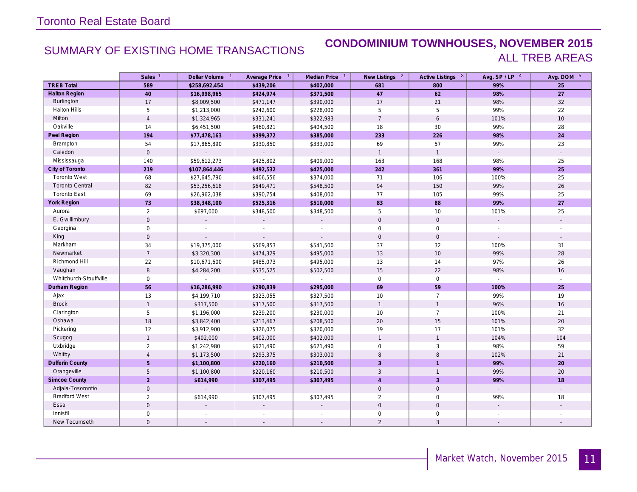### SUMMARY OF EXISTING HOME TRANSACTIONS **CONDOMINIUM TOWNHOUSES, NOVEMBER 2015** ALL TREB AREAS

|                        | Sales <sup>1</sup>  | Dollar Volume 1 | Average Price 1 | Median Price 1              | New Listings <sup>2</sup> | Active Listings 3   | Avg. $SP / LP$ <sup>4</sup> | Avg. DOM 5               |
|------------------------|---------------------|-----------------|-----------------|-----------------------------|---------------------------|---------------------|-----------------------------|--------------------------|
| <b>TREB Total</b>      | 589                 | \$258,692,454   | \$439,206       | \$402,000                   | 681                       | 800                 | 99%                         | 25                       |
| <b>Halton Region</b>   | 40                  | \$16,998,965    | \$424,974       | \$371,500                   | 47                        | 62                  | 98%                         | 27                       |
| Burlington             | 17                  | \$8,009,500     | \$471,147       | \$390,000                   | 17                        | 21                  | 98%                         | 32                       |
| <b>Halton Hills</b>    | 5                   | \$1,213,000     | \$242,600       | \$228,000                   | 5                         | 5                   | 99%                         | 22                       |
| Milton                 | $\overline{4}$      | \$1,324,965     | \$331,241       | \$322,983                   | $\overline{7}$            | 6                   | 101%                        | $10$                     |
| Oakville               | 14                  | \$6,451,500     | \$460,821       | \$404,500                   | 18                        | 30                  | 99%                         | 28                       |
| Peel Region            | 194                 | \$77,478,163    | \$399,372       | \$385,000                   | 233                       | 226                 | 98%                         | 24                       |
| Brampton               | 54                  | \$17,865,890    | \$330,850       | \$333,000                   | 69                        | 57                  | 99%                         | 23                       |
| Caledon                | $\mathsf{O}\xspace$ | $\Box$          | $\mathcal{L}$   | $\mathcal{L}_{\mathcal{A}}$ | $\overline{1}$            | $\mathbf{1}$        |                             |                          |
| Mississauga            | 140                 | \$59,612,273    | \$425,802       | \$409,000                   | 163                       | 168                 | 98%                         | 25                       |
| City of Toronto        | 219                 | \$107,864,446   | \$492,532       | \$425,000                   | 242                       | 361                 | 99%                         | 25                       |
| <b>Toronto West</b>    | 68                  | \$27,645,790    | \$406,556       | \$374,000                   | 71                        | 106                 | 100%                        | 25                       |
| <b>Toronto Central</b> | 82                  | \$53,256,618    | \$649,471       | \$548,500                   | 94                        | 150                 | 99%                         | $26\,$                   |
| <b>Toronto East</b>    | 69                  | \$26,962,038    | \$390,754       | \$408,000                   | 77                        | 105                 | 99%                         | 25                       |
| York Region            | 73                  | \$38,348,100    | \$525,316       | \$510,000                   | 83                        | 88                  | 99%                         | 27                       |
| Aurora                 | $\overline{2}$      | \$697,000       | \$348,500       | \$348,500                   | 5                         | 10                  | 101%                        | 25                       |
| E. Gwillimbury         | $\mathbf 0$         | $\overline{a}$  |                 | $\sim$                      | $\mathbf{0}$              | $\mathbf 0$         | $\sim$                      | $\overline{\phantom{a}}$ |
| Georgina               | $\mathsf{O}\xspace$ |                 |                 |                             | $\mathsf{O}\xspace$       | $\mathsf 0$         |                             |                          |
| King                   | $\mathbf 0$         |                 |                 |                             | $\mathbf 0$               | $\mathsf{O}\xspace$ | $\mathbf{r}$                | $\mathbf{r}$             |
| Markham                | 34                  | \$19,375,000    | \$569,853       | \$541,500                   | 37                        | 32                  | 100%                        | 31                       |
| Newmarket              | $\overline{7}$      | \$3,320,300     | \$474,329       | \$495,000                   | 13                        | $10$                | 99%                         | $28\,$                   |
| Richmond Hill          | 22                  | \$10,671,600    | \$485,073       | \$495,000                   | 13                        | 14                  | 97%                         | 26                       |
| Vaughan                | 8                   | \$4,284,200     | \$535,525       | \$502,500                   | 15                        | 22                  | 98%                         | 16                       |
| Whitchurch-Stouffville | $\mathbf 0$         |                 |                 |                             | $\mathbf 0$               | $\mathbf 0$         | $\mathcal{L}^{\mathcal{L}}$ |                          |
| Durham Region          | 56                  | \$16,286,990    | \$290,839       | \$295,000                   | 69                        | 59                  | 100%                        | 25                       |
| Ajax                   | 13                  | \$4,199,710     | \$323,055       | \$327,500                   | 10                        | $\overline{7}$      | 99%                         | 19                       |
| <b>Brock</b>           | $\mathbf{1}$        | \$317,500       | \$317,500       | \$317,500                   | $\mathbf{1}$              | $\overline{1}$      | 96%                         | 16                       |
| Clarington             | 5                   | \$1,196,000     | \$239,200       | \$230,000                   | 10                        | $\overline{7}$      | 100%                        | 21                       |
| Oshawa                 | 18                  | \$3,842,400     | \$213,467       | \$208,500                   | 20                        | 15                  | 101%                        | $20\,$                   |
| Pickering              | 12                  | \$3,912,900     | \$326,075       | \$320,000                   | 19                        | 17                  | 101%                        | 32                       |
| Scugog                 | $\mathbf{1}$        | \$402,000       | \$402,000       | \$402,000                   | $\overline{1}$            | $\overline{1}$      | 104%                        | 104                      |
| Uxbridge               | $\overline{2}$      | \$1,242,980     | \$621,490       | \$621,490                   | $\mathbf 0$               | 3                   | 98%                         | 59                       |
| Whitby                 | $\overline{4}$      | \$1,173,500     | \$293,375       | \$303,000                   | 8                         | 8                   | 102%                        | 21                       |
| <b>Dufferin County</b> | 5                   | \$1,100,800     | \$220,160       | \$210,500                   | $\overline{3}$            | $\overline{1}$      | 99%                         | 20                       |
| Orangeville            | 5                   | \$1,100,800     | \$220,160       | \$210,500                   | $\mathbf{3}$              | $\overline{1}$      | 99%                         | 20                       |
| <b>Simcoe County</b>   | $\overline{2}$      | \$614,990       | \$307,495       | \$307,495                   | $\overline{4}$            | $\overline{3}$      | 99%                         | 18                       |
| Adjala-Tosorontio      | $\mathbf 0$         | $\mathcal{L}$   | $\mathbb{Z}^2$  | ÷.                          | $\mathsf{O}\xspace$       | $\mathbf 0$         |                             |                          |
| <b>Bradford West</b>   | $\overline{2}$      | \$614,990       | \$307,495       | \$307,495                   | $\overline{2}$            | $\mathbf 0$         | 99%                         | 18                       |
| Essa                   | $\mathbf 0$         |                 |                 |                             | $\mathbf{0}$              | $\mathbf{0}$        |                             |                          |
| Innisfil               | $\mathbf 0$         |                 |                 |                             | $\mathbf{0}$              | $\mathbf 0$         |                             |                          |
| New Tecumseth          | $\mathsf{O}\xspace$ | $\sim$          |                 |                             | $\overline{2}$            | $\overline{3}$      |                             | $\sim$                   |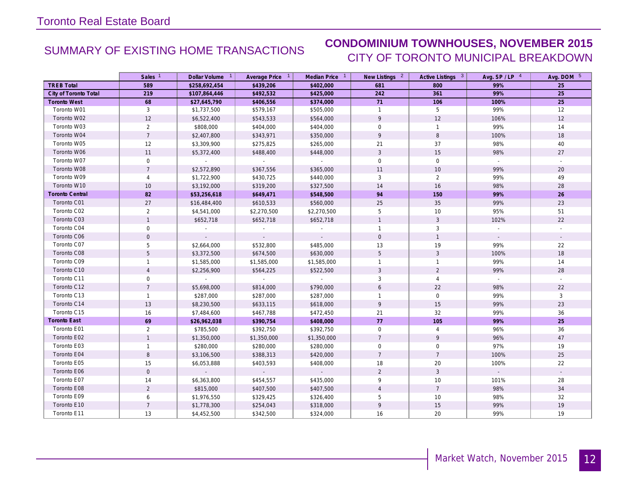## SUMMARY OF EXISTING HOME TRANSACTIONS **CONDOMINIUM TOWNHOUSES, NOVEMBER 2015** CITY OF TORONTO MUNICIPAL BREAKDOWN

|                        | Sales <sup>1</sup> | Dollar Volume 1 | Average Price 1  | Median Price 1      | New Listings <sup>2</sup> | Active Listings 3 | Avg. $SP / LP$ <sup>4</sup> | Avg. DOM 5               |
|------------------------|--------------------|-----------------|------------------|---------------------|---------------------------|-------------------|-----------------------------|--------------------------|
| <b>TREB Total</b>      | 589                | \$258,692,454   | \$439,206        | \$402,000           | 681                       | 800               | 99%                         | 25                       |
| City of Toronto Total  | 219                | \$107,864,446   | \$492,532        | \$425,000           | 242                       | 361               | 99%                         | 25                       |
| <b>Toronto West</b>    | 68                 | \$27,645,790    | \$406,556        | \$374,000           | 71                        | 106               | 100%                        | 25                       |
| Toronto W01            | 3                  | \$1,737,500     | \$579,167        | \$505,000           | $\mathbf{1}$              | 5                 | 99%                         | 12                       |
| Toronto W02            | 12                 | \$6,522,400     | \$543,533        | \$564,000           | 9                         | 12                | 106%                        | 12                       |
| Toronto W03            | 2                  | \$808,000       | \$404,000        | \$404,000           | $\mathbf 0$               | $\mathbf{1}$      | 99%                         | 14                       |
| Toronto W04            | $\overline{7}$     | \$2,407,800     | \$343,971        | \$350,000           | 9                         | $\, 8$            | 100%                        | 18                       |
| Toronto W05            | 12                 | \$3,309,900     | \$275,825        | \$265,000           | 21                        | 37                | 98%                         | 40                       |
| Toronto W06            | 11                 | \$5,372,400     | \$488,400        | \$448,000           | 3                         | 15                | 98%                         | 27                       |
| Toronto W07            | $\mathbf 0$        | $\sim 10^{-1}$  | $\sim 10^{-1}$   | $\sim 10^{-11}$     | $\mathbf 0$               | $\mathbf 0$       | $\sim$                      |                          |
| Toronto W08            | $\overline{7}$     | \$2,572,890     | \$367,556        | \$365,000           | 11                        | $10$              | 99%                         | 20                       |
| Toronto W09            | $\overline{4}$     | \$1,722,900     | \$430,725        | \$440,000           | 3                         | $\overline{2}$    | 99%                         | 49                       |
| Toronto W10            | 10                 | \$3,192,000     | \$319,200        | \$327,500           | 14                        | 16                | 98%                         | 28                       |
| <b>Toronto Central</b> | 82                 | \$53,256,618    | \$649,471        | \$548,500           | 94                        | 150               | 99%                         | 26                       |
| Toronto C01            | $27\,$             | \$16,484,400    | \$610,533        | \$560,000           | 25                        | 35                | 99%                         | 23                       |
| Toronto C02            | 2                  | \$4,541,000     | \$2,270,500      | \$2,270,500         | 5                         | 10                | 95%                         | 51                       |
| Toronto C03            | $\mathbf{1}$       | \$652,718       | \$652,718        | \$652,718           | $\mathbf{1}$              | $\mathbf{3}$      | 102%                        | 22                       |
| Toronto C04            | 0                  |                 |                  |                     | $\mathbf{1}$              | 3                 |                             |                          |
| Toronto C06            | $\overline{0}$     |                 |                  |                     | $\mathbf{0}$              | $\overline{1}$    | $\sim$                      | $\overline{\phantom{a}}$ |
| Toronto C07            | 5                  | \$2,664,000     | \$532,800        | \$485,000           | 13                        | 19                | 99%                         | 22                       |
| Toronto C08            | 5                  | \$3,372,500     | \$674,500        | \$630,000           | 5                         | $\mathbf{3}$      | 100%                        | 18                       |
| Toronto C09            | $\mathbf{1}$       | \$1,585,000     | \$1,585,000      | \$1,585,000         | $\mathbf{1}$              | $\mathbf{1}$      | 99%                         | 14                       |
| Toronto C10            | $\overline{4}$     | \$2,256,900     | \$564,225        | \$522,500           | $\mathbf{3}$              | $\overline{2}$    | 99%                         | 28                       |
| Toronto C11            | $\mathbf 0$        |                 |                  | $\sim$              | 3                         | $\overline{4}$    |                             |                          |
| Toronto C12            | $\overline{7}$     | \$5,698,000     | \$814,000        | \$790,000           | 6                         | 22                | 98%                         | 22                       |
| Toronto C13            | $\mathbf{1}$       | \$287,000       | \$287,000        | \$287,000           | $\mathbf{1}$              | $\mathbf 0$       | 99%                         | $\mathbf{3}$             |
| Toronto C14            | 13                 | \$8,230,500     | \$633,115        | \$618,000           | 9                         | 15                | 99%                         | 23                       |
| Toronto C15            | 16                 | \$7,484,600     | \$467,788        | \$472,450           | 21                        | 32                | 99%                         | 36                       |
| Toronto East           | 69                 | \$26,962,038    | \$390,754        | \$408,000           | 77                        | 105               | 99%                         | 25                       |
| Toronto E01            | $\overline{2}$     | \$785,500       | \$392,750        | \$392,750           | $\mathbf 0$               | $\overline{4}$    | 96%                         | 36                       |
| Toronto E02            | $\mathbf{1}$       | \$1,350,000     | \$1,350,000      | \$1,350,000         | $\overline{7}$            | 9                 | 96%                         | 47                       |
| Toronto E03            | $\mathbf{1}$       | \$280,000       | \$280,000        | \$280,000           | 0                         | $\mathbf 0$       | 97%                         | 19                       |
| Toronto E04            | 8                  | \$3,106,500     | \$388,313        | \$420,000           | $\overline{7}$            | $\overline{7}$    | 100%                        | 25                       |
| Toronto E05            | 15                 | \$6,053,888     | \$403,593        | \$408,000           | 18                        | 20                | 100%                        | 22                       |
| Toronto E06            | $\mathbf 0$        | $\sim$          | $\omega_{\rm c}$ | $\omega_{\rm{eff}}$ | $\overline{2}$            | $\mathbf{3}$      | $\sim$                      | $\mathcal{L}$            |
| Toronto E07            | 14                 | \$6,363,800     | \$454,557        | \$435,000           | 9                         | 10                | 101%                        | 28                       |
| Toronto E08            | $\overline{2}$     | \$815,000       | \$407,500        | \$407,500           | $\overline{4}$            | $\overline{7}$    | 98%                         | 34                       |
| Toronto E09            | 6                  | \$1,976,550     | \$329,425        | \$326,400           | 5                         | 10                | 98%                         | 32                       |
| Toronto E10            | $\overline{7}$     | \$1,778,300     | \$254,043        | \$318,000           | 9                         | 15                | 99%                         | 19                       |
| Toronto E11            | 13                 | \$4,452,500     | \$342,500        | \$324,000           | 16                        | 20                | 99%                         | 19                       |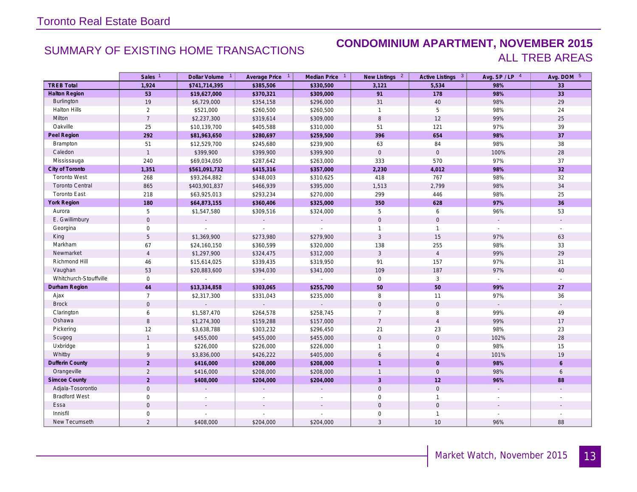### SUMMARY OF EXISTING HOME TRANSACTIONS **CONDOMINIUM APARTMENT, NOVEMBER 2015** ALL TREB AREAS

|                        | Sales <sup>1</sup> | Dollar Volume <sup>1</sup> | Average Price 1 | Median Price 1      | New Listings 2      | Active Listings 3   | Avg. SP/LP 4  | Avg. DOM 5     |
|------------------------|--------------------|----------------------------|-----------------|---------------------|---------------------|---------------------|---------------|----------------|
| <b>TREB Total</b>      | 1,924              | \$741,714,395              | \$385,506       | \$330,500           | 3,121               | 5,534               | 98%           | 33             |
| <b>Halton Region</b>   | 53                 | \$19,627,000               | \$370,321       | \$309,000           | 91                  | 178                 | 98%           | 33             |
| <b>Burlington</b>      | 19                 | \$6,729,000                | \$354,158       | \$296,000           | 31                  | 40                  | 98%           | 29             |
| Halton Hills           | $\overline{2}$     | \$521,000                  | \$260,500       | \$260,500           | $\mathbf{1}$        | 5                   | 98%           | 24             |
| Milton                 | $\overline{7}$     | \$2,237,300                | \$319,614       | \$309,000           | 8                   | 12                  | 99%           | 25             |
| Oakville               | 25                 | \$10,139,700               | \$405,588       | \$310,000           | 51                  | 121                 | 97%           | 39             |
| Peel Region            | 292                | \$81,963,650               | \$280,697       | \$259,500           | 396                 | 654                 | 98%           | 37             |
| Brampton               | 51                 | \$12,529,700               | \$245,680       | \$239,900           | 63                  | 84                  | 98%           | 38             |
| Caledon                | $\overline{1}$     | \$399,900                  | \$399,900       | \$399,900           | $\mathsf{O}\xspace$ | $\mathsf{O}\xspace$ | 100%          | 28             |
| Mississauga            | 240                | \$69,034,050               | \$287,642       | \$263,000           | 333                 | 570                 | 97%           | 37             |
| City of Toronto        | 1,351              | \$561,091,732              | \$415,316       | \$357,000           | 2,230               | 4,012               | 98%           | 32             |
| <b>Toronto West</b>    | 268                | \$93,264,882               | \$348,003       | \$310,625           | 418                 | 767                 | 98%           | 32             |
| <b>Toronto Central</b> | 865                | \$403,901,837              | \$466,939       | \$395,000           | 1,513               | 2,799               | 98%           | $34\,$         |
| <b>Toronto East</b>    | 218                | \$63,925,013               | \$293,234       | \$270,000           | 299                 | 446                 | 98%           | 25             |
| <b>York Region</b>     | 180                | \$64,873,155               | \$360,406       | \$325,000           | 350                 | 628                 | 97%           | 36             |
| Aurora                 | 5                  | \$1,547,580                | \$309,516       | \$324,000           | 5                   | 6                   | 96%           | 53             |
| E. Gwillimbury         | $\mathbf 0$        | $\mathbf{r}$               | $\sim$          | $\sim$              | $\mathbf 0$         | $\mathbf 0$         | $\sim$        | $\blacksquare$ |
| Georgina               | $\mathbf 0$        |                            |                 |                     | $\mathbf{1}$        | $\mathbf{1}$        |               |                |
| King                   | $5\,$              | \$1,369,900                | \$273,980       | \$279,900           | $\mathbf{3}$        | 15                  | 97%           | 63             |
| Markham                | 67                 | \$24,160,150               | \$360,599       | \$320,000           | 138                 | 255                 | 98%           | 33             |
| Newmarket              | $\overline{4}$     | \$1,297,900                | \$324,475       | \$312,000           | $\mathbf{3}$        | $\overline{4}$      | 99%           | 29             |
| Richmond Hill          | 46                 | \$15,614,025               | \$339,435       | \$319,950           | 91                  | 157                 | 97%           | 31             |
| Vaughan                | 53                 | \$20,883,600               | \$394,030       | \$341,000           | 109                 | 187                 | 97%           | 40             |
| Whitchurch-Stouffville | $\mathbf 0$        |                            |                 |                     | $\mathbf 0$         | $\mathbf{3}$        | $\mathcal{L}$ | $\overline{a}$ |
| Durham Region          | 44                 | \$13,334,858               | \$303,065       | \$255,700           | 50                  | 50                  | 99%           | 27             |
| Ajax                   | $\overline{7}$     | \$2,317,300                | \$331,043       | \$235,000           | 8                   | 11                  | 97%           | 36             |
| <b>Brock</b>           | $\mathbf 0$        | $\mathbb{L}$               | $\mathcal{L}$   | $\mathcal{L}^{\pm}$ | $\mathbf 0$         | $\mathsf{O}\xspace$ |               | $\sim$         |
| Clarington             | 6                  | \$1,587,470                | \$264,578       | \$258,745           | $\overline{7}$      | 8                   | 99%           | 49             |
| Oshawa                 | $\,8\,$            | \$1,274,300                | \$159,288       | \$157,000           | $\overline{7}$      | $\overline{4}$      | 99%           | $17$           |
| Pickering              | 12                 | \$3,638,788                | \$303,232       | \$296,450           | 21                  | 23                  | 98%           | 23             |
| Scugog                 | $\mathbf{1}$       | \$455,000                  | \$455,000       | \$455,000           | $\mathbf 0$         | $\mathsf{O}$        | 102%          | $28\,$         |
| Uxbridge               | $\mathbf{1}$       | \$226,000                  | \$226,000       | \$226,000           | $\mathbf{1}$        | $\mathbf 0$         | 98%           | 15             |
| Whitby                 | 9                  | \$3,836,000                | \$426,222       | \$405,000           | 6                   | $\overline{4}$      | 101%          | 19             |
| <b>Dufferin County</b> | $\overline{2}$     | \$416,000                  | \$208,000       | \$208,000           |                     | $\mathbf{0}$        | 98%           | $\mathbf{6}$   |
| Orangeville            | $\overline{2}$     | \$416,000                  | \$208,000       | \$208,000           | $\mathbf{1}$        | $\mathbf 0$         | 98%           | 6              |
| <b>Simcoe County</b>   | $\overline{2}$     | \$408,000                  | \$204,000       | \$204,000           | 3                   | $12$                | 96%           | 88             |
| Adjala-Tosorontio      | $\mathbf 0$        |                            |                 |                     | $\mathsf{O}$        | $\mathsf{O}\xspace$ |               |                |
| <b>Bradford West</b>   | $\mathbf 0$        |                            |                 |                     | $\mathbf 0$         | $\overline{1}$      |               |                |
| Essa                   | $\mathbf 0$        |                            |                 |                     | $\mathbf{0}$        | $\mathbf 0$         |               |                |
| Innisfil               | $\mathbf 0$        |                            |                 |                     | $\mathbf{0}$        | $\overline{1}$      |               |                |
| New Tecumseth          | $\overline{2}$     | \$408,000                  | \$204,000       | \$204,000           | 3                   | 10                  | 96%           | 88             |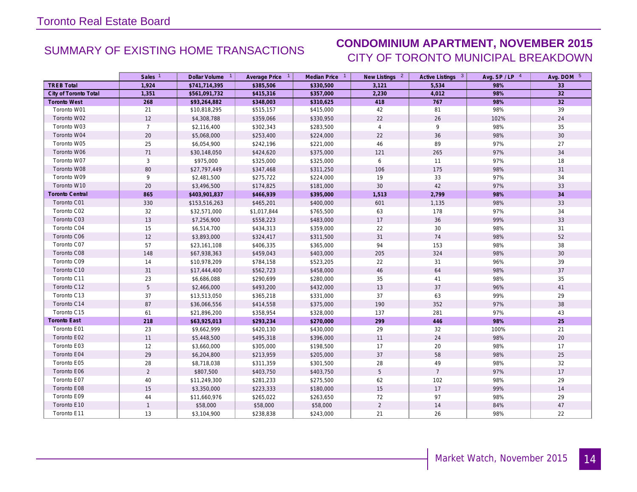# SUMMARY OF EXISTING HOME TRANSACTIONS **CONDOMINIUM APARTMENT, NOVEMBER 2015** CITY OF TORONTO MUNICIPAL BREAKDOWN

|                        | Sales <sup>1</sup> | Dollar Volume <sup>1</sup> | Average Price 1 | Median Price <sup>1</sup> | New Listings 2 | Active Listings 3 | Avg. $SP / LP$ <sup>4</sup> | Avg. DOM 5 |
|------------------------|--------------------|----------------------------|-----------------|---------------------------|----------------|-------------------|-----------------------------|------------|
| <b>TREB Total</b>      | 1,924              | \$741,714,395              | \$385,506       | \$330,500                 | 3,121          | 5,534             | 98%                         | 33         |
| City of Toronto Total  | 1,351              | \$561,091,732              | \$415,316       | \$357,000                 | 2,230          | 4,012             | 98%                         | 32         |
| <b>Toronto West</b>    | 268                | \$93,264,882               | \$348,003       | \$310,625                 | 418            | 767               | 98%                         | 32         |
| Toronto W01            | 21                 | \$10,818,295               | \$515,157       | \$415,000                 | 42             | 81                | 98%                         | 39         |
| Toronto W02            | 12                 | \$4,308,788                | \$359,066       | \$330,950                 | 22             | 26                | 102%                        | 24         |
| Toronto W03            | $\overline{7}$     | \$2,116,400                | \$302,343       | \$283,500                 | $\overline{4}$ | 9                 | 98%                         | 35         |
| Toronto W04            | 20                 | \$5,068,000                | \$253,400       | \$224,000                 | 22             | 36                | 98%                         | 30         |
| Toronto W05            | 25                 | \$6,054,900                | \$242,196       | \$221,000                 | 46             | 89                | 97%                         | 27         |
| Toronto W06            | 71                 | \$30,148,050               | \$424,620       | \$375,000                 | 121            | 265               | 97%                         | 34         |
| Toronto W07            | $\mathbf{3}$       | \$975,000                  | \$325,000       | \$325,000                 | 6              | 11                | 97%                         | 18         |
| Toronto W08            | 80                 | \$27,797,449               | \$347,468       | \$311,250                 | 106            | 175               | 98%                         | 31         |
| Toronto W09            | 9                  | \$2,481,500                | \$275,722       | \$224,000                 | 19             | 33                | 97%                         | 34         |
| Toronto W10            | 20                 | \$3,496,500                | \$174,825       | \$181,000                 | 30             | 42                | 97%                         | 33         |
| <b>Toronto Central</b> | 865                | \$403,901,837              | \$466,939       | \$395,000                 | 1,513          | 2,799             | 98%                         | 34         |
| Toronto C01            | 330                | \$153,516,263              | \$465,201       | \$400,000                 | 601            | 1,135             | 98%                         | 33         |
| Toronto C02            | 32                 | \$32,571,000               | \$1,017,844     | \$765,500                 | 63             | 178               | 97%                         | 34         |
| Toronto C03            | 13                 | \$7,256,900                | \$558,223       | \$483,000                 | 17             | 36                | 99%                         | 33         |
| Toronto C04            | 15                 | \$6,514,700                | \$434,313       | \$359,000                 | 22             | 30                | 98%                         | 31         |
| Toronto C06            | 12                 | \$3,893,000                | \$324,417       | \$311,500                 | 31             | 74                | 98%                         | 52         |
| Toronto C07            | 57                 | \$23,161,108               | \$406,335       | \$365,000                 | 94             | 153               | 98%                         | 38         |
| Toronto C08            | 148                | \$67,938,363               | \$459,043       | \$403,000                 | 205            | 324               | 98%                         | 30         |
| Toronto C09            | 14                 | \$10,978,209               | \$784,158       | \$523,205                 | 22             | 31                | 96%                         | 39         |
| Toronto C10            | 31                 | \$17,444,400               | \$562,723       | \$458,000                 | 46             | 64                | 98%                         | 37         |
| Toronto C11            | 23                 | \$6,686,088                | \$290,699       | \$280,000                 | 35             | 41                | 98%                         | 35         |
| Toronto C12            | $5\phantom{.0}$    | \$2,466,000                | \$493,200       | \$432,000                 | 13             | 37                | 96%                         | 41         |
| Toronto C13            | 37                 | \$13,513,050               | \$365,218       | \$331,000                 | 37             | 63                | 99%                         | 29         |
| Toronto C14            | 87                 | \$36,066,556               | \$414,558       | \$375,000                 | 190            | 352               | 97%                         | 38         |
| Toronto C15            | 61                 | \$21,896,200               | \$358,954       | \$328,000                 | 137            | 281               | 97%                         | 43         |
| Toronto East           | 218                | \$63,925,013               | \$293,234       | \$270,000                 | 299            | 446               | 98%                         | 25         |
| Toronto E01            | 23                 | \$9,662,999                | \$420,130       | \$430,000                 | 29             | 32                | 100%                        | 21         |
| Toronto E02            | 11                 | \$5,448,500                | \$495,318       | \$396,000                 | 11             | 24                | 98%                         | $20\,$     |
| Toronto E03            | 12                 | \$3,660,000                | \$305,000       | \$198,500                 | 17             | 20                | 98%                         | 17         |
| Toronto E04            | 29                 | \$6,204,800                | \$213,959       | \$205,000                 | 37             | 58                | 98%                         | 25         |
| Toronto E05            | 28                 | \$8,718,038                | \$311,359       | \$301,500                 | 28             | 49                | 98%                         | 32         |
| Toronto E06            | $\overline{2}$     | \$807,500                  | \$403,750       | \$403,750                 | 5              | $\overline{7}$    | 97%                         | 17         |
| Toronto E07            | 40                 | \$11,249,300               | \$281,233       | \$275,500                 | 62             | 102               | 98%                         | 29         |
| Toronto E08            | 15                 | \$3,350,000                | \$223,333       | \$180,000                 | 15             | 17                | 99%                         | 14         |
| Toronto E09            | 44                 | \$11,660,976               | \$265,022       | \$263,650                 | 72             | 97                | 98%                         | 29         |
| Toronto E10            | $\mathbf{1}$       | \$58,000                   | \$58,000        | \$58,000                  | $\overline{2}$ | 14                | 84%                         | $47\,$     |
| Toronto E11            | 13                 | \$3,104,900                | \$238,838       | \$243,000                 | 21             | 26                | 98%                         | 22         |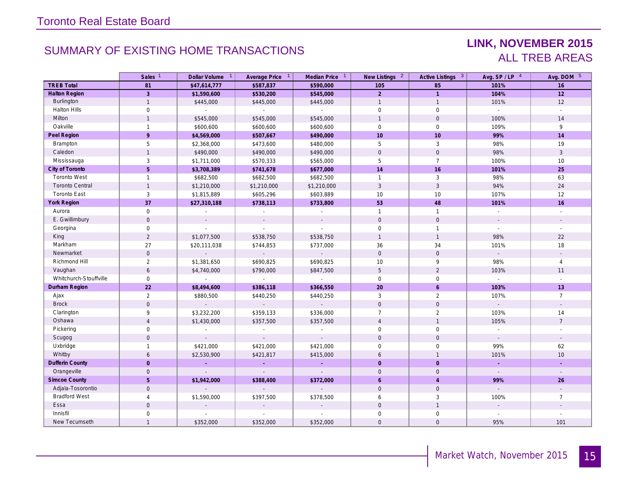# SUMMARY OF EXISTING HOME TRANSACTIONS **LINK, NOVEMBER 2015**

# ALL TREB AREAS

|                        | Sales <sup>1</sup>  | Dollar Volume 1 | Average Price 1           | Median Price 1              | New Listings 2      | Active Listings 3   | Avg. SP / LP 4              | Avg. DOM 5               |
|------------------------|---------------------|-----------------|---------------------------|-----------------------------|---------------------|---------------------|-----------------------------|--------------------------|
| <b>TREB Total</b>      | 81                  | \$47,614,777    | \$587,837                 | \$590,000                   | 105                 | 85                  | 101%                        | 16                       |
| <b>Halton Region</b>   | $\overline{3}$      | \$1,590,600     | \$530,200                 | \$545,000                   | $\overline{2}$      | $\overline{1}$      | 104%                        | 12                       |
| Burlington             | $\mathbf{1}$        | \$445,000       | \$445,000                 | \$445,000                   | $\mathbf{1}$        | $\overline{1}$      | 101%                        | 12                       |
| <b>Halton Hills</b>    | $\mathsf{O}\xspace$ | $\mathcal{L}$   | $\mathcal{L}$             | $\mathbb{Z}^2$              | $\mathbf 0$         | $\mathsf{O}\xspace$ | $\mathcal{L}$               | $\mathbf{r}$             |
| Milton                 | $\mathbf{1}$        | \$545,000       | \$545,000                 | \$545,000                   | $\mathbf{1}$        | $\mathbf 0$         | 100%                        | 14                       |
| Oakville               | $\mathbf{1}$        | \$600,600       | \$600,600                 | \$600,600                   | $\mathbf 0$         | $\mathbf 0$         | 109%                        | 9                        |
| Peel Region            | 9                   | \$4,569,000     | \$507,667                 | \$490,000                   | 10                  | 10                  | 99%                         | 14                       |
| Brampton               | 5                   | \$2,368,000     | \$473,600                 | \$480,000                   | 5                   | 3                   | 98%                         | 19                       |
| Caledon                | $\mathbf{1}$        | \$490,000       | \$490,000                 | \$490,000                   | $\mathsf{O}\xspace$ | $\mathsf{O}\xspace$ | 98%                         | $\mathbf{3}$             |
| Mississauga            | 3                   | \$1,711,000     | \$570,333                 | \$565,000                   | 5                   | $\overline{7}$      | 100%                        | 10                       |
| City of Toronto        | 5                   | \$3,708,389     | \$741,678                 | \$677,000                   | 14                  | 16                  | 101%                        | 25                       |
| Toronto West           | $\mathbf{1}$        | \$682,500       | \$682,500                 | \$682,500                   | $\mathbf{1}$        | 3                   | 98%                         | 63                       |
| <b>Toronto Central</b> | $\mathbf{1}$        | \$1,210,000     | \$1,210,000               | \$1,210,000                 | 3                   | $\mathbf{3}$        | 94%                         | 24                       |
| <b>Toronto East</b>    | 3                   | \$1,815,889     | \$605,296                 | \$603,889                   | 10                  | 10                  | 107%                        | 12                       |
| <b>York Region</b>     | 37                  | \$27,310,188    | \$738,113                 | \$733,800                   | 53                  | 48                  | 101%                        | 16                       |
| Aurora                 | $\mathbf 0$         | $\sim$          | $\mathbb{Z}^{\mathbb{Z}}$ | $\mathcal{L}_{\mathcal{A}}$ | $\mathbf{1}$        | $\overline{1}$      | $\mathcal{L}_{\mathcal{A}}$ | $\overline{a}$           |
| E. Gwillimbury         | $\mathbf 0$         | $\sim$          |                           | $\sim$                      | $\mathbf{0}$        | $\mathbf 0$         |                             | $\overline{\phantom{a}}$ |
| Georgina               | $\mathsf{O}\xspace$ | $\mathbb{Z}^2$  | $\mathcal{L}$             | $\mathcal{L}^{\mathcal{A}}$ | 0                   | $\mathbf{1}$        | $\sim$                      | $\sim$                   |
| King                   | $\overline{2}$      | \$1,077,500     | \$538,750                 | \$538,750                   | $\mathbf{1}$        | $\mathbf{1}$        | 98%                         | 22                       |
| Markham                | 27                  | \$20,111,038    | \$744,853                 | \$737,000                   | 36                  | 34                  | 101%                        | 18                       |
| Newmarket              | $\mathbf 0$         |                 | $\mathbb{Z}^+$            | ÷.                          | $\mathbf{0}$        | $\mathbf 0$         | $\mathbb{Z}^{\mathbb{Z}}$   |                          |
| Richmond Hill          | $\overline{2}$      | \$1,381,650     | \$690,825                 | \$690,825                   | 10                  | 9                   | 98%                         | $\overline{4}$           |
| Vaughan                | 6                   | \$4,740,000     | \$790,000                 | \$847,500                   | 5                   | 2                   | 103%                        | 11                       |
| Whitchurch-Stouffville | 0                   |                 | $\sim$                    | $\mathbb{Z}^2$              | $\mathbf 0$         | $\mathbf 0$         | $\sim$                      |                          |
| Durham Region          | 22                  | \$8,494,600     | \$386,118                 | \$366,550                   | 20                  | 6                   | 103%                        | 13                       |
| Ajax                   | $\overline{2}$      | \$880,500       | \$440,250                 | \$440,250                   | 3                   | 2                   | 107%                        | $\overline{7}$           |
| <b>Brock</b>           | $\overline{0}$      | $\sim$          | $\sim$                    | $\bullet$                   | $\mathbf{0}$        | $\mathbf 0$         | $\mathcal{L}^{\pm}$         | $\mathbf{r}$             |
| Clarington             | 9                   | \$3,232,200     | \$359,133                 | \$336,000                   | $\overline{7}$      | 2                   | 103%                        | 14                       |
| Oshawa                 | $\overline{4}$      | \$1,430,000     | \$357,500                 | \$357,500                   | $\overline{4}$      | $\overline{1}$      | 105%                        | $7\overline{ }$          |
| Pickering              | 0                   | $\sim$          | $\sim$                    | $\sim$                      | $\mathbf 0$         | $\mathbf 0$         | $\mathbb{Z}^{\mathbb{Z}}$   | $\mathbf{r}$             |
| Scugog                 | $\mathbf 0$         | $\sim$          |                           |                             | $\mathbf{0}$        | $\mathbf{0}$        | $\sim$                      |                          |
| Uxbridge               | $\mathbf{1}$        | \$421,000       | \$421,000                 | \$421,000                   | $\mathbf 0$         | $\mathbf 0$         | 99%                         | 62                       |
| Whitby                 | 6                   | \$2,530,900     | \$421,817                 | \$415,000                   | 6                   | $\overline{1}$      | 101%                        | 10                       |
| <b>Dufferin County</b> | $\overline{0}$      | ◆               | G.                        | $\mathcal{L}^{\pm}$         | $\overline{0}$      | $\overline{0}$      | a.                          | ÷                        |
| Orangeville            | $\mathbf{0}$        | $\sim$          | $\sim$                    | $\sim$                      | $\Omega$            | $\mathbf{0}$        | $\sim$                      | $\blacksquare$           |
| <b>Simcoe County</b>   | 5                   | \$1,942,000     | \$388,400                 | \$372,000                   | 6                   | $\overline{4}$      | 99%                         | 26                       |
| Adjala-Tosorontio      | $\mathbf 0$         | $\overline{a}$  | $\mathbb{Z}^+$            | ÷.                          | $\mathsf{O}\xspace$ | $\mathbf 0$         | ÷.                          |                          |
| <b>Bradford West</b>   | $\overline{4}$      | \$1,590,000     | \$397,500                 | \$378,500                   | 6                   | 3                   | 100%                        | $\overline{7}$           |
| Essa                   | $\mathbf 0$         |                 |                           | $\overline{\phantom{a}}$    | $\mathbf{0}$        | $\overline{1}$      |                             |                          |
| Innisfil               | 0                   |                 |                           |                             | $\mathbf 0$         | $\mathbf 0$         |                             |                          |
| New Tecumseth          | $\mathbf{1}$        | \$352,000       | \$352,000                 | \$352,000                   | $\mathbf{O}$        | $\mathbf 0$         | 95%                         | 101                      |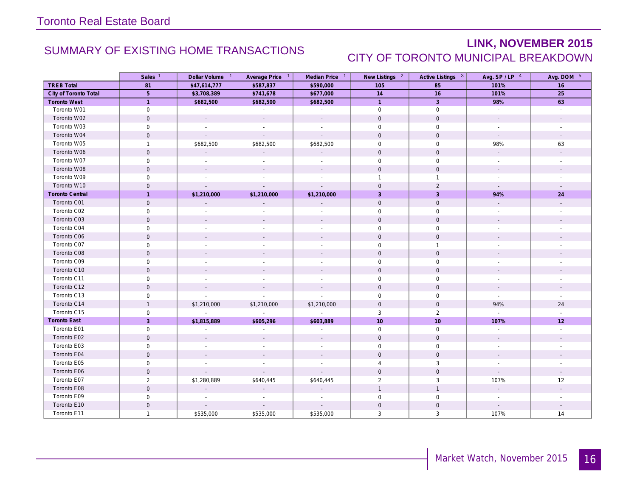# SUMMARY OF EXISTING HOME TRANSACTIONS **LINK, NOVEMBER 2015** CITY OF TORONTO MUNICIPAL BREAKDOWN

|                        | Sales <sup>1</sup>  | Dollar Volume <sup>1</sup>  | Average Price 1             | Median Price 1              | New Listings <sup>2</sup> | Active Listings 3   | Avg. $SP / LP$ <sup>4</sup> | Avg. DOM 5               |
|------------------------|---------------------|-----------------------------|-----------------------------|-----------------------------|---------------------------|---------------------|-----------------------------|--------------------------|
| <b>TREB Total</b>      | 81                  | \$47,614,777                | \$587,837                   | \$590,000                   | 105                       | 85                  | 101%                        | 16                       |
| City of Toronto Total  | $5\phantom{.}$      | \$3,708,389                 | \$741,678                   | \$677,000                   | 14                        | 16                  | 101%                        | 25                       |
| <b>Toronto West</b>    | $\overline{1}$      | \$682,500                   | \$682,500                   | \$682,500                   | $\overline{1}$            | $\overline{3}$      | 98%                         | 63                       |
| Toronto W01            | $\mathsf{O}$        | $\sim$                      | $\sim$                      | $\sim$                      | $\mathbf 0$               | $\overline{0}$      | $\sim$                      | $\sim$                   |
| Toronto W02            | $\mathbf 0$         | $\sim$                      | $\mathcal{L}^{\mathcal{A}}$ | $\sim$                      | $\mathbf 0$               | $\mathbf 0$         | $\mathbf{r}$                |                          |
| Toronto W03            | $\mathsf{O}\xspace$ | $\sim$                      |                             |                             | $\mathbf 0$               | $\mathbf 0$         | $\overline{\phantom{a}}$    |                          |
| Toronto W04            | $\mathbf 0$         | $\mathcal{L}$               | $\mathcal{L}$               | $\mathbb{Z}^2$              | $\mathbf 0$               | $\mathbf 0$         | $\sim$                      | $\sim$                   |
| Toronto W05            | $\mathbf{1}$        | \$682,500                   | \$682,500                   | \$682,500                   | $\mathbf 0$               | $\mathbf 0$         | 98%                         | 63                       |
| Toronto W06            | $\mathbf 0$         | $\mathcal{L}_{\mathcal{A}}$ |                             |                             | $\mathbf{0}$              | $\mathbf{0}$        |                             |                          |
| Toronto W07            | $\mathsf{O}$        | $\sim$                      |                             | $\sim$                      | $\mathbf 0$               | $\mathbf 0$         | $\sim$                      | $\overline{\phantom{a}}$ |
| Toronto W08            | $\mathbf 0$         | $\sim$                      |                             |                             | $\mathbf 0$               | $\mathsf{O}\xspace$ | $\sim$                      |                          |
| Toronto W09            | 0                   |                             |                             |                             | $\mathbf{1}$              | $\mathbf{1}$        |                             |                          |
| Toronto W10            | $\mathsf{O}\xspace$ | $\mathcal{L}$               |                             | $\overline{\phantom{a}}$    | $\mathbf 0$               | $\overline{2}$      | $\mathcal{L}_{\mathcal{A}}$ |                          |
| <b>Toronto Central</b> | $\mathbf{1}$        | \$1,210,000                 | \$1,210,000                 | \$1,210,000                 | $\overline{3}$            | $\overline{3}$      | 94%                         | 24                       |
| Toronto C01            | $\mathbf 0$         |                             |                             |                             | $\mathbf 0$               | $\mathbf 0$         |                             |                          |
| Toronto C02            | $\mathsf{O}$        |                             |                             |                             | $\mathbf 0$               | $\mathbf 0$         |                             |                          |
| Toronto C03            | $\mathbf 0$         |                             |                             |                             | $\mathbf 0$               | $\mathbf 0$         |                             |                          |
| Toronto C04            | 0                   |                             |                             |                             | $\mathbf 0$               | $\mathbf 0$         |                             |                          |
| Toronto C06            | $\mathbf 0$         |                             |                             |                             | $\mathbf 0$               | $\mathbf 0$         |                             |                          |
| Toronto C07            | $\mathsf{O}\xspace$ | $\sim$                      |                             | $\overline{\phantom{a}}$    | $\mathbf 0$               | $\overline{1}$      | $\overline{\phantom{a}}$    |                          |
| Toronto C08            | $\mathsf{O}\xspace$ |                             |                             |                             | $\mathsf 0$               | $\mathsf{O}\xspace$ |                             |                          |
| Toronto C09            | $\mathsf{O}$        |                             |                             | $\overline{a}$              | $\mathbf 0$               | $\mathsf{O}\xspace$ |                             |                          |
| Toronto C10            | $\mathbf 0$         |                             |                             |                             | $\mathbf 0$               | $\mathbf 0$         |                             |                          |
| Toronto C11            | 0                   |                             |                             |                             | $\mathbf 0$               | $\mathbf 0$         |                             |                          |
| Toronto C12            | $\mathbf 0$         |                             |                             | $\mathcal{L}$               | $\mathbf 0$               | $\mathbf 0$         | $\blacksquare$              |                          |
| Toronto C13            | $\mathbf 0$         | $\mathcal{L}_{\mathcal{A}}$ | $\overline{\phantom{a}}$    | $\mathcal{L}_{\mathcal{A}}$ | $\mathbf 0$               | $\mathbf 0$         | $\sim$                      | $\overline{\phantom{a}}$ |
| Toronto C14            | $\mathbf{1}$        | \$1,210,000                 | \$1,210,000                 | \$1,210,000                 | $\mathsf{O}\xspace$       | $\mathsf{O}$        | 94%                         | 24                       |
| Toronto C15            | $\mathbf 0$         | $\sim$                      | $\mathbb{Z}^{\mathbb{Z}}$   | $\sim$                      | 3                         | $\overline{2}$      | $\mathbb{Z}^{\mathbb{Z}}$   | $\sim$                   |
| <b>Toronto East</b>    | $\overline{3}$      | \$1,815,889                 | \$605,296                   | \$603,889                   | 10                        | 10                  | 107%                        | 12                       |
| Toronto E01            | $\mathbf 0$         |                             |                             |                             | $\mathbf 0$               | $\mathbf 0$         |                             |                          |
| Toronto E02            | $\mathbf 0$         | $\sim$                      |                             |                             | $\mathbf{0}$              | $\mathbf{0}$        |                             | $\overline{\phantom{a}}$ |
| Toronto E03            | $\mathbf 0$         | $\sim$                      | $\sim$                      | $\sim$                      | $\mathbf 0$               | $\mathbf 0$         | $\sim$                      | $\overline{\phantom{a}}$ |
| Toronto E04            | $\mathbf 0$         | $\overline{a}$              |                             | $\mathbf{r}$                | $\mathbf 0$               | $\mathbb O$         | $\overline{a}$              |                          |
| Toronto E05            | 0                   |                             |                             |                             | 4                         | $\mathbf{3}$        |                             |                          |
| Toronto E06            | $\mathsf{O}\xspace$ | $\mathbf{r}$                | $\mathbf{r}$                | $\overline{\phantom{a}}$    | $\mathbf 0$               | $\mathsf{O}$        | $\mathcal{L}_{\mathcal{A}}$ | $\sim$                   |
| Toronto E07            | $\overline{2}$      | \$1,280,889                 | \$640,445                   | \$640,445                   | $\overline{2}$            | 3                   | 107%                        | 12                       |
| Toronto E08            | $\mathsf{O}\xspace$ |                             |                             |                             | $\mathbf{1}$              | $\mathbf{1}$        |                             |                          |
| Toronto E09            | $\mathbf 0$         |                             |                             |                             | $\mathbf 0$               | $\mathbf 0$         |                             |                          |
| Toronto E10            | $\mathbf 0$         | $\sim$                      |                             |                             | $\mathbf 0$               | $\mathsf{O}\xspace$ |                             |                          |
| Toronto E11            | $\mathbf{1}$        | \$535,000                   | \$535,000                   | \$535,000                   | 3                         | 3                   | 107%                        | 14                       |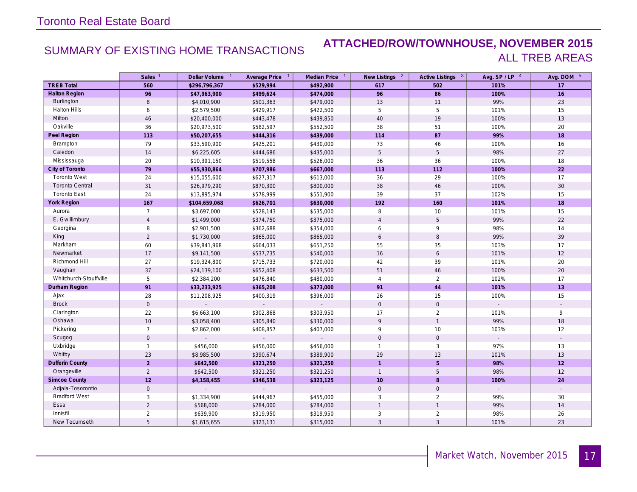### SUMMARY OF EXISTING HOME TRANSACTIONS **ATTACHED/ROW/TOWNHOUSE, NOVEMBER 2015** ALL TREB AREAS

|                        | Sales <sup>1</sup>  | Dollar Volume 1 | Average Price 1 | Median Price 1              | New Listings <sup>2</sup> | Active Listings 3   | Avg. SP/LP 4 | Avg. DOM 5 |
|------------------------|---------------------|-----------------|-----------------|-----------------------------|---------------------------|---------------------|--------------|------------|
| <b>TREB Total</b>      | 560                 | \$296,796,367   | \$529,994       | \$492,900                   | 617                       | 502                 | 101%         | 17         |
| <b>Halton Region</b>   | 96                  | \$47,963,900    | \$499,624       | \$474,000                   | 96                        | 86                  | 100%         | 16         |
| <b>Burlington</b>      | 8                   | \$4,010,900     | \$501,363       | \$479,000                   | 13                        | 11                  | 99%          | 23         |
| <b>Halton Hills</b>    | 6                   | \$2,579,500     | \$429,917       | \$422,500                   | 5                         | 5                   | 101%         | 15         |
| Milton                 | 46                  | \$20,400,000    | \$443,478       | \$439,850                   | 40                        | 19                  | 100%         | 13         |
| Oakville               | 36                  | \$20,973,500    | \$582,597       | \$552,500                   | 38                        | 51                  | 100%         | 20         |
| Peel Region            | 113                 | \$50,207,655    | \$444,316       | \$439,000                   | 114                       | 87                  | 99%          | 18         |
| Brampton               | 79                  | \$33,590,900    | \$425,201       | \$430,000                   | 73                        | 46                  | 100%         | 16         |
| Caledon                | 14                  | \$6,225,605     | \$444,686       | \$435,000                   | $5\phantom{.0}$           | 5                   | 98%          | 27         |
| Mississauga            | 20                  | \$10,391,150    | \$519,558       | \$526,000                   | 36                        | 36                  | 100%         | 18         |
| City of Toronto        | 79                  | \$55,930,864    | \$707,986       | \$667,000                   | 113                       | 112                 | 100%         | 22         |
| <b>Toronto West</b>    | 24                  | \$15,055,600    | \$627,317       | \$613,000                   | 36                        | 29                  | 100%         | 17         |
| <b>Toronto Central</b> | 31                  | \$26,979,290    | \$870,300       | \$800,000                   | 38                        | 46                  | 100%         | $30\,$     |
| <b>Toronto East</b>    | 24                  | \$13,895,974    | \$578,999       | \$551,900                   | 39                        | 37                  | 102%         | 15         |
| <b>York Region</b>     | 167                 | \$104,659,068   | \$626,701       | \$630,000                   | 192                       | 160                 | 101%         | 18         |
| Aurora                 | $\overline{7}$      | \$3,697,000     | \$528,143       | \$535,000                   | 8                         | 10                  | 101%         | 15         |
| E. Gwillimbury         | $\overline{4}$      | \$1,499,000     | \$374,750       | \$375,000                   | $\overline{4}$            | 5                   | 99%          | 22         |
| Georgina               | 8                   | \$2,901,500     | \$362,688       | \$354,000                   | 6                         | 9                   | 98%          | 14         |
| King                   | $\overline{2}$      | \$1,730,000     | \$865,000       | \$865,000                   | 6                         | 8                   | 99%          | 39         |
| Markham                | 60                  | \$39,841,968    | \$664,033       | \$651,250                   | 55                        | 35                  | 103%         | 17         |
| Newmarket              | 17                  | \$9,141,500     | \$537,735       | \$540,000                   | 16                        | 6                   | 101%         | 12         |
| Richmond Hill          | 27                  | \$19,324,800    | \$715,733       | \$720,000                   | 42                        | 39                  | 101%         | 20         |
| Vaughan                | 37                  | \$24,139,100    | \$652,408       | \$633,500                   | 51                        | 46                  | 100%         | 20         |
| Whitchurch-Stouffville | 5                   | \$2,384,200     | \$476,840       | \$480,000                   | $\overline{4}$            | 2                   | 102%         | 17         |
| Durham Region          | 91                  | \$33,233,925    | \$365,208       | \$373,000                   | 91                        | 44                  | 101%         | 13         |
| Ajax                   | 28                  | \$11,208,925    | \$400,319       | \$396,000                   | 26                        | 15                  | 100%         | 15         |
| <b>Brock</b>           | $\mathsf{O}\xspace$ | $\mathbf{r}$    | $\mathcal{L}$   | $\mathbb{Z}^2$              | $\mathsf{O}\xspace$       | $\mathsf{O}\xspace$ |              |            |
| Clarington             | 22                  | \$6,663,100     | \$302,868       | \$303,950                   | 17                        | $\overline{2}$      | 101%         | 9          |
| Oshawa                 | 10 <sup>°</sup>     | \$3,058,400     | \$305,840       | \$330,000                   | 9                         | $\mathbf{1}$        | 99%          | 18         |
| Pickering              | $\overline{7}$      | \$2,862,000     | \$408,857       | \$407,000                   | 9                         | 10                  | 103%         | 12         |
| Scugog                 | $\mathbf 0$         |                 |                 |                             | $\mathbf{0}$              | $\mathbf 0$         |              |            |
| Uxbridge               | $\mathbf{1}$        | \$456,000       | \$456,000       | \$456,000                   | $\mathbf{1}$              | 3                   | 97%          | 13         |
| Whitby                 | 23                  | \$8,985,500     | \$390,674       | \$389,900                   | 29                        | 13                  | 101%         | 13         |
| <b>Dufferin County</b> | $\overline{2}$      | \$642,500       | \$321,250       | \$321,250                   | $\overline{1}$            | $\overline{5}$      | 98%          | 12         |
| Orangeville            | $\overline{2}$      | \$642,500       | \$321,250       | \$321,250                   | $\mathbf{1}$              | $\sqrt{5}$          | 98%          | 12         |
| <b>Simcoe County</b>   | 12                  | \$4,158,455     | \$346,538       | \$323,125                   | 10                        | $\boldsymbol{8}$    | 100%         | 24         |
| Adjala-Tosorontio      | $\mathsf{O}\xspace$ |                 |                 | $\mathcal{L}^{\mathcal{A}}$ | $\mathbf 0$               | $\mathbf 0$         |              |            |
| <b>Bradford West</b>   | 3                   | \$1,334,900     | \$444,967       | \$455,000                   | 3                         | 2                   | 99%          | 30         |
| Essa                   | $\overline{2}$      | \$568,000       | \$284,000       | \$284,000                   | $\mathbf{1}$              | $\overline{1}$      | 99%          | 14         |
| Innisfil               | $\overline{2}$      | \$639,900       | \$319,950       | \$319,950                   | 3                         | 2                   | 98%          | 26         |
| New Tecumseth          | 5                   | \$1,615,655     | \$323,131       | \$315,000                   | $\mathbf{3}$              | $\overline{3}$      | 101%         | 23         |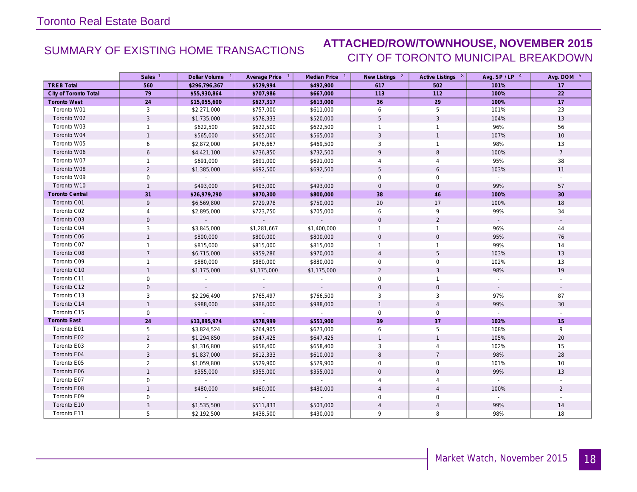## SUMMARY OF EXISTING HOME TRANSACTIONS **ATTACHED/ROW/TOWNHOUSE, NOVEMBER 2015** CITY OF TORONTO MUNICIPAL BREAKDOWN

|                        | Sales <sup>1</sup> | Dollar Volume 1 | Average Price 1 | Median Price 1  | New Listings 2      | Active Listings 3 | Avg. $SP / LP$ <sup>4</sup> | Avg. DOM 5      |
|------------------------|--------------------|-----------------|-----------------|-----------------|---------------------|-------------------|-----------------------------|-----------------|
| <b>TREB Total</b>      | 560                | \$296,796,367   | \$529,994       | \$492,900       | 617                 | 502               | 101%                        | 17              |
| City of Toronto Total  | 79                 | \$55,930,864    | \$707,986       | \$667,000       | 113                 | 112               | 100%                        | 22              |
| <b>Toronto West</b>    | 24                 | \$15,055,600    | \$627,317       | \$613,000       | 36                  | 29                | 100%                        | 17              |
| Toronto W01            | 3                  | \$2,271,000     | \$757,000       | \$611,000       | 6                   | 5                 | 101%                        | 23              |
| Toronto W02            | $\overline{3}$     | \$1,735,000     | \$578,333       | \$520,000       | 5                   | $\overline{3}$    | 104%                        | 13              |
| Toronto W03            | $\mathbf{1}$       | \$622,500       | \$622,500       | \$622,500       | $\mathbf{1}$        | $\overline{1}$    | 96%                         | 56              |
| Toronto W04            | $\mathbf{1}$       | \$565,000       | \$565,000       | \$565,000       | $\mathbf{3}$        | $\overline{1}$    | 107%                        | 10              |
| Toronto W05            | 6                  | \$2,872,000     | \$478,667       | \$469,500       | 3                   | $\overline{1}$    | 98%                         | 13              |
| Toronto W06            | 6                  | \$4,421,100     | \$736,850       | \$732,500       | 9                   | 8                 | 100%                        | $\overline{7}$  |
| Toronto W07            | $\mathbf{1}$       | \$691,000       | \$691,000       | \$691,000       | 4                   | $\overline{4}$    | 95%                         | 38              |
| Toronto W08            | $\overline{2}$     | \$1,385,000     | \$692,500       | \$692,500       | 5                   | $\boldsymbol{6}$  | 103%                        | 11              |
| Toronto W09            | 0                  | $\sim$          | $\sim$          | $\sim 10^{-11}$ | $\mathsf{O}\xspace$ | $\mathbf 0$       | $\mathbb{R}^2$              |                 |
| Toronto W10            | $\mathbf{1}$       | \$493,000       | \$493,000       | \$493,000       | $\mathbf 0$         | $\mathbf 0$       | 99%                         | 57              |
| <b>Toronto Central</b> | 31                 | \$26,979,290    | \$870,300       | \$800,000       | 38                  | 46                | 100%                        | 30              |
| Toronto C01            | 9                  | \$6,569,800     | \$729,978       | \$750,000       | 20                  | 17                | 100%                        | 18              |
| Toronto C02            | $\overline{4}$     | \$2,895,000     | \$723,750       | \$705,000       | 6                   | 9                 | 99%                         | 34              |
| Toronto C03            | $\Omega$           | $\sim$          | $\sim$          | $\sim$ $^{-1}$  | $\Omega$            | $\overline{2}$    | $\sim$                      |                 |
| Toronto C04            | 3                  | \$3,845,000     | \$1,281,667     | \$1,400,000     | $\mathbf{1}$        | $\overline{1}$    | 96%                         | 44              |
| Toronto C06            | $\mathbf{1}$       | \$800,000       | \$800,000       | \$800,000       | $\mathbf{0}$        | $\mathbf 0$       | 95%                         | 76              |
| Toronto C07            | $\mathbf{1}$       | \$815,000       | \$815,000       | \$815,000       | $\mathbf{1}$        | $\overline{1}$    | 99%                         | 14              |
| Toronto C08            | $\overline{7}$     | \$6,715,000     | \$959,286       | \$970,000       | $\overline{4}$      | 5                 | 103%                        | 13              |
| Toronto C09            | $\mathbf{1}$       | \$880,000       | \$880,000       | \$880,000       | 0                   | $\mathbf 0$       | 102%                        | 13              |
| Toronto C10            | $\mathbf{1}$       | \$1,175,000     | \$1,175,000     | \$1,175,000     | $\overline{2}$      | $\mathbf{3}$      | 98%                         | 19              |
| Toronto C11            | 0                  |                 |                 |                 | $\mathbf 0$         | $\mathbf{1}$      |                             |                 |
| Toronto C12            | $\mathbf{O}$       | $\sim$          | $\sim$          | $\sim$          | $\mathbf{0}$        | $\mathbf 0$       | $\sim$                      | $\sim$          |
| Toronto C13            | 3                  | \$2,296,490     | \$765,497       | \$766,500       | 3                   | 3                 | 97%                         | 87              |
| Toronto C14            | $\mathbf{1}$       | \$988,000       | \$988,000       | \$988,000       | $\mathbf{1}$        | $\overline{4}$    | 99%                         | 30 <sup>°</sup> |
| Toronto C15            | $\mathbf 0$        | $\sim$          | $\sim$          | $\sim$          | $\mathbf 0$         | $\mathbf 0$       | $\mathcal{L}^{\pm}$         | $\sim$          |
| <b>Toronto East</b>    | 24                 | \$13,895,974    | \$578,999       | \$551,900       | 39                  | 37                | 102%                        | 15              |
| Toronto E01            | 5                  | \$3,824,524     | \$764,905       | \$673,000       | 6                   | 5                 | 108%                        | 9               |
| Toronto E02            | $\overline{2}$     | \$1,294,850     | \$647,425       | \$647,425       | $\mathbf{1}$        | $\overline{1}$    | 105%                        | 20              |
| Toronto E03            | $\overline{2}$     | \$1,316,800     | \$658,400       | \$658,400       | 3                   | $\overline{4}$    | 102%                        | 15              |
| Toronto E04            | $\mathbf{3}$       | \$1,837,000     | \$612,333       | \$610,000       | $\,8\,$             | $\overline{7}$    | 98%                         | 28              |
| Toronto E05            | $\overline{2}$     | \$1,059,800     | \$529,900       | \$529,900       | $\mathbf 0$         | $\mathbf 0$       | 101%                        | 10              |
| Toronto E06            | $\mathbf{1}$       | \$355,000       | \$355,000       | \$355,000       | $\mathsf{O}\xspace$ | $\mathbf 0$       | 99%                         | 13              |
| Toronto E07            | 0                  | $\sim$          | $\sim$          | $\sim$          | $\overline{4}$      | $\overline{4}$    | $\mathbb{Z}^2$              |                 |
| Toronto E08            | $\mathbf{1}$       | \$480,000       | \$480,000       | \$480,000       | $\overline{4}$      | $\overline{4}$    | 100%                        | $\overline{2}$  |
| Toronto E09            | $\mathbf 0$        |                 |                 | $\sim$          | $\mathbf 0$         | $\mathbf 0$       | $\sim$                      | $\sim$          |
| Toronto E10            | 3                  | \$1,535,500     | \$511,833       | \$503,000       |                     | $\overline{4}$    | 99%                         | 14              |
| Toronto E11            | 5                  | \$2,192,500     | \$438,500       | \$430,000       | 9                   | 8                 | 98%                         | 18              |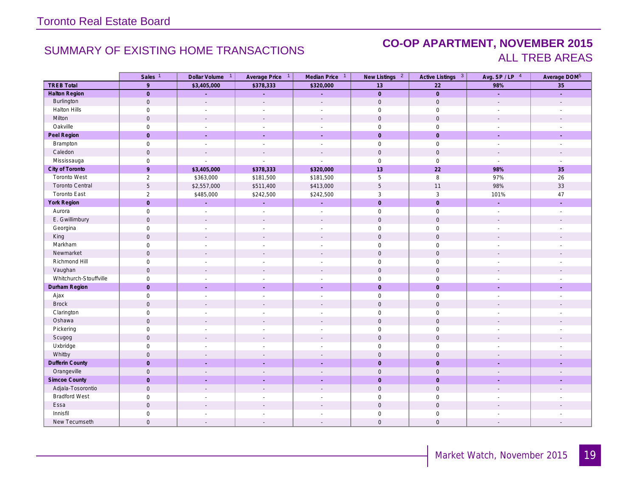### SUMMARY OF EXISTING HOME TRANSACTIONS **CO-OP APARTMENT, NOVEMBER 2015** ALL TREB AREAS

|                        | Sales <sup>1</sup>  | Dollar Volume 1             | Average Price 1          | Median Price 1              | New Listings <sup>2</sup> | Active Listings 3   | Avg. SP/LP 4                | Average DOM <sup>5</sup>    |
|------------------------|---------------------|-----------------------------|--------------------------|-----------------------------|---------------------------|---------------------|-----------------------------|-----------------------------|
| <b>TREB Total</b>      | $\overline{9}$      | \$3,405,000                 | \$378,333                | \$320,000                   | 13                        | $\overline{22}$     | 98%                         | 35                          |
| <b>Halton Region</b>   | $\overline{0}$      | ÷.                          | ÷.                       | L.                          | $\overline{0}$            | $\mathbf{0}$        | L.                          | L,                          |
| Burlington             | $\mathsf{O}\xspace$ | $\mathbf{r}$                | $\mathbf{r}$             | $\mathcal{L}$               | $\mathbf 0$               | $\mathsf{O}$        |                             |                             |
| Halton Hills           | $\mathsf{O}$        |                             | $\overline{\phantom{a}}$ | $\overline{a}$              | $\mathsf{O}$              | $\mathsf{O}\xspace$ |                             |                             |
| Milton                 | $\mathbf{0}$        | $\overline{\phantom{a}}$    | $\blacksquare$           | $\overline{\phantom{a}}$    | $\mathbf{0}$              | $\mathbf 0$         | $\overline{\phantom{a}}$    |                             |
| Oakville               | $\mathsf{O}$        | ÷,                          | $\sim$                   | ÷.                          | $\mathbf 0$               | $\mathsf{O}\xspace$ | $\mathcal{L}_{\mathcal{A}}$ | ÷,                          |
| Peel Region            | $\overline{0}$      | ÷.                          | ÷.                       | ÷,                          | $\mathbf{0}$              | $\mathbf{0}$        | $\mathcal{L}$               | $\mathcal{L}$               |
| Brampton               | $\mathsf{O}\xspace$ | $\sim$                      | $\sim$                   | $\mathbb{Z}^2$              | $\mathsf{O}$              | $\mathsf{O}$        | $\mathcal{L}_{\mathcal{A}}$ | $\mathcal{L}_{\mathcal{A}}$ |
| Caledon                | $\mathbf 0$         | $\mathbf{r}$                | $\sim$                   | $\mathbf{r}$                | $\mathbf 0$               | $\mathsf{O}$        | $\sim$                      | $\overline{\phantom{a}}$    |
| Mississauga            | $\mathsf{O}$        |                             |                          | $\overline{a}$              | $\mathsf{O}\xspace$       | $\mathsf{O}\xspace$ | $\sim$                      |                             |
| City of Toronto        | $\overline{9}$      | \$3,405,000                 | \$378,333                | \$320,000                   | 13                        | 22                  | 98%                         | 35                          |
| <b>Toronto West</b>    | $\overline{2}$      | \$363,000                   | \$181,500                | \$181,500                   | 5                         | $\, 8$              | 97%                         | $26\,$                      |
| <b>Toronto Central</b> | 5                   | \$2,557,000                 | \$511,400                | \$413,000                   | 5                         | 11                  | 98%                         | 33                          |
| <b>Toronto East</b>    | $\overline{2}$      | \$485,000                   | \$242,500                | \$242,500                   | $\sqrt{3}$                | $\mathbf{3}$        | 101%                        | $47\,$                      |
| York Region            | $\overline{0}$      | ÷.                          | ÷.                       | ÷.                          | $\mathbf{0}$              | $\mathbf{0}$        | ÷.                          | ÷.                          |
| Aurora                 | $\mathsf{O}\xspace$ | $\sim$                      | $\sim$                   | $\sim$                      | $\mathbf 0$               | $\mathsf{O}$        | $\sim$                      | $\sim$                      |
| E. Gwillimbury         | $\mathsf{O}$        | $\mathbf{r}$                | $\mathbf{r}$             | $\mathbf{r}$                | $\mathbf 0$               | $\mathsf{O}$        | $\mathbf{r}$                | $\mathbf{r}$                |
| Georgina               | $\mathsf{O}\xspace$ | $\sim$                      | $\sim$                   | $\overline{\phantom{a}}$    | $\mathsf{O}\xspace$       | $\mathsf{O}\xspace$ | $\mathcal{L}_{\mathcal{A}}$ |                             |
| King                   | $\mathbf 0$         | $\sim$                      | $\sim$                   | $\sim$                      | $\mathbf 0$               | $\mathbf 0$         | $\mathcal{L}$               |                             |
| Markham                | $\mathsf{O}$        | $\overline{a}$              | $\overline{\phantom{a}}$ | $\overline{a}$              | $\mathsf{O}\xspace$       | $\mathsf{O}\xspace$ | $\sim$                      |                             |
| Newmarket              | $\mathsf{O}$        |                             | $\overline{\phantom{a}}$ | $\mathcal{L}$               | $\mathsf{O}\xspace$       | $\mathbf 0$         | $\overline{\phantom{a}}$    |                             |
| Richmond Hill          | $\mathsf{O}\xspace$ | $\overline{\phantom{a}}$    | $\sim$                   | $\overline{a}$              | $\mathsf{O}\xspace$       | $\mathsf{O}\xspace$ |                             |                             |
| Vaughan                | $\mathbf 0$         | $\mathcal{L}_{\mathcal{A}}$ | $\blacksquare$           | $\mathcal{L}$               | $\mathbf 0$               | $\mathsf{O}$        | $\overline{\phantom{a}}$    |                             |
| Whitchurch-Stouffville | $\mathsf{O}$        |                             | $\overline{\phantom{a}}$ | $\overline{a}$              | $\mathbf 0$               | $\mathsf{O}\xspace$ | $\overline{\phantom{a}}$    |                             |
| Durham Region          | $\overline{0}$      | ÷.                          | $\sim$                   | ÷.                          | $\mathbf{0}$              | $\mathbf{0}$        | ÷.                          | ÷.                          |
| Ajax                   | $\mathsf{O}$        | $\sim$                      | $\sim$                   | $\mathcal{L}_{\mathcal{A}}$ | $\mathbf 0$               | $\mathsf{O}\xspace$ | $\sim$                      | $\sim$                      |
| <b>Brock</b>           | $\mathsf{O}$        | $\overline{a}$              | $\overline{a}$           | $\sim$                      | $\mathsf{O}\xspace$       | $\mathbf 0$         | $\mathbf{r}$                | $\overline{a}$              |
| Clarington             | $\mathbf 0$         | $\overline{\phantom{a}}$    | $\overline{\phantom{a}}$ | $\overline{\phantom{a}}$    | $\mathsf{O}\xspace$       | $\mathsf{O}\xspace$ | $\overline{\phantom{a}}$    |                             |
| Oshawa                 | $\mathsf{O}$        |                             |                          | $\overline{a}$              | $\mathbf 0$               | $\mathsf{O}\xspace$ |                             |                             |
| Pickering              | $\mathbf 0$         | $\overline{\phantom{a}}$    | $\overline{\phantom{a}}$ | $\overline{\phantom{a}}$    | $\mathbf 0$               | $\mathsf 0$         | $\overline{\phantom{a}}$    | $\overline{\phantom{a}}$    |
| Scugog                 | $\mathsf{O}$        |                             |                          | $\overline{a}$              | $\mathbf 0$               | $\mathsf{O}\xspace$ |                             |                             |
| Uxbridge               | $\mathbf 0$         | $\overline{\phantom{a}}$    |                          | $\overline{\phantom{a}}$    | $\mathsf{O}\xspace$       | $\mathbf 0$         |                             |                             |
| Whitby                 | $\mathbf 0$         |                             |                          | $\overline{\phantom{a}}$    | $\mathbf 0$               | $\mathbf 0$         |                             |                             |
| <b>Dufferin County</b> | $\overline{0}$      |                             |                          |                             | $\overline{0}$            | $\mathbf{0}$        |                             |                             |
| Orangeville            | $\mathbb O$         | $\sim$                      | $\overline{\phantom{a}}$ | $\overline{\phantom{a}}$    | $\mathsf{O}$              | $\mathbf 0$         |                             | $\overline{\phantom{a}}$    |
| Simcoe County          | $\mathbf 0$         |                             | ×.                       | u.                          | $\mathbf{0}$              | $\mathbf 0$         |                             | ÷                           |
| Adjala-Tosorontio      | $\mathbf 0$         |                             |                          | $\overline{a}$              | $\mathsf{O}$              | $\mathsf{O}\xspace$ |                             |                             |
| <b>Bradford West</b>   | $\mathbf 0$         |                             |                          |                             | $\mathsf{O}\xspace$       | $\mathbf 0$         |                             |                             |
| Essa                   | $\mathsf{O}\xspace$ |                             |                          |                             | $\mathsf{O}\xspace$       | $\mathbf 0$         |                             |                             |
| Innisfil               | $\mathsf{O}$        |                             |                          |                             | $\mathsf{O}\xspace$       | $\mathsf{O}\xspace$ |                             |                             |
| New Tecumseth          | $\mathsf{O}\xspace$ | $\sim$                      | $\overline{\phantom{a}}$ | $\overline{\phantom{a}}$    | $\mathbf{0}$              | $\mathbf 0$         |                             | $\overline{\phantom{a}}$    |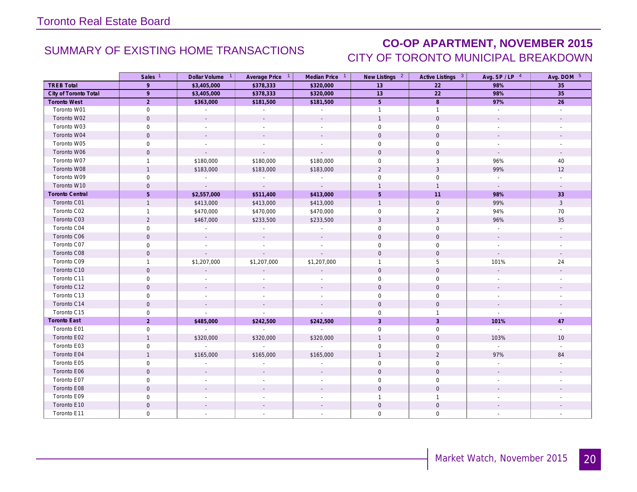## SUMMARY OF EXISTING HOME TRANSACTIONS **CO-OP APARTMENT, NOVEMBER 2015** CITY OF TORONTO MUNICIPAL BREAKDOWN

|                        | Sales <sup>1</sup>  | Dollar Volume <sup>1</sup> | Average Price 1 | Median Price 1 | New Listings 2      | Active Listings 3 | Avg. $SP / LP$ <sup>4</sup> | Avg. DOM 5               |
|------------------------|---------------------|----------------------------|-----------------|----------------|---------------------|-------------------|-----------------------------|--------------------------|
| <b>TREB Total</b>      | 9                   | \$3,405,000                | \$378,333       | \$320,000      | 13                  | 22                | 98%                         | 35                       |
| City of Toronto Total  | 9                   | \$3,405,000                | \$378,333       | \$320,000      | 13                  | 22                | 98%                         | 35                       |
| <b>Toronto West</b>    | $2^{\circ}$         | \$363,000                  | \$181,500       | \$181,500      | 5 <sup>1</sup>      | 8                 | 97%                         | 26                       |
| Toronto W01            | $\mathbf 0$         | $\sim$                     | $\sim$          | $\sim$         | $\mathbf{1}$        | $\mathbf{1}$      | $\mathbb{R}^2$              | $\sim$                   |
| Toronto W02            | $\mathbf 0$         |                            |                 |                | $\mathbf{1}$        | $\mathbf 0$       |                             |                          |
| Toronto W03            | $\mathbf 0$         | $\sim$                     |                 |                | $\mathbf 0$         | $\mathbf 0$       |                             |                          |
| Toronto W04            | $\mathbf{O}$        |                            |                 |                | $\mathbf{0}$        | $\mathbf{0}$      |                             |                          |
| Toronto W05            | $\mathbf 0$         |                            |                 |                | $\mathbf 0$         | $\mathbf 0$       |                             |                          |
| Toronto W06            | $\mathbf 0$         | $\sim$                     |                 |                | $\mathbf{0}$        | $\mathbf 0$       | $\sim$                      | $\overline{\phantom{a}}$ |
| Toronto W07            | $\mathbf{1}$        | \$180,000                  | \$180,000       | \$180,000      | $\mathbf 0$         | 3                 | 96%                         | 40                       |
| Toronto W08            | $\mathbf{1}$        | \$183,000                  | \$183,000       | \$183,000      | 2                   | $\mathbf{3}$      | 99%                         | 12                       |
| Toronto W09            | $\mathbf 0$         | $\sim$                     | $\sim$          | $\sim$         | $\mathbf 0$         | $\mathbf 0$       |                             |                          |
| Toronto W10            | $\mathbf{0}$        | $\sim$                     | $\sim$          | $\sim$         | $\mathbf{1}$        | $\mathbf{1}$      | $\sim$                      |                          |
| <b>Toronto Central</b> | 5                   | \$2,557,000                | \$511,400       | \$413,000      | 5                   | 11                | 98%                         | 33                       |
| Toronto C01            | $\mathbf{1}$        | \$413,000                  | \$413,000       | \$413,000      | $\mathbf{1}$        | $\mathbf 0$       | 99%                         | $\mathbf{3}$             |
| Toronto C02            | $\mathbf{1}$        | \$470,000                  | \$470,000       | \$470,000      | $\mathbf 0$         | 2                 | 94%                         | 70                       |
| Toronto C03            | $\overline{2}$      | \$467,000                  | \$233,500       | \$233,500      | $\sqrt{3}$          | $\mathbf{3}$      | 96%                         | 35                       |
| Toronto C04            | 0                   | $\sim$                     |                 | $\sim$         | $\mathbf{0}$        | $\mathbf 0$       |                             |                          |
| Toronto C06            | $\mathbf{0}$        | $\sim$                     |                 | $\sim$         | $\mathbf{0}$        | $\mathbf{0}$      | $\sim$                      |                          |
| Toronto C07            | $\mathbf 0$         | $\sim$                     |                 | $\overline{a}$ | $\mathbf 0$         | $\mathbf 0$       | $\overline{a}$              |                          |
| Toronto C08            | $\mathbf 0$         |                            |                 |                | $\mathbf{0}$        | $\mathbf{0}$      |                             |                          |
| Toronto C09            | $\mathbf{1}$        | \$1,207,000                | \$1,207,000     | \$1,207,000    | $\mathbf{1}$        | 5                 | 101%                        | 24                       |
| Toronto C10            | $\mathsf{O}$        | $\sim$                     |                 | $\sim$         | $\mathbf 0$         | $\mathsf{O}$      | $\sim$                      |                          |
| Toronto C11            | $\mathbf 0$         |                            |                 |                | $\Omega$            | $\mathbf 0$       |                             |                          |
| Toronto C12            | $\mathbf 0$         |                            |                 |                | $\mathbf 0$         | $\mathbf{0}$      |                             |                          |
| Toronto C13            | $\mathbf{0}$        | $\sim$                     |                 | $\sim$         | $\mathbf{0}$        | $\mathbf 0$       | $\overline{a}$              |                          |
| Toronto C14            | $\mathbf 0$         |                            |                 |                | $\mathbf{0}$        | $\mathbf 0$       |                             |                          |
| Toronto C15            | $\mathsf{O}\xspace$ | $\mathcal{L}$              | $\sim$          | $\sim$         | $\mathbf 0$         | $\overline{1}$    | $\mathcal{L}^{\pm}$         |                          |
| <b>Toronto East</b>    | $\overline{2}$      | \$485,000                  | \$242,500       | \$242,500      | $\overline{3}$      | $\overline{3}$    | 101%                        | 47                       |
| Toronto E01            | $\mathbf 0$         | $\sim 10^{-1}$             | $\sim 10^7$     | $\sim$         | $\mathbf 0$         | $\mathbf 0$       | $\sim$                      |                          |
| Toronto E02            | $\mathbf{1}$        | \$320,000                  | \$320,000       | \$320,000      | $\mathbf{1}$        | $\mathbf{0}$      | 103%                        | 10 <sup>°</sup>          |
| Toronto E03            | 0                   | $\sim$                     | $\sim$          | $\sim$         | $\mathbf 0$         | $\mathbf 0$       | $\sim$                      | $\sim$                   |
| Toronto E04            | $\mathbf{1}$        | \$165,000                  | \$165,000       | \$165,000      | $\mathbf{1}$        | $\overline{2}$    | 97%                         | 84                       |
| Toronto E05            | $\mathbf 0$         | $\sim$                     |                 |                | $\mathbf 0$         | $\mathbf 0$       | $\mathcal{L}_{\mathcal{A}}$ |                          |
| Toronto E06            | $\mathbf 0$         |                            |                 |                | $\mathsf{O}\xspace$ | $\mathbf 0$       |                             |                          |
| Toronto E07            | $\mathbf 0$         |                            |                 |                | $\Omega$            | $\mathbf 0$       |                             |                          |
| Toronto E08            | $\mathbf 0$         |                            |                 |                | $\mathbf{0}$        | $\mathbf{0}$      |                             |                          |
| Toronto E09            | 0                   | $\overline{\phantom{a}}$   |                 |                | $\mathbf{1}$        | $\overline{1}$    |                             |                          |
| Toronto E10            | $\mathbf 0$         |                            |                 |                | $\mathbf{0}$        | $\mathbf 0$       |                             |                          |
| Toronto E11            | $\mathbf 0$         | $\sim$                     |                 |                | $\mathbf 0$         | $\mathbf 0$       |                             |                          |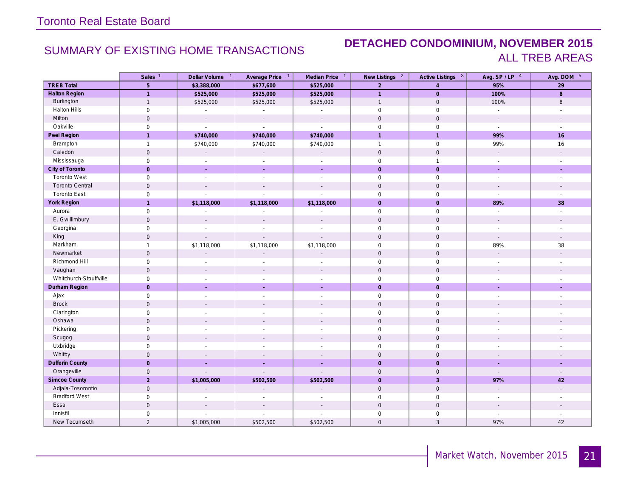### SUMMARY OF EXISTING HOME TRANSACTIONS **DETACHED CONDOMINIUM, NOVEMBER 2015** ALL TREB AREAS

|                        | Sales <sup>1</sup>  | Dollar Volume 1          | Average Price 1          | Median Price 1              | New Listings <sup>2</sup> | Active Listings <sup>3</sup> | Avg. $SP / LP$ <sup>4</sup> | Avg. DOM 5               |
|------------------------|---------------------|--------------------------|--------------------------|-----------------------------|---------------------------|------------------------------|-----------------------------|--------------------------|
| <b>TREB Total</b>      | $\sqrt{5}$          | \$3,388,000              | \$677,600                | \$525,000                   | $\overline{2}$            | $\overline{4}$               | 95%                         | $\overline{29}$          |
| <b>Halton Region</b>   | $\overline{1}$      | \$525,000                | \$525,000                | \$525,000                   | $\overline{1}$            | $\overline{0}$               | 100%                        | 8                        |
| Burlington             | $\mathbf{1}$        | \$525,000                | \$525,000                | \$525,000                   | $\mathbf{1}$              | $\mathbf 0$                  | 100%                        | $\, 8$                   |
| <b>Halton Hills</b>    | $\mathbf 0$         | $\sim$                   |                          | $\overline{a}$              | $\mathbf 0$               | $\mathbf 0$                  |                             |                          |
| Milton                 | $\mathbf 0$         | $\mathbb{L}$             | $\mathcal{L}$            | $\mathcal{L}_{\mathcal{A}}$ | $\mathbf 0$               | $\mathbf 0$                  | $\sim$                      |                          |
| Oakville               | $\mathbf 0$         | $\mathcal{L}$            | $\mathcal{L}$            | $\mathbb{Z}^{\mathbb{Z}}$   | $\mathbf 0$               | $\mathbf 0$                  | $\sim$                      | $\sim$                   |
| Peel Region            | $\mathbf{1}$        | \$740,000                | \$740,000                | \$740,000                   | $\overline{1}$            | $\overline{1}$               | 99%                         | 16                       |
| Brampton               | $\overline{1}$      | \$740,000                | \$740,000                | \$740,000                   | $\mathbf{1}$              | $\mathsf{O}\xspace$          | 99%                         | 16                       |
| Caledon                | $\mathsf{O}\xspace$ | $\sim$                   |                          | $\mathcal{L}^{\pm}$         | $\mathbf 0$               | $\mathbf 0$                  |                             |                          |
| Mississauga            | $\mathsf{O}\xspace$ | $\overline{a}$           |                          | $\overline{a}$              | $\mathbf 0$               | $\overline{1}$               |                             |                          |
| City of Toronto        | $\mathbf{0}$        | ÷.                       | ÷.                       | ÷.                          | $\mathbf{0}$              | $\overline{0}$               | ÷.                          | ÷.                       |
| <b>Toronto West</b>    | $\mathsf{O}\xspace$ | $\mathcal{L}$            | $\sim$                   | $\sim$                      | $\mathbf 0$               | $\mathsf 0$                  | $\sim$                      | $\sim$                   |
| <b>Toronto Central</b> | $\mathbf 0$         | $\sim$                   | $\overline{a}$           | $\sim$                      | $\mathbf{0}$              | $\mathsf{O}$                 | $\sim$                      | $\sim$                   |
| <b>Toronto East</b>    | $\mathsf{O}\xspace$ | $\overline{a}$           |                          | $\overline{a}$              | $\mathbf 0$               | $\mathsf{O}\xspace$          | $\sim$                      |                          |
| York Region            | $\mathbf{1}$        | \$1,118,000              | \$1,118,000              | \$1,118,000                 | $\overline{0}$            | $\overline{0}$               | 89%                         | 38                       |
| Aurora                 | $\mathsf{O}\xspace$ | $\overline{\phantom{a}}$ | $\sim$                   | $\overline{\phantom{a}}$    | $\mathbf 0$               | $\mathbf 0$                  | $\mathcal{L}_{\mathcal{A}}$ | $\overline{\phantom{a}}$ |
| E. Gwillimbury         | $\mathbf 0$         |                          |                          |                             | $\mathbf 0$               | $\mathbf 0$                  |                             |                          |
| Georgina               | $\mathsf{O}\xspace$ | $\overline{\phantom{a}}$ |                          |                             | $\mathbf 0$               | $\mathsf 0$                  | $\sim$                      |                          |
| King                   | $\mathsf{O}$        | $\overline{a}$           |                          | $\overline{a}$              | $\mathbf 0$               | $\mathsf{O}$                 | $\mathcal{L}$               | $\mathbf{r}$             |
| Markham                | $\mathbf{1}$        | \$1,118,000              | \$1,118,000              | \$1,118,000                 | $\mathbf{0}$              | $\mathbf 0$                  | 89%                         | 38                       |
| Newmarket              | $\mathsf{O}\xspace$ | $\overline{a}$           |                          |                             | $\mathbf 0$               | $\mathsf{O}$                 | $\sim$                      |                          |
| Richmond Hill          | $\mathsf{O}\xspace$ |                          |                          |                             | $\mathbf 0$               | $\mathsf{O}$                 |                             |                          |
| Vaughan                | $\mathbf 0$         | $\overline{\phantom{a}}$ |                          | $\overline{\phantom{a}}$    | $\mathbf 0$               | $\mathbf 0$                  | $\sim$                      |                          |
| Whitchurch-Stouffville | $\mathbf 0$         | $\overline{a}$           | $\sim$                   | $\mathbf{r}$                | $\mathbf 0$               | $\mathbf 0$                  | $\sim$                      |                          |
| Durham Region          | $\mathsf{O}\xspace$ | ÷,                       | $\mathcal{L}$            | ÷.                          | $\overline{0}$            | $\overline{0}$               | $\sim$                      | $\sim$                   |
| Ajax                   | $\mathsf{O}\xspace$ | $\sim$                   | $\sim$                   | $\sim$                      | $\mathbf 0$               | $\mathbf 0$                  | $\sim$                      | $\sim$                   |
| <b>Brock</b>           | $\mathsf{O}\xspace$ | $\overline{\phantom{a}}$ |                          | $\overline{\phantom{a}}$    | $\mathbf 0$               | $\mathbf 0$                  |                             |                          |
| Clarington             | $\mathbf 0$         | $\overline{\phantom{a}}$ |                          | ÷                           | $\mathbf 0$               | $\mathsf{O}\xspace$          |                             |                          |
| Oshawa                 | $\mathsf{O}\xspace$ | $\overline{\phantom{a}}$ |                          | $\overline{a}$              | $\mathbf 0$               | $\mathbf 0$                  |                             |                          |
| Pickering              | $\mathsf{O}\xspace$ | $\sim$                   | $\overline{\phantom{a}}$ | $\overline{\phantom{a}}$    | $\mathbf 0$               | $\mathbf 0$                  | $\sim$                      |                          |
| Scugog                 | $\mathbf 0$         | $\overline{a}$           |                          | $\overline{a}$              | $\overline{0}$            | $\mathbf 0$                  | $\overline{a}$              |                          |
| Uxbridge               | $\mathbf 0$         | $\overline{\phantom{a}}$ |                          | $\overline{a}$              | $\mathbf 0$               | $\mathsf{O}\xspace$          |                             |                          |
| Whitby                 | $\mathbf 0$         | $\overline{a}$           |                          |                             | $\mathbf{0}$              | $\mathbf{0}$                 |                             |                          |
| Dufferin County        | $\mathsf{O}\xspace$ | ÷,                       |                          | ÷,                          | $\overline{0}$            | $\overline{0}$               |                             |                          |
| Orangeville            | $\mathsf{O}$        |                          |                          |                             | $\mathbf 0$               | $\mathbf 0$                  |                             |                          |
| Simcoe County          | $\overline{2}$      | \$1,005,000              | \$502,500                | \$502,500                   | $\mathbf{0}$              | $\overline{3}$               | 97%                         | 42                       |
| Adjala-Tosorontio      | $\mathbf 0$         |                          |                          |                             | $\mathbf 0$               | $\mathbf 0$                  |                             |                          |
| <b>Bradford West</b>   | $\mathbf 0$         | $\overline{a}$           |                          | $\overline{a}$              | $\mathbf 0$               | $\mathbf 0$                  | $\sim$                      |                          |
| Essa                   | $\mathsf{O}\xspace$ |                          |                          |                             | $\mathbf 0$               | $\mathsf{O}$                 |                             |                          |
| Innisfil               | $\mathsf{O}\xspace$ |                          |                          |                             | $\mathbf 0$               | $\mathbf 0$                  |                             |                          |
| New Tecumseth          | $\sqrt{2}$          | \$1,005,000              | \$502,500                | \$502,500                   | $\mathbf 0$               | 3                            | 97%                         | 42                       |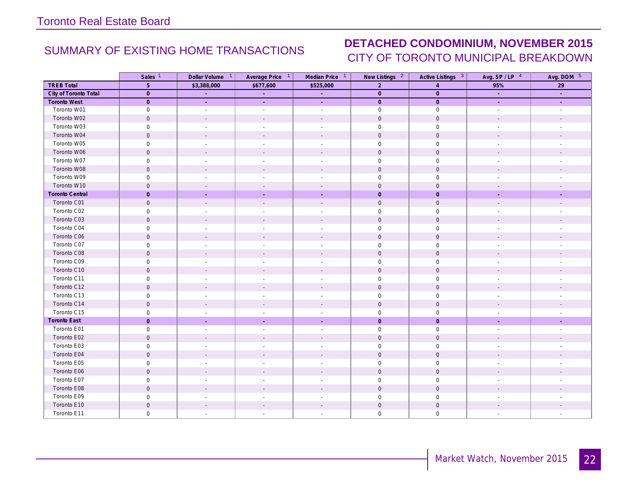### SUMMARY OF EXISTING HOME TRANSACTIONS **DETACHED CONDOMINIUM, NOVEMBER 2015** CITY OF TORONTO MUNICIPAL BREAKDOWN

|                        | Sales <sup>1</sup>  | Dollar Volume <sup>1</sup> | Average Price 1          | Median Price 1              | New Listings <sup>2</sup> | Active Listings 3   | Avg. SP/LP 4             | Avg. DOM 5               |
|------------------------|---------------------|----------------------------|--------------------------|-----------------------------|---------------------------|---------------------|--------------------------|--------------------------|
| <b>TREB Total</b>      | 5 <sup>5</sup>      | \$3,388,000                | \$677,600                | \$525,000                   | $\overline{2}$            | $\overline{A}$      | 95%                      | 29                       |
| City of Toronto Total  | $\overline{0}$      | $\sim$                     | $\sim$                   | $\mathcal{L}^{\pm}$         | $\overline{0}$            | $\overline{0}$      | a.                       | ÷.                       |
| <b>Toronto West</b>    | $\overline{0}$      | ÷.                         | $\sim$                   | $\mathcal{L}^{\mathcal{A}}$ | $\overline{0}$            | $\mathbf{0}$        | ÷.                       | ÷.                       |
| Toronto W01            | $\mathsf{O}\xspace$ | $\sim$                     | $\blacksquare$           | $\sim$                      | $\mathsf 0$               | $\mathsf{O}\xspace$ | $\sim$                   | $\overline{\phantom{a}}$ |
| Toronto W02            | $\mathbf 0$         | $\overline{\phantom{a}}$   | $\overline{\phantom{a}}$ | $\mathbf{r}$                | $\mathbf 0$               | $\mathsf{O}\xspace$ |                          | $\overline{a}$           |
| Toronto W03            | $\mathbf 0$         | $\overline{\phantom{a}}$   | $\overline{a}$           | $\overline{\phantom{a}}$    | $\mathsf 0$               | $\mathsf{O}\xspace$ |                          |                          |
| Toronto W04            | $\mathbf 0$         |                            |                          | $\overline{\phantom{a}}$    | $\mathbf 0$               | $\mathsf{O}\xspace$ |                          |                          |
| Toronto W05            | $\mathsf{O}\xspace$ |                            | $\overline{\phantom{a}}$ | $\sim$                      | $\mathsf 0$               | $\mathsf{O}$        | ÷                        |                          |
| Toronto W06            | $\mathsf{O}\xspace$ | $\sim$                     | $\sim$                   | $\sim$                      | $\mathsf{O}$              | $\mathsf{O}\xspace$ | $\overline{\phantom{a}}$ | $\overline{\phantom{a}}$ |
| Toronto W07            | $\mathbf 0$         | $\sim$                     | $\overline{\phantom{a}}$ | $\overline{\phantom{a}}$    | $\mathbf 0$               | $\mathbf 0$         | $\overline{\phantom{a}}$ | $\overline{\phantom{a}}$ |
| Toronto W08            | $\mathbf 0$         |                            |                          |                             | $\mathbf 0$               | $\mathsf{O}\xspace$ |                          |                          |
| Toronto W09            | $\mathsf{O}\xspace$ | $\overline{\phantom{a}}$   |                          | $\sim$                      | $\mathsf{O}\xspace$       | $\mathsf{O}$        |                          |                          |
| Toronto W10            | $\mathbf 0$         |                            |                          |                             | $\mathbf 0$               | $\mathbf 0$         |                          |                          |
| <b>Toronto Central</b> | $\mathbf{0}$        |                            |                          |                             | $\mathbf 0$               | $\mathbf 0$         |                          |                          |
| Toronto C01            | $\mathsf{O}\xspace$ | $\overline{\phantom{a}}$   | $\overline{\phantom{a}}$ | $\mathcal{L}$               | $\mathsf{O}$              | $\mathsf{O}$        | $\overline{a}$           |                          |
| Toronto C02            | $\mathbf 0$         | $\sim$                     | $\sim$                   | $\sim$                      | $\mathsf 0$               | $\mathsf{O}$        | $\overline{\phantom{a}}$ | $\overline{\phantom{a}}$ |
| Toronto C03            | $\mathbf 0$         | $\overline{\phantom{a}}$   | $\overline{\phantom{a}}$ | $\overline{\phantom{a}}$    | $\mathbf 0$               | $\mathsf{O}\xspace$ | $\overline{a}$           |                          |
| Toronto C04            | $\mathsf{O}\xspace$ | $\overline{\phantom{a}}$   | $\overline{\phantom{a}}$ | $\overline{\phantom{a}}$    | $\mathsf{O}\xspace$       | $\mathsf{O}$        |                          |                          |
| Toronto C06            | $\mathbf 0$         | $\sim$                     | $\sim$                   | $\sim$                      | $\mathbf 0$               | $\mathsf{O}\xspace$ | $\overline{\phantom{a}}$ | $\overline{\phantom{a}}$ |
| Toronto C07            | $\mathsf{O}\xspace$ | $\overline{a}$             | $\overline{\phantom{a}}$ | $\overline{\phantom{a}}$    | $\mathsf 0$               | $\mathsf{O}\xspace$ | $\sim$                   |                          |
| Toronto C08            | $\mathbf 0$         | $\overline{\phantom{a}}$   | $\overline{\phantom{a}}$ | $\overline{\phantom{a}}$    | $\mathsf{O}$              | $\mathbf 0$         |                          |                          |
| Toronto C09            | $\mathsf{O}\xspace$ | $\sim$                     | $\overline{\phantom{a}}$ | $\sim$                      | $\mathsf 0$               | $\mathsf{O}\xspace$ | $\overline{\phantom{a}}$ | $\overline{\phantom{a}}$ |
| Toronto C10            | $\mathbf 0$         | $\overline{a}$             | $\overline{\phantom{a}}$ | $\overline{a}$              | $\mathsf{O}$              | $\mathsf{O}\xspace$ | $\overline{a}$           |                          |
| Toronto C11            | $\mathsf{O}\xspace$ | $\overline{\phantom{a}}$   | $\overline{\phantom{a}}$ | $\overline{\phantom{a}}$    | $\mathsf{O}\xspace$       | $\boldsymbol{0}$    | $\overline{\phantom{a}}$ |                          |
| Toronto C12            | $\mathsf{O}\xspace$ |                            |                          | $\mathbf{r}$                | $\mathsf{O}$              | $\mathsf{O}\xspace$ | $\overline{a}$           |                          |
| Toronto C13            | $\mathbf 0$         | $\sim$                     | $\sim$                   | $\overline{\phantom{a}}$    | $\mathsf 0$               | $\mathsf{O}$        | $\overline{\phantom{a}}$ |                          |
| Toronto C14            | $\mathsf{O}\xspace$ | $\overline{\phantom{a}}$   | $\overline{\phantom{a}}$ | $\overline{\phantom{a}}$    | $\mathbf 0$               | $\mathsf{O}\xspace$ | $\overline{\phantom{a}}$ |                          |
| Toronto C15            | $\mathsf 0$         | $\sim$                     | $\overline{\phantom{a}}$ | $\sim$                      | $\mathsf{O}\xspace$       | $\mathsf{O}$        | $\overline{\phantom{a}}$ | $\overline{\phantom{a}}$ |
| <b>Toronto East</b>    | $\mathbf{0}$        | $\sim$                     | $\sim$                   | $\sim$                      | $\overline{0}$            | $\mathbf 0$         | ÷.                       | ÷,                       |
| Toronto E01            | $\mathsf{O}\xspace$ | $\overline{\phantom{a}}$   | $\overline{\phantom{a}}$ | $\sim$                      | $\mathsf{O}\xspace$       | $\mathsf{O}\xspace$ | $\overline{\phantom{a}}$ | $\overline{\phantom{a}}$ |
| Toronto E02            | $\mathbf 0$         |                            |                          |                             | $\mathbf 0$               | $\mathbf 0$         |                          |                          |
| Toronto E03            | $\mathbf 0$         | $\overline{\phantom{a}}$   | $\sim$                   | $\overline{\phantom{a}}$    | $\mathbf 0$               | $\mathbf 0$         | $\overline{\phantom{a}}$ | $\overline{\phantom{a}}$ |
| Toronto E04            | $\mathbf 0$         | $\sim$                     | $\sim$                   | $\sim$                      | $\mathbf 0$               | $\mathsf{O}\xspace$ | $\overline{\phantom{a}}$ | $\overline{\phantom{a}}$ |
| Toronto E05            | $\mathsf 0$         | $\sim$                     | $\sim$                   | $\sim$                      | $\mathsf{O}\xspace$       | $\mathsf{O}\xspace$ | ÷,                       | $\overline{\phantom{a}}$ |
| Toronto E06            | $\mathsf{O}\xspace$ | $\overline{\phantom{a}}$   | $\overline{\phantom{a}}$ | $\overline{\phantom{a}}$    | $\mathsf{O}\xspace$       | $\mathsf{O}\xspace$ | $\overline{\phantom{a}}$ |                          |
| Toronto E07            | $\mathbf 0$         |                            | $\overline{\phantom{a}}$ | $\overline{\phantom{a}}$    | $\mathsf{O}\xspace$       | $\mathsf{O}$        | $\overline{\phantom{m}}$ |                          |
| Toronto E08            | $\mathbf 0$         |                            |                          | $\overline{\phantom{a}}$    | $\mathbf 0$               | $\mathsf{O}\xspace$ | $\overline{\phantom{a}}$ |                          |
| Toronto E09            | $\mathsf{O}\xspace$ | $\overline{\phantom{a}}$   | $\overline{\phantom{a}}$ | $\overline{\phantom{a}}$    | $\mathbf 0$               | $\mathsf{O}$        | $\overline{\phantom{a}}$ |                          |
| Toronto E10            | $\mathsf{O}\xspace$ | $\mathbf{r}$               | $\sim$                   | $\sim$                      | $\mathbf 0$               | $\mathsf{O}$        | $\overline{\phantom{a}}$ |                          |
| Toronto E11            | $\mathbf 0$         | $\sim$                     | $\mathbf{r}$             | $\mathbf{r}$                | $\mathbf 0$               | $\mathsf{O}\xspace$ | $\sim$                   |                          |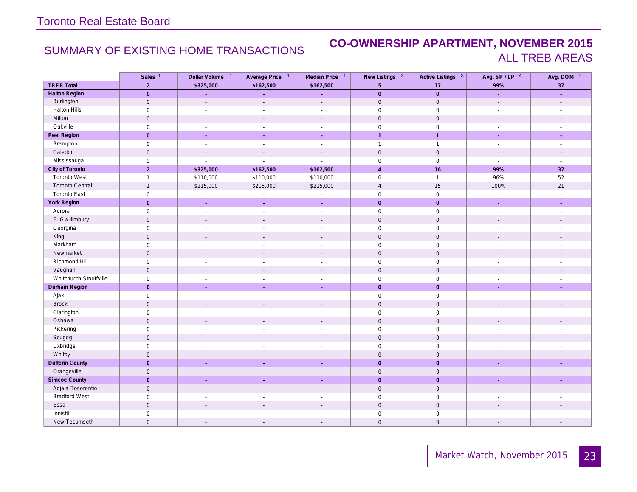### SUMMARY OF EXISTING HOME TRANSACTIONS **CO-OWNERSHIP APARTMENT, NOVEMBER 2015** ALL TREB AREAS

|                        | Sales <sup>1</sup>  | Dollar Volume 1          | Average Price 1          | Median Price <sup>1</sup> | New Listings <sup>2</sup> | Active Listings <sup>3</sup> | Avg. SP/LP 4                | Avg. DOM 5               |
|------------------------|---------------------|--------------------------|--------------------------|---------------------------|---------------------------|------------------------------|-----------------------------|--------------------------|
| <b>TREB Total</b>      | $\overline{2}$      | \$325,000                | \$162,500                | \$162,500                 | $5\phantom{.}$            | 17                           | 99%                         | 37                       |
| <b>Halton Region</b>   | $\mathsf{O}$        | ä,                       | ÷.                       | L,                        | $\overline{0}$            | $\mathbf 0$                  | ¥.                          | $\omega$                 |
| Burlington             | $\mathsf{O}\xspace$ | $\mathbf{r}$             | $\overline{a}$           | $\overline{a}$            | $\mathbf 0$               | $\mathbb O$                  | $\overline{a}$              | $\overline{a}$           |
| Halton Hills           | $\mathsf 0$         | $\overline{\phantom{a}}$ | $\overline{\phantom{a}}$ | $\overline{\phantom{a}}$  | $\mathsf{O}\xspace$       | $\mathsf{O}\xspace$          | $\overline{\phantom{a}}$    |                          |
| Milton                 | $\mathsf{O}$        | $\mathbf{r}$             | $\sim$                   | $\sim$                    | $\mathbf 0$               | $\mathbf 0$                  | $\sim$                      | $\sim$                   |
| Oakville               | $\mathbf 0$         | $\sim$                   | $\sim$                   | $\sim$                    | $\mathbf 0$               | $\mathbf 0$                  | $\sim$                      | $\sim$                   |
| Peel Region            | $\mathbf 0$         | $\mathcal{L}$            | $\mathcal{L}$            | ÷.                        | $\overline{1}$            | $\overline{1}$               | $\sim$                      | $\mathcal{L}$            |
| Brampton               | $\mathsf{O}\xspace$ | $\sim$                   | $\sim$                   | $\sim$                    | $\mathbf{1}$              | $\overline{1}$               | $\sim$                      | $\sim$                   |
| Caledon                | $\mathbf 0$         | $\overline{\phantom{a}}$ | $\blacksquare$           | $\overline{\phantom{a}}$  | $\mathbf 0$               | $\mathbf 0$                  | $\sim$                      | $\overline{\phantom{a}}$ |
| Mississauga            | $\mathsf{O}$        |                          |                          | $\overline{a}$            | $\mathsf{O}\xspace$       | $\mathsf{O}\xspace$          | L,                          | $\overline{a}$           |
| City of Toronto        | $\overline{2}$      | \$325,000                | \$162,500                | \$162,500                 | $\overline{4}$            | 16                           | 99%                         | 37                       |
| <b>Toronto West</b>    | $\mathbf{1}$        | \$110,000                | \$110,000                | \$110,000                 | $\mathsf{O}\xspace$       | $\overline{1}$               | 96%                         | 52                       |
| <b>Toronto Central</b> | $\mathbf{1}$        | \$215,000                | \$215,000                | \$215,000                 | $\overline{4}$            | 15                           | 100%                        | 21                       |
| <b>Toronto East</b>    | $\mathsf{O}$        | $\overline{\phantom{a}}$ | $\overline{\phantom{a}}$ | $\overline{\phantom{a}}$  | $\mathsf{O}\xspace$       | $\mathsf{O}$                 | $\overline{\phantom{a}}$    | $\overline{\phantom{a}}$ |
| York Region            | $\mathbf 0$         |                          | $\mathcal{L}$            | ÷,                        | $\mathbf 0$               | $\mathbf 0$                  | $\mathcal{L}$               | ÷.                       |
| Aurora                 | $\mathsf{O}\xspace$ | $\sim$                   | $\sim$                   | $\overline{\phantom{a}}$  | $\mathbf 0$               | $\mathsf{O}$                 | $\mathcal{L}_{\mathcal{A}}$ | $\sim$                   |
| E. Gwillimbury         | $\mathsf{O}$        | $\overline{\phantom{a}}$ | $\blacksquare$           | $\overline{\phantom{a}}$  | $\mathbf 0$               | $\mathbf 0$                  | $\overline{\phantom{a}}$    | $\overline{\phantom{a}}$ |
| Georgina               | $\mathsf{O}\xspace$ | $\sim$                   | $\overline{\phantom{a}}$ | $\sim$                    | $\mathbf 0$               | $\mathsf{O}\xspace$          | $\sim$                      | ÷,                       |
| King                   | $\mathbf 0$         | $\sim$                   | $\sim$                   | $\overline{\phantom{a}}$  | $\mathbf 0$               | $\mathbf 0$                  | $\sim$                      |                          |
| Markham                | $\mathsf{O}\xspace$ | $\overline{a}$           | $\overline{\phantom{a}}$ | $\overline{a}$            | $\mathsf{O}\xspace$       | $\mathsf{O}\xspace$          | $\sim$                      |                          |
| Newmarket              | $\mathsf{O}$        |                          | $\overline{\phantom{a}}$ | $\overline{\phantom{a}}$  | $\mathsf{O}$              | $\mathbf 0$                  |                             |                          |
| Richmond Hill          | $\mathsf{O}\xspace$ | $\sim$                   | $\sim$                   | $\overline{a}$            | $\mathsf{O}\xspace$       | $\mathsf{O}\xspace$          | $\overline{a}$              | ÷,                       |
| Vaughan                | $\mathsf{O}$        | $\mathcal{L}$            | $\blacksquare$           | $\mathcal{L}$             | $\mathbf 0$               | $\mathsf{O}\xspace$          | $\sim$                      | $\overline{\phantom{a}}$ |
| Whitchurch-Stouffville | $\mathsf{O}$        | $\sim$                   | $\sim$                   | $\frac{1}{2}$             | $\mathsf{O}\xspace$       | $\mathsf{O}$                 | $\overline{\phantom{a}}$    |                          |
| Durham Region          | $\overline{0}$      | $\sim$                   | $\sim$                   | ÷.                        | $\mathbf{0}$              | $\mathbf 0$                  | ÷.                          | ÷.                       |
| Ajax                   | $\mathsf{O}\xspace$ | $\sim$                   | $\blacksquare$           | $\overline{\phantom{a}}$  | $\mathbf 0$               | $\mathsf{O}$                 | $\blacksquare$              | $\blacksquare$           |
| <b>Brock</b>           | $\mathsf{O}$        | $\overline{a}$           | $\overline{a}$           | $\overline{a}$            | $\mathsf{O}$              | $\mathsf{O}\xspace$          | $\overline{a}$              | $\overline{\phantom{a}}$ |
| Clarington             | $\mathsf{O}$        | $\overline{\phantom{a}}$ | $\overline{\phantom{a}}$ | $\overline{\phantom{a}}$  | $\mathsf{O}\xspace$       | $\mathsf{O}$                 | $\sim$                      |                          |
| Oshawa                 | $\mathsf{O}$        |                          | $\mathbf{r}$             | $\sim$                    | $\mathbf 0$               | $\mathbf 0$                  | $\mathbf{r}$                |                          |
| Pickering              | $\mathbf 0$         | $\overline{\phantom{a}}$ | $\sim$                   | $\overline{a}$            | $\mathsf{O}\xspace$       | $\mathbf 0$                  | $\overline{\phantom{a}}$    | $\overline{\phantom{a}}$ |
| Scugog                 | $\mathsf{O}$        | $\mathbf{r}$             | $\mathbf{r}$             | $\mathcal{L}$             | $\mathsf{O}\xspace$       | $\mathbf 0$                  | $\overline{\phantom{a}}$    |                          |
| Uxbridge               | $\mathbf 0$         | $\overline{a}$           | $\overline{a}$           | $\overline{a}$            | $\mathsf{O}\xspace$       | $\mathbf 0$                  |                             |                          |
| Whitby                 | $\mathbf 0$         |                          |                          | $\overline{\phantom{a}}$  | $\mathsf{O}\xspace$       | $\mathbf 0$                  |                             |                          |
| <b>Dufferin County</b> | $\mathbf 0$         |                          |                          |                           | $\mathbf 0$               | $\mathsf{O}$                 |                             |                          |
| Orangeville            | $\mathbf 0$         | $\sim$                   | $\overline{\phantom{a}}$ | $\overline{\phantom{a}}$  | $\mathbf 0$               | $\mathbf 0$                  |                             | $\overline{\phantom{a}}$ |
| <b>Simcoe County</b>   | $\mathbf 0$         |                          | $\sim$                   | ÷                         | $\pmb{0}$                 | $\mathsf{O}$                 |                             | ÷,                       |
| Adjala-Tosorontio      | $\mathbf 0$         | $\mathbf{r}$             | $\mathbf{r}$             | ۰                         | $\mathbf 0$               | $\mathsf{O}\xspace$          | $\overline{a}$              | $\overline{a}$           |
| <b>Bradford West</b>   | $\mathsf{O}$        |                          |                          | $\overline{a}$            | $\mathbf 0$               | $\mathbf 0$                  |                             |                          |
| Essa                   | $\mathsf{O}\xspace$ |                          |                          |                           | $\mathsf{O}\xspace$       | $\mathsf{O}\xspace$          |                             |                          |
| Innisfil               | $\mathbf 0$         |                          |                          | $\overline{a}$            | $\mathbf 0$               | $\mathbf 0$                  |                             |                          |
| New Tecumseth          | $\mathbf 0$         |                          |                          |                           | $\mathbf{0}$              | $\mathbf 0$                  |                             |                          |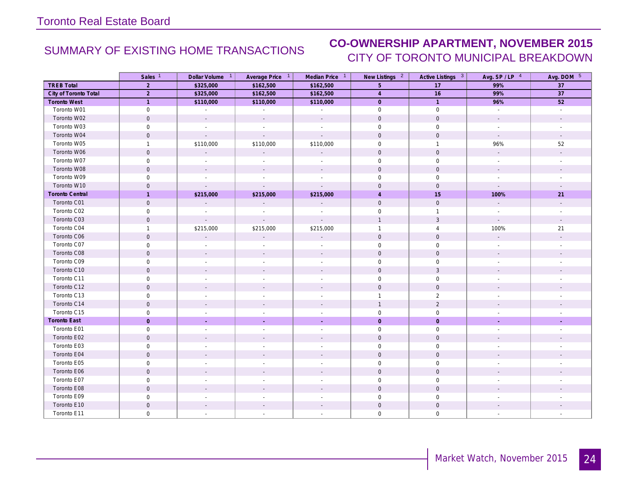# SUMMARY OF EXISTING HOME TRANSACTIONS **CO-OWNERSHIP APARTMENT, NOVEMBER 2015** CITY OF TORONTO MUNICIPAL BREAKDOWN

|                        | Sales <sup>1</sup>  | Dollar Volume <sup>1</sup> | Average Price 1          | Median Price 1              | New Listings <sup>2</sup> | Active Listings 3   | Avg. $SP / LP$ <sup>4</sup> | Avg. DOM 5               |
|------------------------|---------------------|----------------------------|--------------------------|-----------------------------|---------------------------|---------------------|-----------------------------|--------------------------|
| <b>TREB Total</b>      | 2                   | \$325,000                  | \$162,500                | \$162,500                   | 5                         | 17                  | 99%                         | 37                       |
| City of Toronto Total  | 2                   | \$325,000                  | \$162,500                | \$162,500                   | $\overline{4}$            | 16                  | 99%                         | 37                       |
| <b>Toronto West</b>    | $\mathbf{1}$        | \$110,000                  | \$110,000                | \$110,000                   | $\overline{0}$            | $\overline{1}$      | 96%                         | 52                       |
| Toronto W01            | $\mathsf{O}\xspace$ | $\sim$                     | $\sim$                   | $\sim$                      | $\mathsf 0$               | $\mathsf 0$         | $\sim$                      | $\sim$                   |
| Toronto W02            | $\mathbf 0$         | $\sim$                     |                          | $\mathcal{L}$               | $\mathbf{0}$              | $\mathbf 0$         |                             |                          |
| Toronto W03            | $\mathsf{O}\xspace$ | $\sim$                     |                          |                             | $\mathbf 0$               | $\mathbf 0$         | $\overline{\phantom{a}}$    |                          |
| Toronto W04            | $\mathbf 0$         | $\mathbb{Z}^+$             |                          | $\overline{\phantom{a}}$    | $\mathbf 0$               | $\mathbf 0$         | $\mathcal{L}_{\mathcal{A}}$ |                          |
| Toronto W05            | $\mathbf{1}$        | \$110,000                  | \$110,000                | \$110,000                   | $\mathbf 0$               | $\overline{1}$      | 96%                         | 52                       |
| Toronto W06            | $\mathbf 0$         | $\overline{\phantom{a}}$   |                          | ÷.                          | $\mathbf{0}$              | $\mathbf{0}$        |                             |                          |
| Toronto W07            | $\mathbf 0$         | $\overline{\phantom{a}}$   |                          | $\overline{\phantom{a}}$    | $\mathbf 0$               | $\mathbf 0$         | $\overline{\phantom{a}}$    | $\sim$                   |
| Toronto W08            | $\mathsf{O}\xspace$ | $\sim$                     |                          |                             | $\mathsf{O}$              | $\mathsf{O}$        | $\overline{a}$              |                          |
| Toronto W09            | $\mathbf 0$         |                            |                          |                             | $\mathbf 0$               | $\mathbf 0$         |                             |                          |
| Toronto W10            | $\mathbf 0$         | $\sim$                     |                          | $\sim$                      | $\mathbf{0}$              | $\mathbf 0$         | $\mathcal{L}^{\mathcal{A}}$ |                          |
| <b>Toronto Central</b> | $\mathbf{1}$        | \$215,000                  | \$215,000                | \$215,000                   | $\overline{4}$            | 15                  | 100%                        | 21                       |
| Toronto C01            | $\mathsf{O}\xspace$ | $\Box$                     | $\sim$                   | $\mathcal{L}_{\mathcal{A}}$ | $\mathbf 0$               | $\mathsf{O}\xspace$ | $\mathbb{Z}^{\mathbb{Z}}$   | $\mathcal{L}$            |
| Toronto C02            | $\mathsf{O}\xspace$ | $\sim$                     |                          | $\overline{\phantom{a}}$    | $\mathbf 0$               | $\mathbf{1}$        | $\sim$                      | $\overline{\phantom{a}}$ |
| Toronto C03            | $\mathbf 0$         | $\sim$                     | $\sim$                   | $\sim$                      | $\mathbf{1}$              | $\mathbf{3}$        | $\sim$                      |                          |
| Toronto C04            | $\mathbf{1}$        | \$215,000                  | \$215,000                | \$215,000                   | $\mathbf{1}$              | $\overline{4}$      | 100%                        | 21                       |
| Toronto C06            | $\mathbf 0$         | $\mathbb{Z}^2$             |                          | $\mathcal{L}$               | $\mathbf 0$               | $\mathbf 0$         | $\mathcal{L}_{\mathcal{A}}$ |                          |
| Toronto C07            | $\mathsf{O}\xspace$ | $\overline{\phantom{a}}$   |                          | $\overline{\phantom{a}}$    | $\mathbf 0$               | $\mathsf{O}\xspace$ | $\sim$                      |                          |
| Toronto C08            | $\mathbf 0$         | $\sim$                     |                          |                             | $\mathbf{0}$              | $\mathbf 0$         |                             |                          |
| Toronto C09            | $\mathsf{O}\xspace$ | $\sim$                     | $\overline{\phantom{a}}$ | $\overline{\phantom{a}}$    | $\mathbf 0$               | $\mathsf{O}\xspace$ | $\sim$                      |                          |
| Toronto C10            | $\mathsf{O}\xspace$ | $\sim$                     |                          | $\overline{a}$              | $\mathbf 0$               | $\sqrt{3}$          | $\overline{a}$              |                          |
| Toronto C11            | $\mathsf{O}\xspace$ |                            |                          |                             | $\mathbf 0$               | $\mathsf{O}$        |                             |                          |
| Toronto C12            | $\mathbf 0$         | $\overline{\phantom{a}}$   |                          | $\mathbf{r}$                | $\mathbf 0$               | $\mathbf 0$         |                             |                          |
| Toronto C13            | $\mathbf 0$         | $\overline{\phantom{a}}$   |                          | $\overline{a}$              | $\mathbf{1}$              | 2                   |                             |                          |
| Toronto C14            | $\mathsf{O}\xspace$ | $\overline{\phantom{a}}$   |                          |                             | $\mathbf{1}$              | $\overline{2}$      |                             |                          |
| Toronto C15            | $\mathsf{O}\xspace$ | $\overline{\phantom{a}}$   |                          | $\overline{\phantom{a}}$    | $\mathsf{O}\xspace$       | $\mathsf{O}\xspace$ | $\overline{\phantom{a}}$    |                          |
| <b>Toronto East</b>    | $\overline{0}$      | $\sim$                     | $\sim$                   | ÷.                          | $\overline{0}$            | $\mathbf{0}$        | ÷.                          | ÷,                       |
| Toronto E01            | $\mathbf 0$         | $\sim$                     |                          | $\overline{\phantom{a}}$    | $\mathbf 0$               | $\mathbf 0$         | $\overline{\phantom{a}}$    |                          |
| Toronto E02            | $\mathsf{O}\xspace$ | $\overline{\phantom{a}}$   |                          |                             | $\mathbf 0$               | $\mathbf 0$         |                             |                          |
| Toronto E03            | $\mathsf{O}\xspace$ | $\sim$                     |                          | $\sim$                      | $\mathbf 0$               | $\mathsf{O}\xspace$ |                             |                          |
| Toronto E04            | $\mathbf 0$         | $\overline{\phantom{a}}$   |                          |                             | $\mathbf{0}$              | $\mathbf 0$         |                             |                          |
| Toronto E05            | $\mathsf{O}\xspace$ | $\sim$                     |                          | $\overline{\phantom{a}}$    | $\mathbf 0$               | $\mathsf{O}\xspace$ |                             |                          |
| Toronto E06            | $\mathbf 0$         | $\sim$                     |                          |                             | $\mathsf{O}\xspace$       | $\mathsf{O}\xspace$ |                             |                          |
| Toronto E07            | $\mathsf{O}\xspace$ |                            |                          |                             | $\mathsf{O}\xspace$       | $\mathsf{O}$        |                             |                          |
| Toronto E08            | $\mathbf 0$         |                            |                          |                             | $\mathbf 0$               | $\mathbf 0$         |                             |                          |
| Toronto E09            | $\mathbf 0$         | $\sim$                     |                          | ٠                           | $\mathbf 0$               | $\mathbf 0$         |                             |                          |
| Toronto E10            | $\mathbf 0$         |                            |                          |                             | $\mathbf 0$               | $\mathbf 0$         |                             |                          |
| Toronto E11            | $\mathbf{0}$        | $\overline{\phantom{a}}$   |                          |                             | $\mathbf 0$               | $\mathbf 0$         |                             |                          |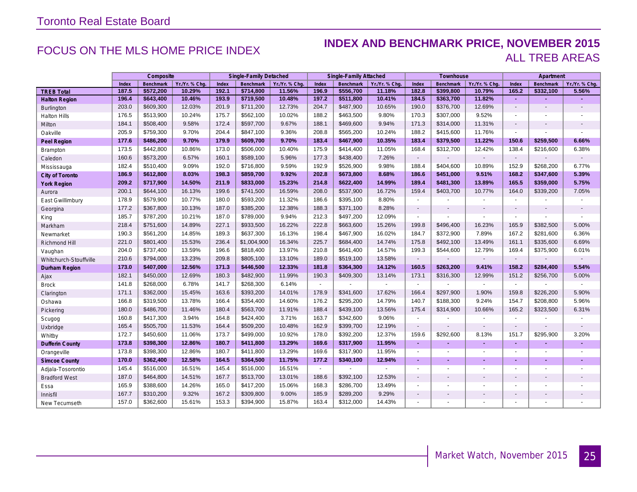### FOCUS ON THE MLS HOME PRICE INDEX **INDEX AND BENCHMARK PRICE, NOVEMBER 2015** ALL TREB AREAS

|                        |       | Composite        |                |       | Single-Family Detached |                |                | Single-Family Attached   |                |                          | Townhouse                |                          |                          | Apartment                |                          |
|------------------------|-------|------------------|----------------|-------|------------------------|----------------|----------------|--------------------------|----------------|--------------------------|--------------------------|--------------------------|--------------------------|--------------------------|--------------------------|
|                        | Index | <b>Benchmark</b> | Yr./Yr. % Chq. | Index | <b>Benchmark</b>       | Yr./Yr. % Chq. | Index          | Benchmark                | Yr./Yr. % Chq. | Index                    | Benchmark                | Yr./Yr. % Chg            | Index                    | <b>Benchmark</b>         | Yr./Yr. % Chg.           |
| <b>TREB Total</b>      | 187.5 | \$572,200        | 10.29%         | 192.1 | \$714,800              | 11.56%         | 196.9          | \$556,700                | 11.18%         | 182.8                    | \$399,800                | 10.79%                   | 165.2                    | \$332,100                | 5.56%                    |
| <b>Halton Region</b>   | 196.4 | \$643,400        | 10.46%         | 193.9 | \$719,500              | 10.48%         | 197.2          | \$511,800                | 10.41%         | 184.5                    | \$363,700                | 11.82%                   | ٠                        | ٠                        |                          |
| Burlington             | 203.0 | \$609,300        | 12.03%         | 201.9 | \$711,200              | 12.73%         | 204.7          | \$487,900                | 10.65%         | 190.0                    | \$376,700                | 12.69%                   | $\blacksquare$           | $\overline{a}$           | $\blacksquare$           |
| <b>Halton Hills</b>    | 176.5 | \$513,900        | 10.24%         | 175.7 | \$562,100              | 10.02%         | 188.2          | \$463,500                | 9.80%          | 170.3                    | \$307,000                | 9.52%                    | $\blacksquare$           | ä,                       | $\blacksquare$           |
| Milton                 | 184.1 | \$508,400        | 9.58%          | 172.4 | \$597,700              | 9.67%          | 188.1          | \$469,600                | 9.94%          | 171.3                    | \$314,000                | 11.31%                   | $\blacksquare$           |                          | $\overline{\phantom{a}}$ |
| Oakville               | 205.9 | \$759,300        | 9.70%          | 204.4 | \$847,100              | 9.36%          | 208.8          | \$565,200                | 10.24%         | 188.2                    | \$415,600                | 11.76%                   | $\blacksquare$           | $\overline{\phantom{a}}$ | $\blacksquare$           |
| Peel Region            | 177.6 | \$486,200        | 9.70%          | 179.9 | \$609,700              | 9.70%          | 183.4          | \$467,900                | 10.35%         | 183.4                    | \$379,500                | 11.22%                   | 150.6                    | \$259,500                | 6.66%                    |
| Brampton               | 173.5 | \$442,800        | 10.86%         | 173.0 | \$506,000              | 10.40%         | 175.9          | \$414,400                | 11.05%         | 168.4                    | \$312,700                | 12.42%                   | 138.4                    | \$216,600                | 6.38%                    |
| Caledon                | 160.6 | \$573,200        | 6.57%          | 160.1 | \$589,100              | 5.96%          | 177.3          | \$438,400                | 7.26%          | $\blacksquare$           |                          |                          | $\overline{\phantom{a}}$ |                          |                          |
| Mississauga            | 182.4 | \$510,400        | 9.09%          | 192.0 | \$716,800              | 9.59%          | 192.9          | \$526,900                | 9.98%          | 188.4                    | \$404,600                | 10.89%                   | 152.9                    | \$268,200                | 6.77%                    |
| City of Toronto        | 186.9 | \$612,800        | 8.03%          | 198.3 | \$859,700              | 9.92%          | 202.8          | \$673,800                | 8.68%          | 186.6                    | \$451,000                | 9.51%                    | 168.2                    | \$347,600                | 5.39%                    |
| <b>York Region</b>     | 209.2 | \$717,900        | 14.50%         | 211.9 | \$833,000              | 15.23%         | 214.8          | \$622,400                | 14.99%         | 189.4                    | \$481,300                | 13.89%                   | 165.5                    | \$359,000                | 5.75%                    |
| Aurora                 | 200.1 | \$644,100        | 16.13%         | 199.6 | \$741,500              | 16.59%         | 208.0          | \$537,900                | 16.72%         | 159.4                    | \$403,700                | 10.77%                   | 164.0                    | \$339,200                | 7.05%                    |
| East Gwillimbury       | 178.9 | \$579,900        | 10.77%         | 180.0 | \$593,200              | 11.32%         | 186.6          | \$395,100                | 8.80%          | $\blacksquare$           |                          | $\overline{\phantom{a}}$ | $\sim$                   |                          | ٠                        |
| Georgina               | 177.2 | \$367,800        | 10.13%         | 187.0 | \$385,200              | 12.38%         | 188.3          | \$371,100                | 8.28%          | $\overline{\phantom{a}}$ | $\blacksquare$           |                          | $\blacksquare$           |                          |                          |
| King                   | 185.7 | \$787,200        | 10.21%         | 187.0 | \$789,000              | 9.94%          | 212.3          | \$497,200                | 12.09%         | $\blacksquare$           |                          | $\blacksquare$           | $\blacksquare$           |                          | $\blacksquare$           |
| Markham                | 218.4 | \$751,600        | 14.89%         | 227.1 | \$933,500              | 16.22%         | 222.8          | \$663,600                | 15.26%         | 199.8                    | \$496,400                | 16.23%                   | 165.9                    | \$382,500                | 5.00%                    |
| Newmarket              | 190.3 | \$561,200        | 14.85%         | 189.3 | \$637,300              | 16.13%         | 198.4          | \$467,900                | 16.02%         | 184.7                    | \$372,900                | 7.89%                    | 167.2                    | \$281,600                | 6.36%                    |
| Richmond Hill          | 221.0 | \$801,400        | 15.53%         | 236.4 | \$1,004,900            | 16.34%         | 225.7          | \$684,400                | 14.74%         | 175.8                    | \$492,100                | 13.49%                   | 161.1                    | \$335,600                | 6.69%                    |
| Vaughan                | 204.0 | \$737,400        | 13.59%         | 196.6 | \$818,400              | 13.97%         | 210.8          | \$641,400                | 14.57%         | 199.3                    | \$544,600                | 12.79%                   | 169.4                    | \$375,900                | 6.01%                    |
| Whitchurch-Stouffville | 210.6 | \$794,000        | 13.23%         | 209.8 | \$805,100              | 13.10%         | 189.0          | \$519,100                | 13.58%         | $\blacksquare$           |                          |                          | $\blacksquare$           |                          |                          |
| Durham Region          | 173.0 | \$407,000        | 12.56%         | 171.3 | \$446,500              | 12.33%         | 181.8          | \$364,300                | 14.12%         | 160.5                    | \$263,200                | 9.41%                    | 158.2                    | \$284,400                | 5.54%                    |
| Ajax                   | 182.1 | \$450,000        | 12.69%         | 180.3 | \$482,900              | 11.99%         | 190.3          | \$409,300                | 13.14%         | 173.1                    | \$316,300                | 12.99%                   | 151.2                    | \$256,700                | 5.00%                    |
| <b>Brock</b>           | 141.8 | \$268,000        | 6.78%          | 141.7 | \$268,300              | 6.14%          | $\blacksquare$ |                          |                | $\blacksquare$           |                          |                          | $\sim$                   |                          |                          |
| Clarington             | 171.1 | \$362,000        | 15.45%         | 163.6 | \$393,200              | 14.01%         | 178.9          | \$341,600                | 17.62%         | 166.4                    | \$297,900                | 1.90%                    | 159.8                    | \$226,200                | 5.90%                    |
| Oshawa                 | 166.8 | \$319,500        | 13.78%         | 166.4 | \$354,400              | 14.60%         | 176.2          | \$295,200                | 14.79%         | 140.7                    | \$188,300                | 9.24%                    | 154.7                    | \$208,800                | 5.96%                    |
| Pickering              | 180.0 | \$486,700        | 11.46%         | 180.4 | \$563,700              | 11.91%         | 188.4          | \$439,100                | 13.56%         | 175.4                    | \$314,900                | 10.66%                   | 165.2                    | \$323,500                | 6.31%                    |
| Scugog                 | 160.8 | \$417,300        | 3.94%          | 164.8 | \$424,400              | 3.71%          | 163.7          | \$342,600                | 9.06%          | $\blacksquare$           |                          |                          | $\blacksquare$           |                          |                          |
| Uxbridge               | 165.4 | \$505,700        | 11.53%         | 164.4 | \$509,200              | 10.48%         | 162.9          | \$399,700                | 12.19%         | $\overline{\phantom{a}}$ | $\blacksquare$           |                          | $\blacksquare$           |                          | $\blacksquare$           |
| Whitby                 | 172.7 | \$450,600        | 11.06%         | 173.7 | \$499,000              | 10.92%         | 178.0          | \$392,200                | 12.37%         | 159.6                    | \$292,600                | 8.13%                    | 151.7                    | \$295,900                | 3.20%                    |
| <b>Dufferin County</b> | 173.8 | \$398,300        | 12.86%         | 180.7 | \$411,800              | 13.29%         | 169.6          | \$317,900                | 11.95%         | $\blacksquare$           | ٠                        | $\blacksquare$           | $\blacksquare$           | ä,                       | ÷.                       |
| Orangeville            | 173.8 | \$398,300        | 12.86%         | 180.7 | \$411,800              | 13.29%         | 169.6          | \$317,900                | 11.95%         | $\mathbf{r}$             | $\blacksquare$           | $\overline{a}$           | $\blacksquare$           | $\blacksquare$           | ÷                        |
| <b>Simcoe County</b>   | 170.0 | \$362,400        | 12.58%         | 164.5 | \$364,500              | 11.75%         | 177.2          | \$340,100                | 12.94%         | ٠                        | ٠                        |                          | ٠                        | ٠                        |                          |
| Adjala-Tosorontio      | 145.4 | \$516,000        | 16.51%         | 145.4 | \$516,000              | 16.51%         | $\blacksquare$ | $\overline{\phantom{a}}$ |                | $\overline{a}$           | $\overline{a}$           | ÷                        | $\overline{a}$           | $\overline{a}$           | $\blacksquare$           |
| <b>Bradford West</b>   | 187.0 | \$464,800        | 14.51%         | 167.7 | \$513,700              | 13.01%         | 188.6          | \$392,100                | 12.53%         | $\blacksquare$           |                          |                          | $\blacksquare$           | ÷,                       |                          |
| Essa                   | 165.9 | \$388,600        | 14.26%         | 165.0 | \$417,200              | 15.06%         | 168.3          | \$286,700                | 13.49%         | $\overline{\phantom{a}}$ | $\overline{\phantom{a}}$ | $\overline{\phantom{a}}$ | $\overline{\phantom{a}}$ | $\overline{\phantom{a}}$ | ٠                        |
| Innisfil               | 167.7 | \$310,200        | 9.32%          | 167.2 | \$309,800              | 9.00%          | 185.9          | \$289,200                | 9.29%          | $\overline{\phantom{a}}$ |                          |                          | $\blacksquare$           |                          |                          |
| New Tecumseth          | 157.0 | \$362,600        | 15.61%         | 153.3 | \$394,900              | 15.87%         | 163.4          | \$312,000                | 14.43%         | $\blacksquare$           |                          |                          | $\blacksquare$           |                          |                          |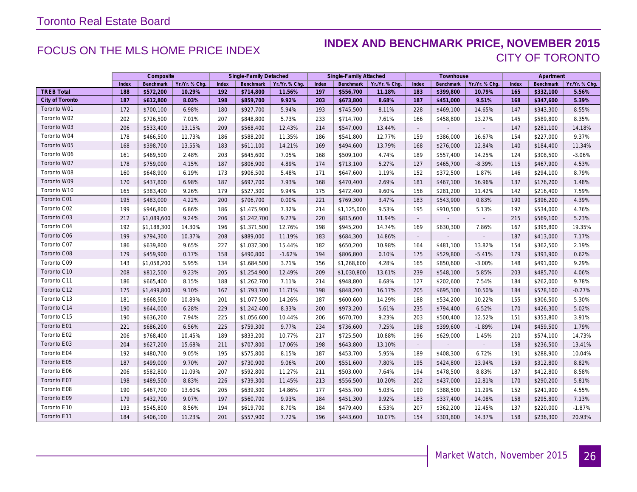### FOCUS ON THE MLS HOME PRICE INDEX **INDEX AND BENCHMARK PRICE, NOVEMBER 2015** CITY OF TORONTO

|                   | Composite |                  |                | Single-Family Detached |                  |                | Single-Family Attached |             |                | Townhouse                   |           |                | Apartment |           |                |
|-------------------|-----------|------------------|----------------|------------------------|------------------|----------------|------------------------|-------------|----------------|-----------------------------|-----------|----------------|-----------|-----------|----------------|
|                   | Index     | <b>Benchmark</b> | Yr./Yr. % Chq. | Index                  | <b>Benchmark</b> | Yr./Yr. % Chq. | Index                  | Benchmark   | Yr./Yr. % Chq. | Index                       | Benchmark | Yr./Yr. % Chq. | Index     | Benchmark | Yr./Yr. % Chq. |
| <b>TREB Total</b> | 188       | \$572,200        | 10.29%         | 192                    | \$714,800        | 11.56%         | 197                    | \$556,700   | 11.18%         | 183                         | \$399,800 | 10.79%         | 165       | \$332,100 | 5.56%          |
| City of Toronto   | 187       | \$612,800        | 8.03%          | 198                    | \$859,700        | 9.92%          | 203                    | \$673,800   | 8.68%          | 187                         | \$451,000 | 9.51%          | 168       | \$347,600 | 5.39%          |
| Toronto W01       | 172       | \$700,100        | 6.98%          | 180                    | \$927,700        | 5.94%          | 193                    | \$745,500   | 8.11%          | 228                         | \$469,100 | 14.65%         | 147       | \$343,300 | 8.55%          |
| Toronto W02       | 202       | \$726,500        | 7.01%          | 207                    | \$848,800        | 5.73%          | 233                    | \$714,700   | 7.61%          | 166                         | \$458,800 | 13.27%         | 145       | \$589,800 | 8.35%          |
| Toronto W03       | 206       | \$533,400        | 13.15%         | 209                    | \$568,400        | 12.43%         | 214                    | \$547,000   | 13.44%         | $\mathcal{L}_{\mathcal{A}}$ |           |                | 147       | \$281,100 | 14.18%         |
| Toronto W04       | 178       | \$466,500        | 11.73%         | 186                    | \$588,200        | 11.35%         | 186                    | \$541,800   | 12.77%         | 159                         | \$386,000 | 16.67%         | 154       | \$227,000 | 9.37%          |
| Toronto W05       | 168       | \$398,700        | 13.55%         | 183                    | \$611,100        | 14.21%         | 169                    | \$494,600   | 13.79%         | 168                         | \$276,000 | 12.84%         | 140       | \$184,400 | 11.34%         |
| Toronto W06       | 161       | \$469,500        | 2.48%          | 203                    | \$645,600        | 7.05%          | 168                    | \$509,100   | 4.74%          | 189                         | \$557,400 | 14.25%         | 124       | \$308,500 | $-3.06%$       |
| Toronto W07       | 178       | \$759,000        | 4.15%          | 187                    | \$806,900        | 4.89%          | 174                    | \$713,100   | 5.27%          | 127                         | \$465,700 | $-8.39%$       | 115       | \$467,900 | 4.53%          |
| Toronto W08       | 160       | \$648,900        | 6.19%          | 173                    | \$906,500        | 5.48%          | 171                    | \$647,600   | 1.19%          | 152                         | \$372,500 | 1.87%          | 146       | \$294,100 | 8.79%          |
| Toronto W09       | 170       | \$437,800        | 6.98%          | 187                    | \$697,700        | 7.93%          | 168                    | \$470,400   | 2.69%          | 181                         | \$467,100 | 16.96%         | 137       | \$176,200 | 1.48%          |
| Toronto W10       | 165       | \$383,400        | 9.26%          | 179                    | \$527,300        | 9.94%          | 175                    | \$472,400   | 9.60%          | 156                         | \$281,200 | 11.42%         | 142       | \$216,400 | 7.59%          |
| Toronto C01       | 195       | \$483,000        | 4.22%          | 200                    | \$706,700        | 0.00%          | 221                    | \$769,300   | 3.47%          | 183                         | \$543,900 | 0.83%          | 190       | \$396,200 | 4.39%          |
| Toronto C02       | 199       | \$946,800        | 6.86%          | 186                    | \$1,475,900      | 7.32%          | 214                    | \$1,125,000 | 9.53%          | 195                         | \$910,500 | 5.13%          | 192       | \$534,000 | 4.76%          |
| Toronto C03       | 212       | \$1,089,600      | 9.24%          | 206                    | \$1,242,700      | 9.27%          | 220                    | \$815,600   | 11.94%         |                             |           |                | 215       | \$569,100 | 5.23%          |
| Toronto C04       | 192       | \$1,188,300      | 14.30%         | 196                    | \$1,371,500      | 12.76%         | 198                    | \$945,200   | 14.74%         | 169                         | \$630,300 | 7.86%          | 167       | \$395,800 | 19.35%         |
| Toronto C06       | 199       | \$794,300        | 10.37%         | 208                    | \$889,000        | 11.19%         | 183                    | \$684,300   | 14.86%         | $\sim$                      |           | $\sim$         | 187       | \$413,000 | 7.17%          |
| Toronto C07       | 186       | \$639,800        | 9.65%          | 227                    | \$1,037,300      | 15.44%         | 182                    | \$650,200   | 10.98%         | 164                         | \$481,100 | 13.82%         | 154       | \$362,500 | 2.19%          |
| Toronto C08       | 179       | \$459,900        | 0.17%          | 158                    | \$490,800        | $-1.62%$       | 194                    | \$806,800   | 0.10%          | 175                         | \$529,800 | $-5.41%$       | 179       | \$393,900 | 0.62%          |
| Toronto C09       | 143       | \$1,058,200      | 5.95%          | 134                    | \$1,684,500      | 3.71%          | 156                    | \$1,268,600 | 4.28%          | 165                         | \$850,600 | $-3.00%$       | 148       | \$491,000 | 9.29%          |
| Toronto C10       | 208       | \$812,500        | 9.23%          | 205                    | \$1,254,900      | 12.49%         | 209                    | \$1,030,800 | 13.61%         | 239                         | \$548,100 | 5.85%          | 203       | \$485,700 | 4.06%          |
| Toronto C11       | 186       | \$665,400        | 8.15%          | 188                    | \$1,262,700      | 7.11%          | 214                    | \$948,800   | 6.68%          | 127                         | \$202,600 | 7.54%          | 184       | \$262,000 | 9.78%          |
| Toronto C12       | 175       | \$1,499,800      | 9.10%          | 167                    | \$1,793,700      | 11.71%         | 198                    | \$848,200   | 16.17%         | 205                         | \$695,100 | 10.50%         | 184       | \$578,100 | $-0.27%$       |
| Toronto C13       | 181       | \$668,500        | 10.89%         | 201                    | \$1,077,500      | 14.26%         | 187                    | \$600,600   | 14.29%         | 188                         | \$534,200 | 10.22%         | 155       | \$306,500 | 5.30%          |
| Toronto C14       | 190       | \$644,000        | 6.28%          | 229                    | \$1,242,400      | 8.33%          | 200                    | \$973,200   | 5.61%          | 235                         | \$794,400 | 6.52%          | 170       | \$426,300 | 5.02%          |
| Toronto C15       | 190       | \$636,200        | 7.94%          | 225                    | \$1,056,600      | 10.44%         | 206                    | \$670,700   | 9.23%          | 203                         | \$500,400 | 12.52%         | 151       | \$353,800 | 3.91%          |
| Toronto E01       | 221       | \$686,200        | 6.56%          | 225                    | \$759,300        | 9.77%          | 234                    | \$736,600   | 7.25%          | 198                         | \$399,600 | $-1.89%$       | 194       | \$459,500 | 1.79%          |
| Toronto E02       | 206       | \$768,400        | 10.45%         | 189                    | \$833,200        | 10.77%         | 217                    | \$725,500   | 10.88%         | 196                         | \$629,000 | 1.45%          | 210       | \$574,100 | 14.73%         |
| Toronto E03       | 204       | \$627,200        | 15.68%         | 211                    | \$707,800        | 17.06%         | 198                    | \$643,800   | 13.10%         | $\sim$                      |           |                | 158       | \$236,500 | 13.41%         |
| Toronto E04       | 192       | \$480,700        | 9.05%          | 195                    | \$575,800        | 8.15%          | 187                    | \$453,700   | 5.95%          | 189                         | \$408,300 | 6.72%          | 191       | \$288,900 | 10.04%         |
| Toronto E05       | 187       | \$499,000        | 9.70%          | 207                    | \$730,900        | 9.06%          | 200                    | \$551,600   | 7.80%          | 195                         | \$424,800 | 13.94%         | 159       | \$312,800 | 8.82%          |
| Toronto E06       | 206       | \$582,800        | 11.09%         | 207                    | \$592,800        | 11.27%         | 211                    | \$503,000   | 7.64%          | 194                         | \$478,500 | 8.83%          | 187       | \$412,800 | 8.58%          |
| Toronto E07       | 198       | \$489,500        | 8.83%          | 226                    | \$739,300        | 11.45%         | 213                    | \$556,500   | 10.20%         | 202                         | \$437,000 | 12.81%         | 170       | \$290,200 | 5.81%          |
| Toronto E08       | 190       | \$467,700        | 13.60%         | 205                    | \$639,300        | 14.86%         | 177                    | \$455,700   | 5.03%          | 190                         | \$388,500 | 11.29%         | 152       | \$241,900 | 4.55%          |
| Toronto E09       | 179       | \$432,700        | 9.07%          | 197                    | \$560,700        | 9.93%          | 184                    | \$451,300   | 9.92%          | 183                         | \$337,400 | 14.08%         | 158       | \$295,800 | 7.13%          |
| Toronto E10       | 193       | \$545,800        | 8.56%          | 194                    | \$619,700        | 8.70%          | 184                    | \$479,400   | 6.53%          | 207                         | \$362,200 | 12.45%         | 137       | \$220,000 | $-1.87%$       |
| Toronto E11       | 184       | \$406,100        | 11.23%         | 201                    | \$557,900        | 7.72%          | 196                    | \$443,600   | 10.07%         | 154                         | \$301,800 | 14.37%         | 158       | \$236,300 | 20.93%         |